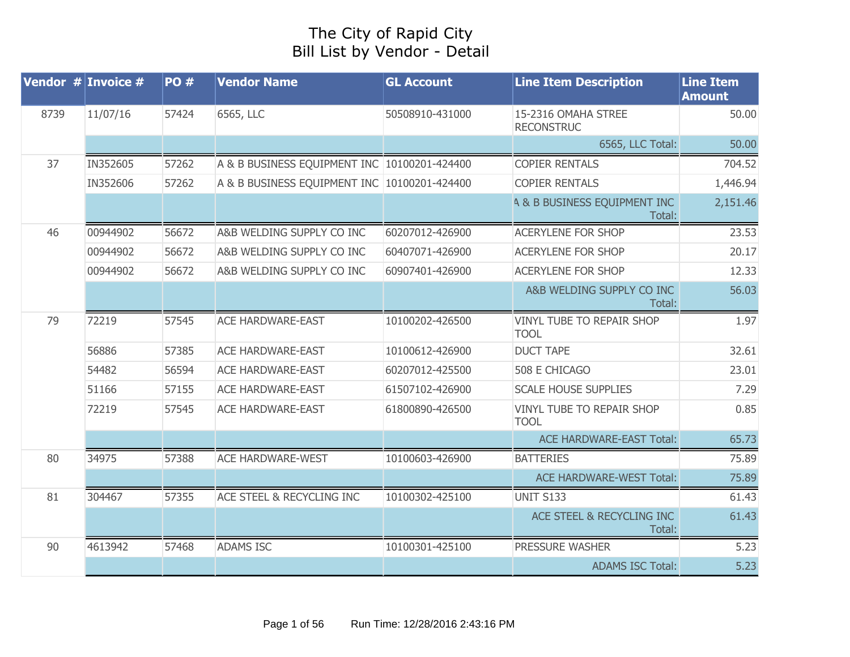## The City of Rapid City Bill List by Vendor - Detail

|      | Vendor $#$ Invoice $#$ | <b>PO#</b> | <b>Vendor Name</b>                           | <b>GL Account</b> | <b>Line Item Description</b>                      | <b>Line Item</b><br><b>Amount</b> |
|------|------------------------|------------|----------------------------------------------|-------------------|---------------------------------------------------|-----------------------------------|
| 8739 | 11/07/16               | 57424      | 6565, LLC                                    | 50508910-431000   | 15-2316 OMAHA STREE<br><b>RECONSTRUC</b>          | 50.00                             |
|      |                        |            |                                              |                   | 6565, LLC Total:                                  | 50.00                             |
| 37   | IN352605               | 57262      | A & B BUSINESS EQUIPMENT INC 10100201-424400 |                   | <b>COPIER RENTALS</b>                             | 704.52                            |
|      | IN352606               | 57262      | A & B BUSINESS EQUIPMENT INC 10100201-424400 |                   | <b>COPIER RENTALS</b>                             | 1,446.94                          |
|      |                        |            |                                              |                   | <b>4 &amp; B BUSINESS EQUIPMENT INC</b><br>Total: | 2,151.46                          |
| 46   | 00944902               | 56672      | A&B WELDING SUPPLY CO INC                    | 60207012-426900   | <b>ACERYLENE FOR SHOP</b>                         | 23.53                             |
|      | 00944902               | 56672      | A&B WELDING SUPPLY CO INC                    | 60407071-426900   | <b>ACERYLENE FOR SHOP</b>                         | 20.17                             |
|      | 00944902               | 56672      | A&B WELDING SUPPLY CO INC                    | 60907401-426900   | <b>ACERYLENE FOR SHOP</b>                         | 12.33                             |
|      |                        |            |                                              |                   | A&B WELDING SUPPLY CO INC<br>Total:               | 56.03                             |
| 79   | 72219                  | 57545      | <b>ACE HARDWARE-EAST</b>                     | 10100202-426500   | <b>VINYL TUBE TO REPAIR SHOP</b><br><b>TOOL</b>   | 1.97                              |
|      | 56886                  | 57385      | <b>ACE HARDWARE-EAST</b>                     | 10100612-426900   | <b>DUCT TAPE</b>                                  | 32.61                             |
|      | 54482                  | 56594      | <b>ACE HARDWARE-EAST</b>                     | 60207012-425500   | 508 E CHICAGO                                     | 23.01                             |
|      | 51166                  | 57155      | <b>ACE HARDWARE-EAST</b>                     | 61507102-426900   | <b>SCALE HOUSE SUPPLIES</b>                       | 7.29                              |
|      | 72219                  | 57545      | <b>ACE HARDWARE-EAST</b>                     | 61800890-426500   | VINYL TUBE TO REPAIR SHOP<br><b>TOOL</b>          | 0.85                              |
|      |                        |            |                                              |                   | <b>ACE HARDWARE-EAST Total:</b>                   | 65.73                             |
| 80   | 34975                  | 57388      | <b>ACE HARDWARE-WEST</b>                     | 10100603-426900   | <b>BATTERIES</b>                                  | 75.89                             |
|      |                        |            |                                              |                   | <b>ACE HARDWARE-WEST Total:</b>                   | 75.89                             |
| 81   | 304467                 | 57355      | ACE STEEL & RECYCLING INC                    | 10100302-425100   | <b>UNIT S133</b>                                  | 61.43                             |
|      |                        |            |                                              |                   | ACE STEEL & RECYCLING INC<br>Total:               | 61.43                             |
| 90   | 4613942                | 57468      | <b>ADAMS ISC</b>                             | 10100301-425100   | PRESSURE WASHER                                   | 5.23                              |
|      |                        |            |                                              |                   | <b>ADAMS ISC Total:</b>                           | 5.23                              |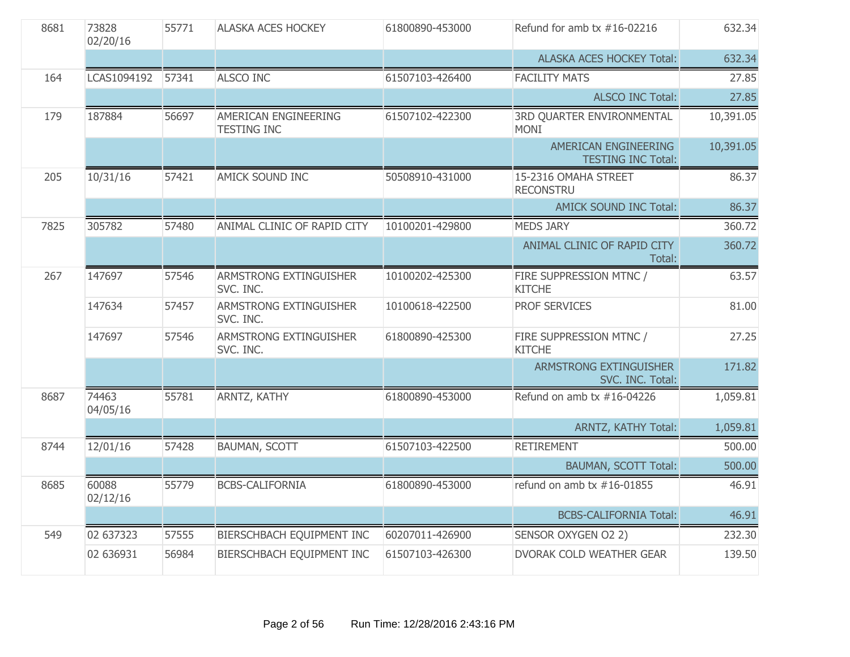| 8681 | 73828<br>02/20/16 | 55771 | <b>ALASKA ACES HOCKEY</b>                  | 61800890-453000 | Refund for amb $tx$ #16-02216                     | 632.34    |
|------|-------------------|-------|--------------------------------------------|-----------------|---------------------------------------------------|-----------|
|      |                   |       |                                            |                 | <b>ALASKA ACES HOCKEY Total:</b>                  | 632.34    |
| 164  | LCAS1094192       | 57341 | <b>ALSCO INC</b>                           | 61507103-426400 | <b>FACILITY MATS</b>                              | 27.85     |
|      |                   |       |                                            |                 | <b>ALSCO INC Total:</b>                           | 27.85     |
| 179  | 187884            | 56697 | AMERICAN ENGINEERING<br><b>TESTING INC</b> | 61507102-422300 | 3RD QUARTER ENVIRONMENTAL<br><b>MONI</b>          | 10,391.05 |
|      |                   |       |                                            |                 | AMERICAN ENGINEERING<br><b>TESTING INC Total:</b> | 10,391.05 |
| 205  | 10/31/16          | 57421 | AMICK SOUND INC                            | 50508910-431000 | 15-2316 OMAHA STREET<br><b>RECONSTRU</b>          | 86.37     |
|      |                   |       |                                            |                 | AMICK SOUND INC Total:                            | 86.37     |
| 7825 | 305782            | 57480 | ANIMAL CLINIC OF RAPID CITY                | 10100201-429800 | <b>MEDS JARY</b>                                  | 360.72    |
|      |                   |       |                                            |                 | ANIMAL CLINIC OF RAPID CITY<br>Total:             | 360.72    |
| 267  | 147697            | 57546 | ARMSTRONG EXTINGUISHER<br>SVC. INC.        | 10100202-425300 | FIRE SUPPRESSION MTNC /<br><b>KITCHE</b>          | 63.57     |
|      | 147634            | 57457 | ARMSTRONG EXTINGUISHER<br>SVC. INC.        | 10100618-422500 | PROF SERVICES                                     | 81.00     |
|      | 147697            | 57546 | ARMSTRONG EXTINGUISHER<br>SVC. INC.        | 61800890-425300 | FIRE SUPPRESSION MTNC /<br><b>KITCHE</b>          | 27.25     |
|      |                   |       |                                            |                 | ARMSTRONG EXTINGUISHER<br>SVC. INC. Total:        | 171.82    |
| 8687 | 74463<br>04/05/16 | 55781 | ARNTZ, KATHY                               | 61800890-453000 | Refund on amb tx #16-04226                        | 1,059.81  |
|      |                   |       |                                            |                 | ARNTZ, KATHY Total:                               | 1,059.81  |
| 8744 | 12/01/16          | 57428 | <b>BAUMAN, SCOTT</b>                       | 61507103-422500 | <b>RETIREMENT</b>                                 | 500.00    |
|      |                   |       |                                            |                 | <b>BAUMAN, SCOTT Total:</b>                       | 500.00    |
| 8685 | 60088<br>02/12/16 | 55779 | <b>BCBS-CALIFORNIA</b>                     | 61800890-453000 | refund on amb tx $#16-01855$                      | 46.91     |
|      |                   |       |                                            |                 | <b>BCBS-CALIFORNIA Total:</b>                     | 46.91     |
| 549  | 02 637323         | 57555 | BIERSCHBACH EQUIPMENT INC                  | 60207011-426900 | SENSOR OXYGEN O2 2)                               | 232.30    |
|      | 02 636931         | 56984 | BIERSCHBACH EQUIPMENT INC                  | 61507103-426300 | <b>DVORAK COLD WEATHER GEAR</b>                   | 139.50    |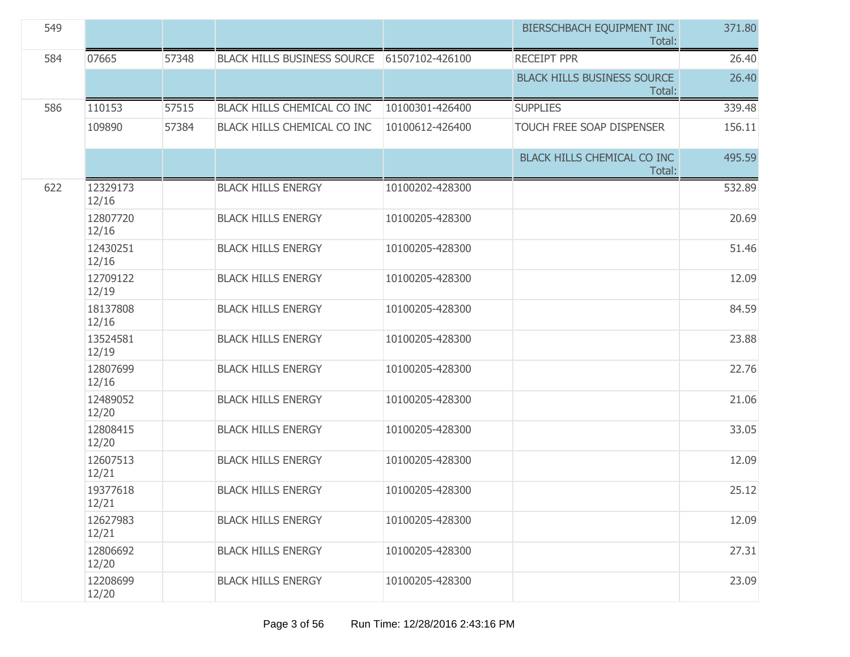| 549 |                   |       |                                    |                 | BIERSCHBACH EQUIPMENT INC<br>Total:          | 371.80 |
|-----|-------------------|-------|------------------------------------|-----------------|----------------------------------------------|--------|
| 584 | 07665             | 57348 | <b>BLACK HILLS BUSINESS SOURCE</b> | 61507102-426100 | <b>RECEIPT PPR</b>                           | 26.40  |
|     |                   |       |                                    |                 | <b>BLACK HILLS BUSINESS SOURCE</b><br>Total: | 26.40  |
| 586 | 110153            | 57515 | BLACK HILLS CHEMICAL CO INC        | 10100301-426400 | <b>SUPPLIES</b>                              | 339.48 |
|     | 109890            | 57384 | BLACK HILLS CHEMICAL CO INC        | 10100612-426400 | TOUCH FREE SOAP DISPENSER                    | 156.11 |
|     |                   |       |                                    |                 | BLACK HILLS CHEMICAL CO INC<br>Total:        | 495.59 |
| 622 | 12329173<br>12/16 |       | <b>BLACK HILLS ENERGY</b>          | 10100202-428300 |                                              | 532.89 |
|     | 12807720<br>12/16 |       | <b>BLACK HILLS ENERGY</b>          | 10100205-428300 |                                              | 20.69  |
|     | 12430251<br>12/16 |       | <b>BLACK HILLS ENERGY</b>          | 10100205-428300 |                                              | 51.46  |
|     | 12709122<br>12/19 |       | <b>BLACK HILLS ENERGY</b>          | 10100205-428300 |                                              | 12.09  |
|     | 18137808<br>12/16 |       | <b>BLACK HILLS ENERGY</b>          | 10100205-428300 |                                              | 84.59  |
|     | 13524581<br>12/19 |       | <b>BLACK HILLS ENERGY</b>          | 10100205-428300 |                                              | 23.88  |
|     | 12807699<br>12/16 |       | <b>BLACK HILLS ENERGY</b>          | 10100205-428300 |                                              | 22.76  |
|     | 12489052<br>12/20 |       | <b>BLACK HILLS ENERGY</b>          | 10100205-428300 |                                              | 21.06  |
|     | 12808415<br>12/20 |       | <b>BLACK HILLS ENERGY</b>          | 10100205-428300 |                                              | 33.05  |
|     | 12607513<br>12/21 |       | <b>BLACK HILLS ENERGY</b>          | 10100205-428300 |                                              | 12.09  |
|     | 19377618<br>12/21 |       | <b>BLACK HILLS ENERGY</b>          | 10100205-428300 |                                              | 25.12  |
|     | 12627983<br>12/21 |       | <b>BLACK HILLS ENERGY</b>          | 10100205-428300 |                                              | 12.09  |
|     | 12806692<br>12/20 |       | <b>BLACK HILLS ENERGY</b>          | 10100205-428300 |                                              | 27.31  |
|     | 12208699<br>12/20 |       | <b>BLACK HILLS ENERGY</b>          | 10100205-428300 |                                              | 23.09  |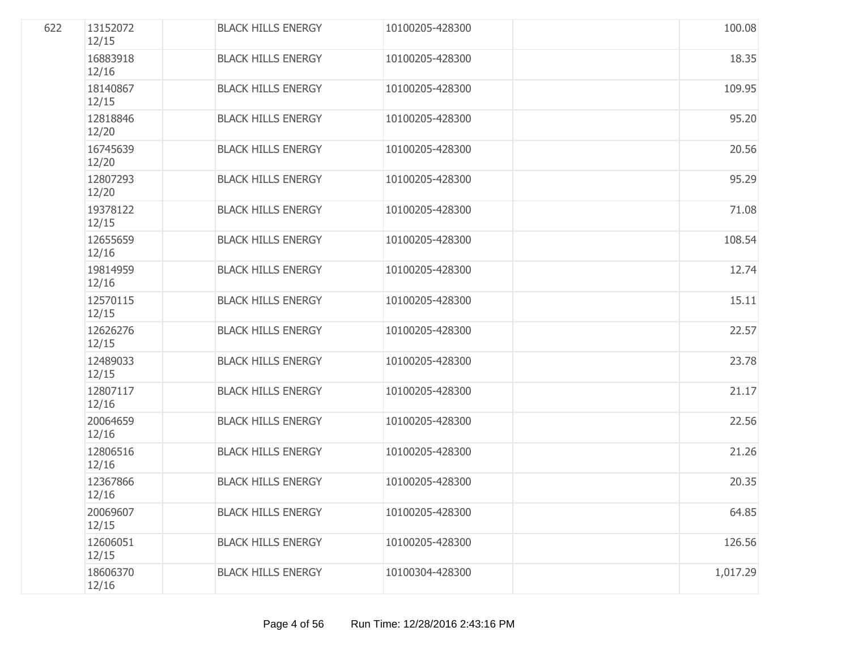| 622 | 13152072<br>12/15 | <b>BLACK HILLS ENERGY</b> | 10100205-428300 | 100.08   |
|-----|-------------------|---------------------------|-----------------|----------|
|     | 16883918<br>12/16 | <b>BLACK HILLS ENERGY</b> | 10100205-428300 | 18.35    |
|     | 18140867<br>12/15 | <b>BLACK HILLS ENERGY</b> | 10100205-428300 | 109.95   |
|     | 12818846<br>12/20 | <b>BLACK HILLS ENERGY</b> | 10100205-428300 | 95.20    |
|     | 16745639<br>12/20 | <b>BLACK HILLS ENERGY</b> | 10100205-428300 | 20.56    |
|     | 12807293<br>12/20 | <b>BLACK HILLS ENERGY</b> | 10100205-428300 | 95.29    |
|     | 19378122<br>12/15 | <b>BLACK HILLS ENERGY</b> | 10100205-428300 | 71.08    |
|     | 12655659<br>12/16 | <b>BLACK HILLS ENERGY</b> | 10100205-428300 | 108.54   |
|     | 19814959<br>12/16 | <b>BLACK HILLS ENERGY</b> | 10100205-428300 | 12.74    |
|     | 12570115<br>12/15 | <b>BLACK HILLS ENERGY</b> | 10100205-428300 | 15.11    |
|     | 12626276<br>12/15 | <b>BLACK HILLS ENERGY</b> | 10100205-428300 | 22.57    |
|     | 12489033<br>12/15 | <b>BLACK HILLS ENERGY</b> | 10100205-428300 | 23.78    |
|     | 12807117<br>12/16 | <b>BLACK HILLS ENERGY</b> | 10100205-428300 | 21.17    |
|     | 20064659<br>12/16 | <b>BLACK HILLS ENERGY</b> | 10100205-428300 | 22.56    |
|     | 12806516<br>12/16 | <b>BLACK HILLS ENERGY</b> | 10100205-428300 | 21.26    |
|     | 12367866<br>12/16 | <b>BLACK HILLS ENERGY</b> | 10100205-428300 | 20.35    |
|     | 20069607<br>12/15 | <b>BLACK HILLS ENERGY</b> | 10100205-428300 | 64.85    |
|     | 12606051<br>12/15 | <b>BLACK HILLS ENERGY</b> | 10100205-428300 | 126.56   |
|     | 18606370<br>12/16 | <b>BLACK HILLS ENERGY</b> | 10100304-428300 | 1,017.29 |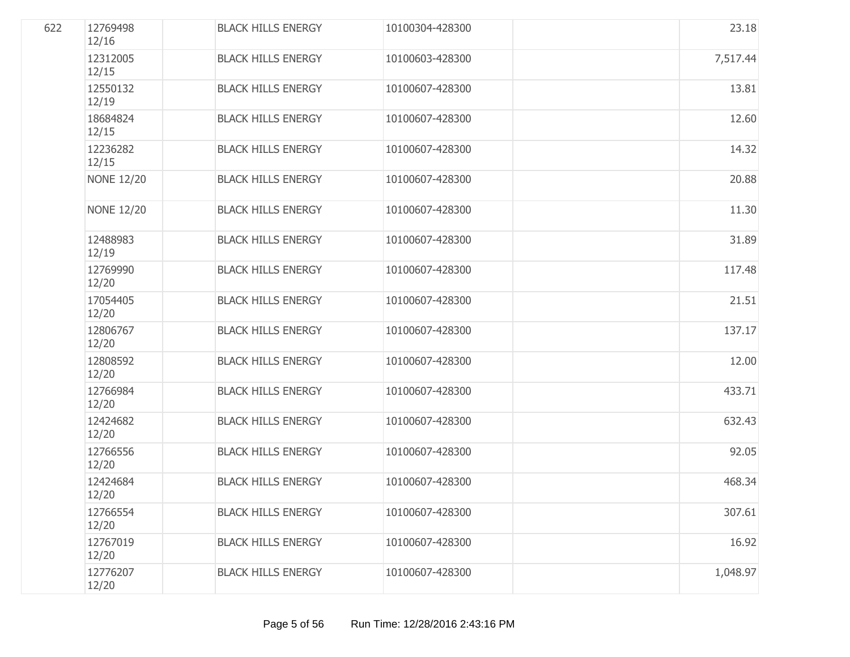| 622 | 12769498<br>12/16 | <b>BLACK HILLS ENERGY</b> | 10100304-428300 | 23.18    |
|-----|-------------------|---------------------------|-----------------|----------|
|     | 12312005<br>12/15 | <b>BLACK HILLS ENERGY</b> | 10100603-428300 | 7,517.44 |
|     | 12550132<br>12/19 | <b>BLACK HILLS ENERGY</b> | 10100607-428300 | 13.81    |
|     | 18684824<br>12/15 | <b>BLACK HILLS ENERGY</b> | 10100607-428300 | 12.60    |
|     | 12236282<br>12/15 | <b>BLACK HILLS ENERGY</b> | 10100607-428300 | 14.32    |
|     | <b>NONE 12/20</b> | <b>BLACK HILLS ENERGY</b> | 10100607-428300 | 20.88    |
|     | <b>NONE 12/20</b> | <b>BLACK HILLS ENERGY</b> | 10100607-428300 | 11.30    |
|     | 12488983<br>12/19 | <b>BLACK HILLS ENERGY</b> | 10100607-428300 | 31.89    |
|     | 12769990<br>12/20 | <b>BLACK HILLS ENERGY</b> | 10100607-428300 | 117.48   |
|     | 17054405<br>12/20 | <b>BLACK HILLS ENERGY</b> | 10100607-428300 | 21.51    |
|     | 12806767<br>12/20 | <b>BLACK HILLS ENERGY</b> | 10100607-428300 | 137.17   |
|     | 12808592<br>12/20 | <b>BLACK HILLS ENERGY</b> | 10100607-428300 | 12.00    |
|     | 12766984<br>12/20 | <b>BLACK HILLS ENERGY</b> | 10100607-428300 | 433.71   |
|     | 12424682<br>12/20 | <b>BLACK HILLS ENERGY</b> | 10100607-428300 | 632.43   |
|     | 12766556<br>12/20 | <b>BLACK HILLS ENERGY</b> | 10100607-428300 | 92.05    |
|     | 12424684<br>12/20 | <b>BLACK HILLS ENERGY</b> | 10100607-428300 | 468.34   |
|     | 12766554<br>12/20 | <b>BLACK HILLS ENERGY</b> | 10100607-428300 | 307.61   |
|     | 12767019<br>12/20 | <b>BLACK HILLS ENERGY</b> | 10100607-428300 | 16.92    |
|     | 12776207<br>12/20 | <b>BLACK HILLS ENERGY</b> | 10100607-428300 | 1,048.97 |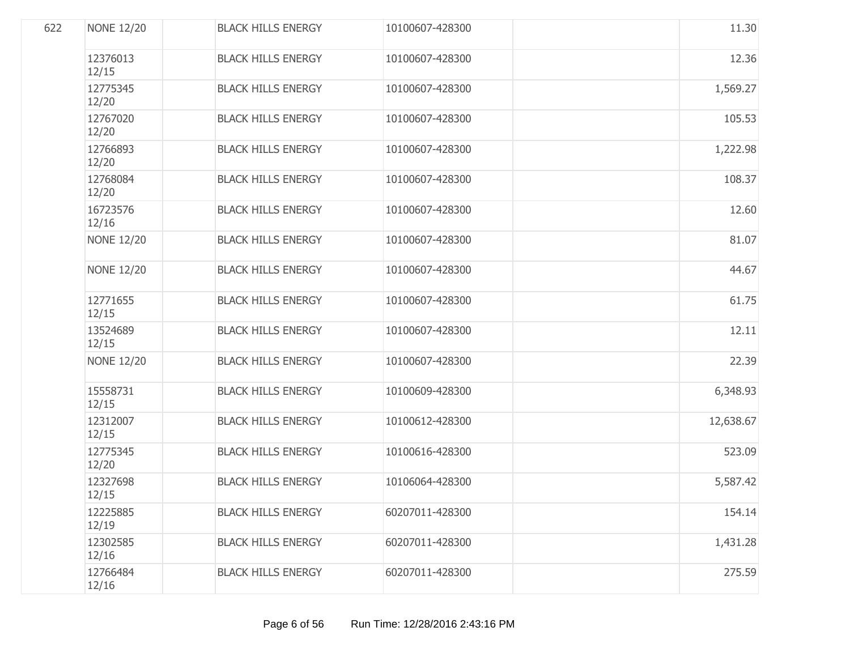| 622 | <b>NONE 12/20</b> | <b>BLACK HILLS ENERGY</b> | 10100607-428300 | 11.30     |
|-----|-------------------|---------------------------|-----------------|-----------|
|     | 12376013<br>12/15 | <b>BLACK HILLS ENERGY</b> | 10100607-428300 | 12.36     |
|     | 12775345<br>12/20 | <b>BLACK HILLS ENERGY</b> | 10100607-428300 | 1,569.27  |
|     | 12767020<br>12/20 | <b>BLACK HILLS ENERGY</b> | 10100607-428300 | 105.53    |
|     | 12766893<br>12/20 | <b>BLACK HILLS ENERGY</b> | 10100607-428300 | 1,222.98  |
|     | 12768084<br>12/20 | <b>BLACK HILLS ENERGY</b> | 10100607-428300 | 108.37    |
|     | 16723576<br>12/16 | <b>BLACK HILLS ENERGY</b> | 10100607-428300 | 12.60     |
|     | <b>NONE 12/20</b> | <b>BLACK HILLS ENERGY</b> | 10100607-428300 | 81.07     |
|     | <b>NONE 12/20</b> | <b>BLACK HILLS ENERGY</b> | 10100607-428300 | 44.67     |
|     | 12771655<br>12/15 | <b>BLACK HILLS ENERGY</b> | 10100607-428300 | 61.75     |
|     | 13524689<br>12/15 | <b>BLACK HILLS ENERGY</b> | 10100607-428300 | 12.11     |
|     | <b>NONE 12/20</b> | <b>BLACK HILLS ENERGY</b> | 10100607-428300 | 22.39     |
|     | 15558731<br>12/15 | <b>BLACK HILLS ENERGY</b> | 10100609-428300 | 6,348.93  |
|     | 12312007<br>12/15 | <b>BLACK HILLS ENERGY</b> | 10100612-428300 | 12,638.67 |
|     | 12775345<br>12/20 | <b>BLACK HILLS ENERGY</b> | 10100616-428300 | 523.09    |
|     | 12327698<br>12/15 | <b>BLACK HILLS ENERGY</b> | 10106064-428300 | 5,587.42  |
|     | 12225885<br>12/19 | <b>BLACK HILLS ENERGY</b> | 60207011-428300 | 154.14    |
|     | 12302585<br>12/16 | <b>BLACK HILLS ENERGY</b> | 60207011-428300 | 1,431.28  |
|     | 12766484<br>12/16 | <b>BLACK HILLS ENERGY</b> | 60207011-428300 | 275.59    |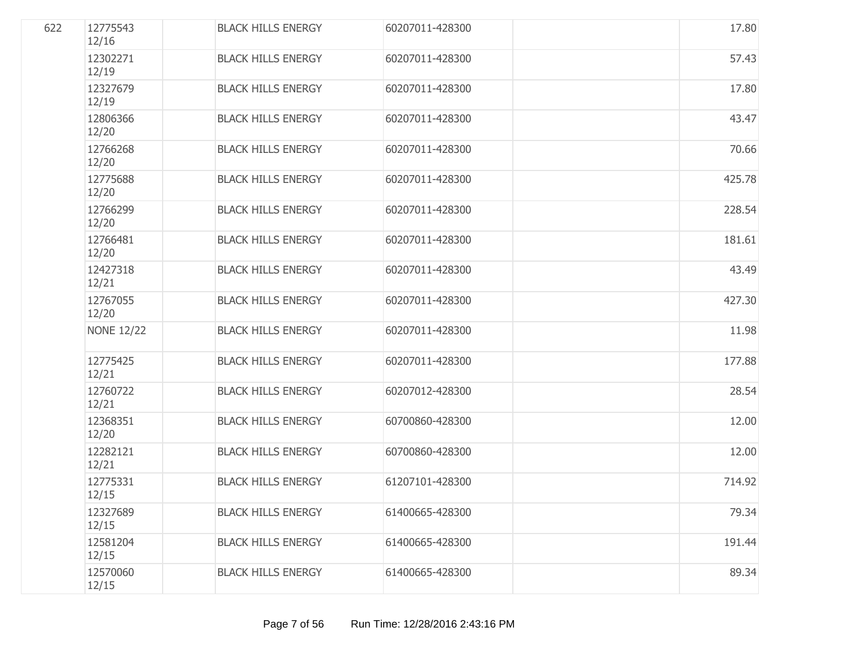| 622 | 12775543<br>12/16 | <b>BLACK HILLS ENERGY</b> | 60207011-428300 | 17.80  |
|-----|-------------------|---------------------------|-----------------|--------|
|     | 12302271<br>12/19 | <b>BLACK HILLS ENERGY</b> | 60207011-428300 | 57.43  |
|     | 12327679<br>12/19 | <b>BLACK HILLS ENERGY</b> | 60207011-428300 | 17.80  |
|     | 12806366<br>12/20 | <b>BLACK HILLS ENERGY</b> | 60207011-428300 | 43.47  |
|     | 12766268<br>12/20 | <b>BLACK HILLS ENERGY</b> | 60207011-428300 | 70.66  |
|     | 12775688<br>12/20 | <b>BLACK HILLS ENERGY</b> | 60207011-428300 | 425.78 |
|     | 12766299<br>12/20 | <b>BLACK HILLS ENERGY</b> | 60207011-428300 | 228.54 |
|     | 12766481<br>12/20 | <b>BLACK HILLS ENERGY</b> | 60207011-428300 | 181.61 |
|     | 12427318<br>12/21 | <b>BLACK HILLS ENERGY</b> | 60207011-428300 | 43.49  |
|     | 12767055<br>12/20 | <b>BLACK HILLS ENERGY</b> | 60207011-428300 | 427.30 |
|     | <b>NONE 12/22</b> | <b>BLACK HILLS ENERGY</b> | 60207011-428300 | 11.98  |
|     | 12775425<br>12/21 | <b>BLACK HILLS ENERGY</b> | 60207011-428300 | 177.88 |
|     | 12760722<br>12/21 | <b>BLACK HILLS ENERGY</b> | 60207012-428300 | 28.54  |
|     | 12368351<br>12/20 | <b>BLACK HILLS ENERGY</b> | 60700860-428300 | 12.00  |
|     | 12282121<br>12/21 | <b>BLACK HILLS ENERGY</b> | 60700860-428300 | 12.00  |
|     | 12775331<br>12/15 | <b>BLACK HILLS ENERGY</b> | 61207101-428300 | 714.92 |
|     | 12327689<br>12/15 | <b>BLACK HILLS ENERGY</b> | 61400665-428300 | 79.34  |
|     | 12581204<br>12/15 | <b>BLACK HILLS ENERGY</b> | 61400665-428300 | 191.44 |
|     | 12570060<br>12/15 | <b>BLACK HILLS ENERGY</b> | 61400665-428300 | 89.34  |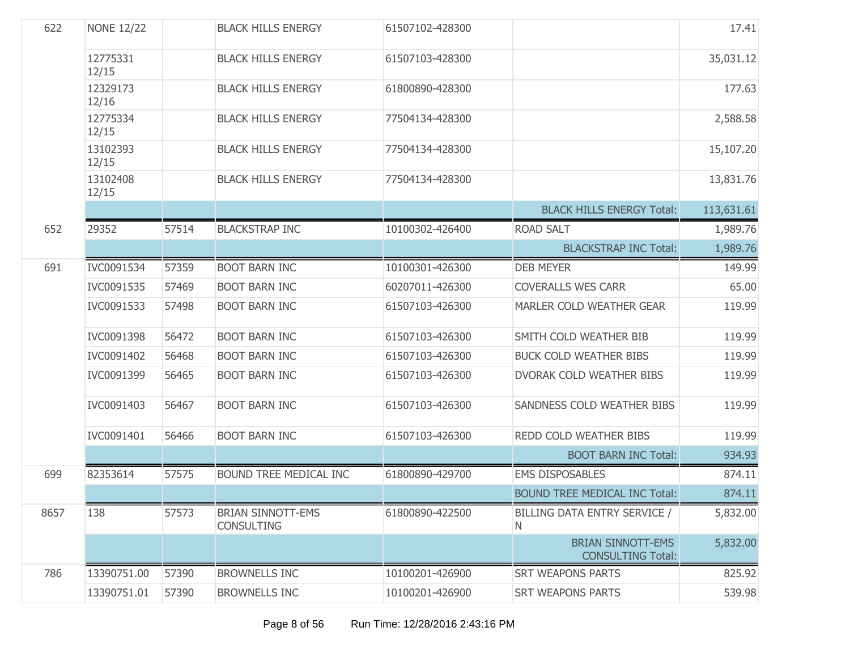| 622  | <b>NONE 12/22</b> |       | <b>BLACK HILLS ENERGY</b>                     | 61507102-428300 |                                                      | 17.41      |
|------|-------------------|-------|-----------------------------------------------|-----------------|------------------------------------------------------|------------|
|      | 12775331<br>12/15 |       | <b>BLACK HILLS ENERGY</b>                     | 61507103-428300 |                                                      | 35,031.12  |
|      | 12329173<br>12/16 |       | <b>BLACK HILLS ENERGY</b>                     | 61800890-428300 |                                                      | 177.63     |
|      | 12775334<br>12/15 |       | <b>BLACK HILLS ENERGY</b>                     | 77504134-428300 |                                                      | 2,588.58   |
|      | 13102393<br>12/15 |       | <b>BLACK HILLS ENERGY</b>                     | 77504134-428300 |                                                      | 15,107.20  |
|      | 13102408<br>12/15 |       | <b>BLACK HILLS ENERGY</b>                     | 77504134-428300 |                                                      | 13,831.76  |
|      |                   |       |                                               |                 | <b>BLACK HILLS ENERGY Total:</b>                     | 113,631.61 |
| 652  | 29352             | 57514 | <b>BLACKSTRAP INC</b>                         | 10100302-426400 | <b>ROAD SALT</b>                                     | 1,989.76   |
|      |                   |       |                                               |                 | <b>BLACKSTRAP INC Total:</b>                         | 1,989.76   |
| 691  | IVC0091534        | 57359 | <b>BOOT BARN INC</b>                          | 10100301-426300 | <b>DEB MEYER</b>                                     | 149.99     |
|      | IVC0091535        | 57469 | <b>BOOT BARN INC</b>                          | 60207011-426300 | <b>COVERALLS WES CARR</b>                            | 65.00      |
|      | IVC0091533        | 57498 | <b>BOOT BARN INC</b>                          | 61507103-426300 | MARLER COLD WEATHER GEAR                             | 119.99     |
|      | IVC0091398        | 56472 | <b>BOOT BARN INC</b>                          | 61507103-426300 | SMITH COLD WEATHER BIB                               | 119.99     |
|      | IVC0091402        | 56468 | <b>BOOT BARN INC</b>                          | 61507103-426300 | <b>BUCK COLD WEATHER BIBS</b>                        | 119.99     |
|      | IVC0091399        | 56465 | <b>BOOT BARN INC</b>                          | 61507103-426300 | DVORAK COLD WEATHER BIBS                             | 119.99     |
|      | IVC0091403        | 56467 | <b>BOOT BARN INC</b>                          | 61507103-426300 | SANDNESS COLD WEATHER BIBS                           | 119.99     |
|      | IVC0091401        | 56466 | <b>BOOT BARN INC</b>                          | 61507103-426300 | REDD COLD WEATHER BIBS                               | 119.99     |
|      |                   |       |                                               |                 | <b>BOOT BARN INC Total:</b>                          | 934.93     |
| 699  | 82353614          | 57575 | BOUND TREE MEDICAL INC                        | 61800890-429700 | <b>EMS DISPOSABLES</b>                               | 874.11     |
|      |                   |       |                                               |                 | <b>BOUND TREE MEDICAL INC Total:</b>                 | 874.11     |
| 8657 | 138               | 57573 | <b>BRIAN SINNOTT-EMS</b><br><b>CONSULTING</b> | 61800890-422500 | BILLING DATA ENTRY SERVICE /<br>N                    | 5,832.00   |
|      |                   |       |                                               |                 | <b>BRIAN SINNOTT-EMS</b><br><b>CONSULTING Total:</b> | 5,832.00   |
| 786  | 13390751.00       | 57390 | <b>BROWNELLS INC</b>                          | 10100201-426900 | <b>SRT WEAPONS PARTS</b>                             | 825.92     |
|      | 13390751.01       | 57390 | <b>BROWNELLS INC</b>                          | 10100201-426900 | <b>SRT WEAPONS PARTS</b>                             | 539.98     |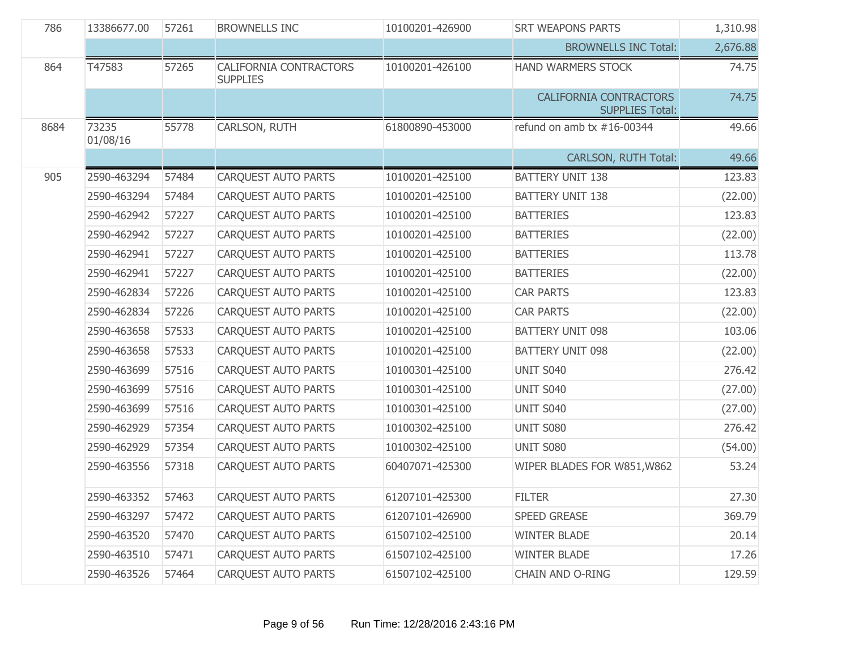| 786  | 13386677.00       | 57261 | <b>BROWNELLS INC</b>                      | 10100201-426900 | <b>SRT WEAPONS PARTS</b>                                | 1,310.98 |
|------|-------------------|-------|-------------------------------------------|-----------------|---------------------------------------------------------|----------|
|      |                   |       |                                           |                 | <b>BROWNELLS INC Total:</b>                             | 2,676.88 |
| 864  | T47583            | 57265 | CALIFORNIA CONTRACTORS<br><b>SUPPLIES</b> | 10100201-426100 | HAND WARMERS STOCK                                      | 74.75    |
|      |                   |       |                                           |                 | <b>CALIFORNIA CONTRACTORS</b><br><b>SUPPLIES Total:</b> | 74.75    |
| 8684 | 73235<br>01/08/16 | 55778 | CARLSON, RUTH                             | 61800890-453000 | refund on amb tx $#16-00344$                            | 49.66    |
|      |                   |       |                                           |                 | <b>CARLSON, RUTH Total:</b>                             | 49.66    |
| 905  | 2590-463294       | 57484 | CARQUEST AUTO PARTS                       | 10100201-425100 | <b>BATTERY UNIT 138</b>                                 | 123.83   |
|      | 2590-463294       | 57484 | <b>CARQUEST AUTO PARTS</b>                | 10100201-425100 | <b>BATTERY UNIT 138</b>                                 | (22.00)  |
|      | 2590-462942       | 57227 | <b>CARQUEST AUTO PARTS</b>                | 10100201-425100 | <b>BATTERIES</b>                                        | 123.83   |
|      | 2590-462942       | 57227 | <b>CARQUEST AUTO PARTS</b>                | 10100201-425100 | <b>BATTERIES</b>                                        | (22.00)  |
|      | 2590-462941       | 57227 | <b>CARQUEST AUTO PARTS</b>                | 10100201-425100 | <b>BATTERIES</b>                                        | 113.78   |
|      | 2590-462941       | 57227 | <b>CARQUEST AUTO PARTS</b>                | 10100201-425100 | <b>BATTERIES</b>                                        | (22.00)  |
|      | 2590-462834       | 57226 | CARQUEST AUTO PARTS                       | 10100201-425100 | <b>CAR PARTS</b>                                        | 123.83   |
|      | 2590-462834       | 57226 | <b>CARQUEST AUTO PARTS</b>                | 10100201-425100 | <b>CAR PARTS</b>                                        | (22.00)  |
|      | 2590-463658       | 57533 | CARQUEST AUTO PARTS                       | 10100201-425100 | <b>BATTERY UNIT 098</b>                                 | 103.06   |
|      | 2590-463658       | 57533 | CARQUEST AUTO PARTS                       | 10100201-425100 | <b>BATTERY UNIT 098</b>                                 | (22.00)  |
|      | 2590-463699       | 57516 | CARQUEST AUTO PARTS                       | 10100301-425100 | <b>UNIT S040</b>                                        | 276.42   |
|      | 2590-463699       | 57516 | CARQUEST AUTO PARTS                       | 10100301-425100 | <b>UNIT S040</b>                                        | (27.00)  |
|      | 2590-463699       | 57516 | CARQUEST AUTO PARTS                       | 10100301-425100 | <b>UNIT S040</b>                                        | (27.00)  |
|      | 2590-462929       | 57354 | CARQUEST AUTO PARTS                       | 10100302-425100 | UNIT S080                                               | 276.42   |
|      | 2590-462929       | 57354 | CARQUEST AUTO PARTS                       | 10100302-425100 | UNIT S080                                               | (54.00)  |
|      | 2590-463556       | 57318 | CARQUEST AUTO PARTS                       | 60407071-425300 | WIPER BLADES FOR W851, W862                             | 53.24    |
|      | 2590-463352       | 57463 | CARQUEST AUTO PARTS                       | 61207101-425300 | <b>FILTER</b>                                           | 27.30    |
|      | 2590-463297       | 57472 | <b>CARQUEST AUTO PARTS</b>                | 61207101-426900 | <b>SPEED GREASE</b>                                     | 369.79   |
|      | 2590-463520       | 57470 | CARQUEST AUTO PARTS                       | 61507102-425100 | <b>WINTER BLADE</b>                                     | 20.14    |
|      | 2590-463510       | 57471 | <b>CAROUEST AUTO PARTS</b>                | 61507102-425100 | <b>WINTER BLADE</b>                                     | 17.26    |
|      | 2590-463526       | 57464 | CARQUEST AUTO PARTS                       | 61507102-425100 | <b>CHAIN AND O-RING</b>                                 | 129.59   |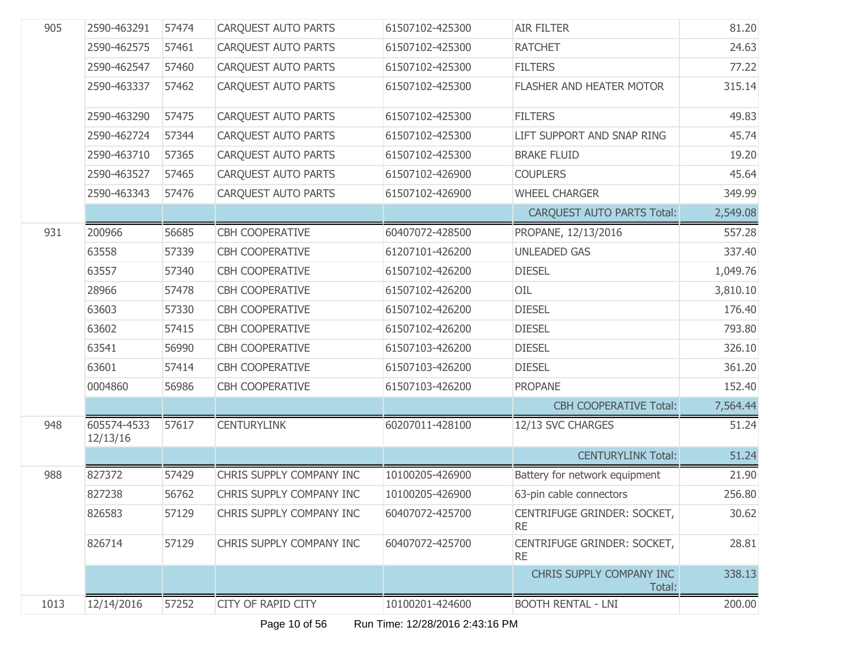| 905  | 2590-463291             | 57474 | <b>CARQUEST AUTO PARTS</b> | 61507102-425300 | <b>AIR FILTER</b>                        | 81.20    |
|------|-------------------------|-------|----------------------------|-----------------|------------------------------------------|----------|
|      | 2590-462575             | 57461 | <b>CARQUEST AUTO PARTS</b> | 61507102-425300 | <b>RATCHET</b>                           | 24.63    |
|      | 2590-462547             | 57460 | <b>CARQUEST AUTO PARTS</b> | 61507102-425300 | <b>FILTERS</b>                           | 77.22    |
|      | 2590-463337             | 57462 | <b>CAROUEST AUTO PARTS</b> | 61507102-425300 | FLASHER AND HEATER MOTOR                 | 315.14   |
|      | 2590-463290             | 57475 | <b>CARQUEST AUTO PARTS</b> | 61507102-425300 | <b>FILTERS</b>                           | 49.83    |
|      | 2590-462724             | 57344 | CARQUEST AUTO PARTS        | 61507102-425300 | LIFT SUPPORT AND SNAP RING               | 45.74    |
|      | 2590-463710             | 57365 | CARQUEST AUTO PARTS        | 61507102-425300 | <b>BRAKE FLUID</b>                       | 19.20    |
|      | 2590-463527             | 57465 | <b>CAROUEST AUTO PARTS</b> | 61507102-426900 | <b>COUPLERS</b>                          | 45.64    |
|      | 2590-463343             | 57476 | CARQUEST AUTO PARTS        | 61507102-426900 | <b>WHEEL CHARGER</b>                     | 349.99   |
|      |                         |       |                            |                 | <b>CARQUEST AUTO PARTS Total:</b>        | 2,549.08 |
| 931  | 200966                  | 56685 | CBH COOPERATIVE            | 60407072-428500 | PROPANE, 12/13/2016                      | 557.28   |
|      | 63558                   | 57339 | <b>CBH COOPERATIVE</b>     | 61207101-426200 | <b>UNLEADED GAS</b>                      | 337.40   |
|      | 63557                   | 57340 | <b>CBH COOPERATIVE</b>     | 61507102-426200 | <b>DIESEL</b>                            | 1,049.76 |
|      | 28966                   | 57478 | <b>CBH COOPERATIVE</b>     | 61507102-426200 | OIL                                      | 3,810.10 |
|      | 63603                   | 57330 | <b>CBH COOPERATIVE</b>     | 61507102-426200 | <b>DIESEL</b>                            | 176.40   |
|      | 63602                   | 57415 | <b>CBH COOPERATIVE</b>     | 61507102-426200 | <b>DIESEL</b>                            | 793.80   |
|      | 63541                   | 56990 | <b>CBH COOPERATIVE</b>     | 61507103-426200 | <b>DIESEL</b>                            | 326.10   |
|      | 63601                   | 57414 | <b>CBH COOPERATIVE</b>     | 61507103-426200 | <b>DIESEL</b>                            | 361.20   |
|      | 0004860                 | 56986 | <b>CBH COOPERATIVE</b>     | 61507103-426200 | <b>PROPANE</b>                           | 152.40   |
|      |                         |       |                            |                 | <b>CBH COOPERATIVE Total:</b>            | 7,564.44 |
| 948  | 605574-4533<br>12/13/16 | 57617 | <b>CENTURYLINK</b>         | 60207011-428100 | 12/13 SVC CHARGES                        | 51.24    |
|      |                         |       |                            |                 | <b>CENTURYLINK Total:</b>                | 51.24    |
| 988  | 827372                  | 57429 | CHRIS SUPPLY COMPANY INC   | 10100205-426900 | Battery for network equipment            | 21.90    |
|      | 827238                  | 56762 | CHRIS SUPPLY COMPANY INC   | 10100205-426900 | 63-pin cable connectors                  | 256.80   |
|      | 826583                  | 57129 | CHRIS SUPPLY COMPANY INC   | 60407072-425700 | CENTRIFUGE GRINDER: SOCKET,<br><b>RE</b> | 30.62    |
|      | 826714                  | 57129 | CHRIS SUPPLY COMPANY INC   | 60407072-425700 | CENTRIFUGE GRINDER: SOCKET,<br><b>RE</b> | 28.81    |
|      |                         |       |                            |                 | CHRIS SUPPLY COMPANY INC<br>Total:       | 338.13   |
| 1013 | 12/14/2016              | 57252 | <b>CITY OF RAPID CITY</b>  | 10100201-424600 | <b>BOOTH RENTAL - LNI</b>                | 200.00   |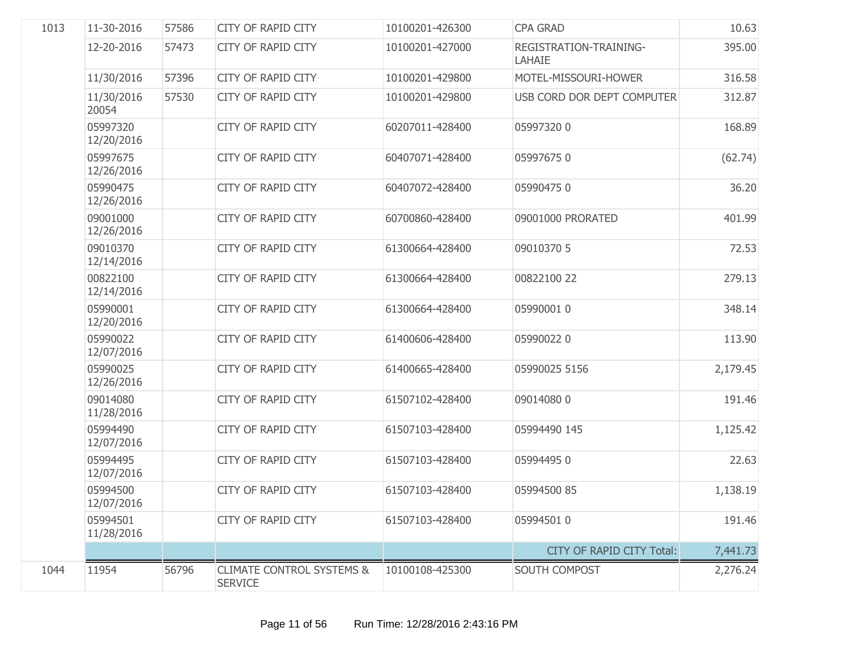| 1013 | 11-30-2016             | 57586 | <b>CITY OF RAPID CITY</b>                              | 10100201-426300 | <b>CPA GRAD</b>                  | 10.63    |
|------|------------------------|-------|--------------------------------------------------------|-----------------|----------------------------------|----------|
|      | 12-20-2016             | 57473 | <b>CITY OF RAPID CITY</b>                              | 10100201-427000 | REGISTRATION-TRAINING-<br>LAHAIE | 395.00   |
|      | 11/30/2016             | 57396 | <b>CITY OF RAPID CITY</b>                              | 10100201-429800 | MOTEL-MISSOURI-HOWER             | 316.58   |
|      | 11/30/2016<br>20054    | 57530 | <b>CITY OF RAPID CITY</b>                              | 10100201-429800 | USB CORD DOR DEPT COMPUTER       | 312.87   |
|      | 05997320<br>12/20/2016 |       | <b>CITY OF RAPID CITY</b>                              | 60207011-428400 | 059973200                        | 168.89   |
|      | 05997675<br>12/26/2016 |       | <b>CITY OF RAPID CITY</b>                              | 60407071-428400 | 059976750                        | (62.74)  |
|      | 05990475<br>12/26/2016 |       | <b>CITY OF RAPID CITY</b>                              | 60407072-428400 | 059904750                        | 36.20    |
|      | 09001000<br>12/26/2016 |       | <b>CITY OF RAPID CITY</b>                              | 60700860-428400 | 09001000 PRORATED                | 401.99   |
|      | 09010370<br>12/14/2016 |       | <b>CITY OF RAPID CITY</b>                              | 61300664-428400 | 09010370 5                       | 72.53    |
|      | 00822100<br>12/14/2016 |       | <b>CITY OF RAPID CITY</b>                              | 61300664-428400 | 00822100 22                      | 279.13   |
|      | 05990001<br>12/20/2016 |       | <b>CITY OF RAPID CITY</b>                              | 61300664-428400 | 05990001 0                       | 348.14   |
|      | 05990022<br>12/07/2016 |       | <b>CITY OF RAPID CITY</b>                              | 61400606-428400 | 059900220                        | 113.90   |
|      | 05990025<br>12/26/2016 |       | <b>CITY OF RAPID CITY</b>                              | 61400665-428400 | 05990025 5156                    | 2,179.45 |
|      | 09014080<br>11/28/2016 |       | <b>CITY OF RAPID CITY</b>                              | 61507102-428400 | 090140800                        | 191.46   |
|      | 05994490<br>12/07/2016 |       | <b>CITY OF RAPID CITY</b>                              | 61507103-428400 | 05994490 145                     | 1,125.42 |
|      | 05994495<br>12/07/2016 |       | <b>CITY OF RAPID CITY</b>                              | 61507103-428400 | 059944950                        | 22.63    |
|      | 05994500<br>12/07/2016 |       | <b>CITY OF RAPID CITY</b>                              | 61507103-428400 | 05994500 85                      | 1,138.19 |
|      | 05994501<br>11/28/2016 |       | <b>CITY OF RAPID CITY</b>                              | 61507103-428400 | 05994501 0                       | 191.46   |
|      |                        |       |                                                        |                 | CITY OF RAPID CITY Total:        | 7,441.73 |
| 1044 | 11954                  | 56796 | <b>CLIMATE CONTROL SYSTEMS &amp;</b><br><b>SERVICE</b> | 10100108-425300 | SOUTH COMPOST                    | 2,276.24 |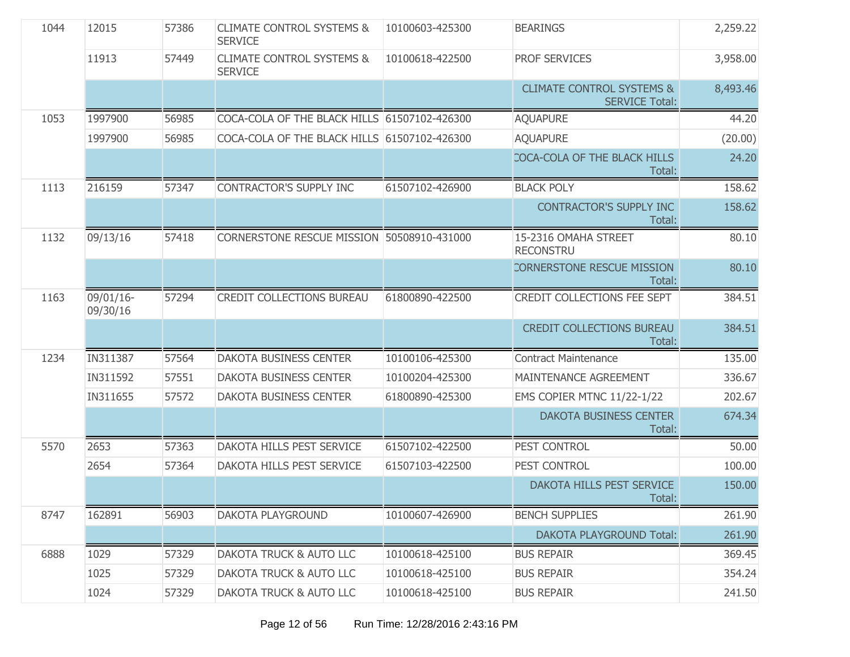| 1044 | 12015                 | 57386 | <b>CLIMATE CONTROL SYSTEMS &amp;</b><br><b>SERVICE</b> | 10100603-425300 | <b>BEARINGS</b>                                               | 2,259.22 |
|------|-----------------------|-------|--------------------------------------------------------|-----------------|---------------------------------------------------------------|----------|
|      | 11913                 | 57449 | <b>CLIMATE CONTROL SYSTEMS &amp;</b><br><b>SERVICE</b> | 10100618-422500 | <b>PROF SERVICES</b>                                          | 3,958.00 |
|      |                       |       |                                                        |                 | <b>CLIMATE CONTROL SYSTEMS &amp;</b><br><b>SERVICE Total:</b> | 8,493.46 |
| 1053 | 1997900               | 56985 | COCA-COLA OF THE BLACK HILLS 61507102-426300           |                 | <b>AQUAPURE</b>                                               | 44.20    |
|      | 1997900               | 56985 | COCA-COLA OF THE BLACK HILLS 61507102-426300           |                 | <b>AQUAPURE</b>                                               | (20.00)  |
|      |                       |       |                                                        |                 | COCA-COLA OF THE BLACK HILLS<br>Total:                        | 24.20    |
| 1113 | 216159                | 57347 | CONTRACTOR'S SUPPLY INC                                | 61507102-426900 | <b>BLACK POLY</b>                                             | 158.62   |
|      |                       |       |                                                        |                 | <b>CONTRACTOR'S SUPPLY INC</b><br>Total:                      | 158.62   |
| 1132 | 09/13/16              | 57418 | CORNERSTONE RESCUE MISSION 50508910-431000             |                 | 15-2316 OMAHA STREET<br><b>RECONSTRU</b>                      | 80.10    |
|      |                       |       |                                                        |                 | <b>CORNERSTONE RESCUE MISSION</b><br>Total:                   | 80.10    |
| 1163 | 09/01/16-<br>09/30/16 | 57294 | CREDIT COLLECTIONS BUREAU                              | 61800890-422500 | CREDIT COLLECTIONS FEE SEPT                                   | 384.51   |
|      |                       |       |                                                        |                 | <b>CREDIT COLLECTIONS BUREAU</b><br>Total:                    | 384.51   |
| 1234 | IN311387              | 57564 | <b>DAKOTA BUSINESS CENTER</b>                          | 10100106-425300 | <b>Contract Maintenance</b>                                   | 135.00   |
|      | IN311592              | 57551 | DAKOTA BUSINESS CENTER                                 | 10100204-425300 | <b>MAINTENANCE AGREEMENT</b>                                  | 336.67   |
|      | IN311655              | 57572 | <b>DAKOTA BUSINESS CENTER</b>                          | 61800890-425300 | <b>EMS COPIER MTNC 11/22-1/22</b>                             | 202.67   |
|      |                       |       |                                                        |                 | <b>DAKOTA BUSINESS CENTER</b><br>Total:                       | 674.34   |
| 5570 | 2653                  | 57363 | DAKOTA HILLS PEST SERVICE                              | 61507102-422500 | PEST CONTROL                                                  | 50.00    |
|      | 2654                  | 57364 | DAKOTA HILLS PEST SERVICE                              | 61507103-422500 | PEST CONTROL                                                  | 100.00   |
|      |                       |       |                                                        |                 | DAKOTA HILLS PEST SERVICE<br>Total:                           | 150.00   |
| 8747 | 162891                | 56903 | DAKOTA PLAYGROUND                                      | 10100607-426900 | <b>BENCH SUPPLIES</b>                                         | 261.90   |
|      |                       |       |                                                        |                 | <b>DAKOTA PLAYGROUND Total:</b>                               | 261.90   |
| 6888 | 1029                  | 57329 | <b>DAKOTA TRUCK &amp; AUTO LLC</b>                     | 10100618-425100 | <b>BUS REPAIR</b>                                             | 369.45   |
|      | 1025                  | 57329 | DAKOTA TRUCK & AUTO LLC                                | 10100618-425100 | <b>BUS REPAIR</b>                                             | 354.24   |
|      | 1024                  | 57329 | DAKOTA TRUCK & AUTO LLC                                | 10100618-425100 | <b>BUS REPAIR</b>                                             | 241.50   |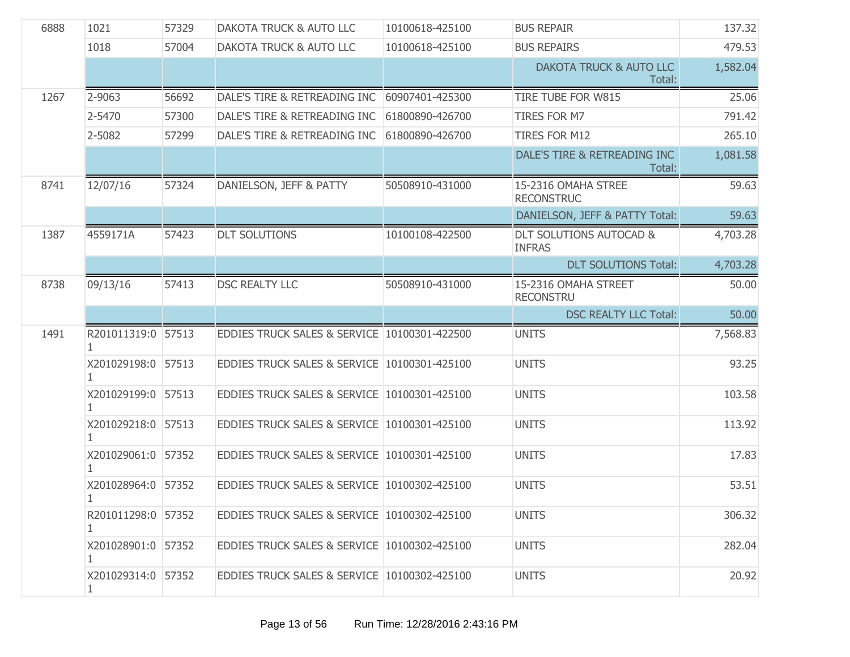| 6888 | 1021                    | 57329 | <b>DAKOTA TRUCK &amp; AUTO LLC</b>           | 10100618-425100 | <b>BUS REPAIR</b>                                   | 137.32   |
|------|-------------------------|-------|----------------------------------------------|-----------------|-----------------------------------------------------|----------|
|      | 1018                    | 57004 | <b>DAKOTA TRUCK &amp; AUTO LLC</b>           | 10100618-425100 | <b>BUS REPAIRS</b>                                  | 479.53   |
|      |                         |       |                                              |                 | DAKOTA TRUCK & AUTO LLC<br>Total:                   | 1,582.04 |
| 1267 | 2-9063                  | 56692 | DALE'S TIRE & RETREADING INC 60907401-425300 |                 | TIRE TUBE FOR W815                                  | 25.06    |
|      | 2-5470                  | 57300 | DALE'S TIRE & RETREADING INC                 | 61800890-426700 | TIRES FOR M7                                        | 791.42   |
|      | 2-5082                  | 57299 | DALE'S TIRE & RETREADING INC                 | 61800890-426700 | <b>TIRES FOR M12</b>                                | 265.10   |
|      |                         |       |                                              |                 | DALE'S TIRE & RETREADING INC<br>Total:              | 1,081.58 |
| 8741 | 12/07/16                | 57324 | DANIELSON, JEFF & PATTY                      | 50508910-431000 | 15-2316 OMAHA STREE<br><b>RECONSTRUC</b>            | 59.63    |
|      |                         |       |                                              |                 | DANIELSON, JEFF & PATTY Total:                      | 59.63    |
| 1387 | 4559171A                | 57423 | <b>DLT SOLUTIONS</b>                         | 10100108-422500 | <b>DLT SOLUTIONS AUTOCAD &amp;</b><br><b>INFRAS</b> | 4,703.28 |
|      |                         |       |                                              |                 | <b>DLT SOLUTIONS Total:</b>                         | 4,703.28 |
| 8738 | 09/13/16                | 57413 | <b>DSC REALTY LLC</b>                        | 50508910-431000 | 15-2316 OMAHA STREET<br><b>RECONSTRU</b>            | 50.00    |
|      |                         |       |                                              |                 |                                                     |          |
|      |                         |       |                                              |                 | <b>DSC REALTY LLC Total:</b>                        | 50.00    |
| 1491 | R201011319:0 57513<br>1 |       | EDDIES TRUCK SALES & SERVICE 10100301-422500 |                 | <b>UNITS</b>                                        | 7,568.83 |
|      | X201029198:0 57513      |       | EDDIES TRUCK SALES & SERVICE 10100301-425100 |                 | <b>UNITS</b>                                        | 93.25    |
|      | X201029199:0 57513<br>1 |       | EDDIES TRUCK SALES & SERVICE 10100301-425100 |                 | <b>UNITS</b>                                        | 103.58   |
|      | X201029218:0 57513      |       | EDDIES TRUCK SALES & SERVICE 10100301-425100 |                 | <b>UNITS</b>                                        | 113.92   |
|      | X201029061:0 57352      |       | EDDIES TRUCK SALES & SERVICE 10100301-425100 |                 | <b>UNITS</b>                                        | 17.83    |
|      | X201028964:0 57352      |       | EDDIES TRUCK SALES & SERVICE 10100302-425100 |                 | <b>UNITS</b>                                        | 53.51    |
|      | R201011298:0 57352      |       | EDDIES TRUCK SALES & SERVICE 10100302-425100 |                 | <b>UNITS</b>                                        | 306.32   |
|      | X201028901:0 57352<br>1 |       | EDDIES TRUCK SALES & SERVICE 10100302-425100 |                 | <b>UNITS</b>                                        | 282.04   |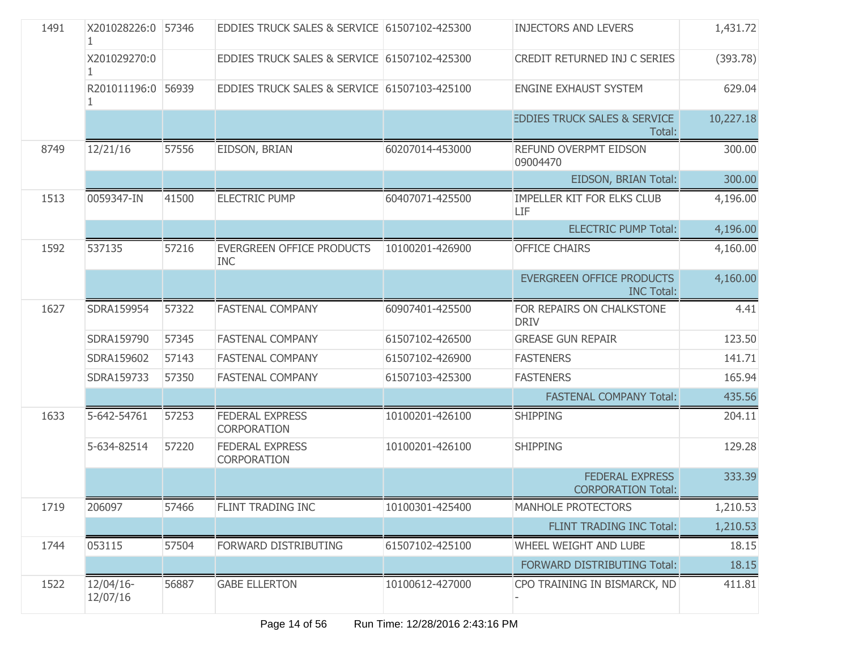| 1491 | X201028226:0 57346       |       | EDDIES TRUCK SALES & SERVICE 61507102-425300   |                 | <b>INJECTORS AND LEVERS</b>                         | 1,431.72  |
|------|--------------------------|-------|------------------------------------------------|-----------------|-----------------------------------------------------|-----------|
|      | X201029270:0             |       | EDDIES TRUCK SALES & SERVICE 61507102-425300   |                 | CREDIT RETURNED INJ C SERIES                        | (393.78)  |
|      | R201011196:0 56939       |       | EDDIES TRUCK SALES & SERVICE 61507103-425100   |                 | ENGINE EXHAUST SYSTEM                               | 629.04    |
|      |                          |       |                                                |                 | <b>EDDIES TRUCK SALES &amp; SERVICE</b><br>Total:   | 10,227.18 |
| 8749 | 12/21/16                 | 57556 | EIDSON, BRIAN                                  | 60207014-453000 | <b>REFUND OVERPMT EIDSON</b><br>09004470            | 300.00    |
|      |                          |       |                                                |                 | EIDSON, BRIAN Total:                                | 300.00    |
| 1513 | 0059347-IN               | 41500 | <b>ELECTRIC PUMP</b>                           | 60407071-425500 | IMPELLER KIT FOR ELKS CLUB<br>LIF                   | 4,196.00  |
|      |                          |       |                                                |                 | <b>ELECTRIC PUMP Total:</b>                         | 4,196.00  |
| 1592 | 537135                   | 57216 | <b>EVERGREEN OFFICE PRODUCTS</b><br><b>INC</b> | 10100201-426900 | <b>OFFICE CHAIRS</b>                                | 4,160.00  |
|      |                          |       |                                                |                 | EVERGREEN OFFICE PRODUCTS<br><b>INC Total:</b>      | 4,160.00  |
| 1627 | SDRA159954               | 57322 | <b>FASTENAL COMPANY</b>                        | 60907401-425500 | FOR REPAIRS ON CHALKSTONE<br><b>DRIV</b>            | 4.41      |
|      | SDRA159790               | 57345 | <b>FASTENAL COMPANY</b>                        | 61507102-426500 | <b>GREASE GUN REPAIR</b>                            | 123.50    |
|      | SDRA159602               | 57143 | <b>FASTENAL COMPANY</b>                        | 61507102-426900 | <b>FASTENERS</b>                                    | 141.71    |
|      | SDRA159733               | 57350 | <b>FASTENAL COMPANY</b>                        | 61507103-425300 | <b>FASTENERS</b>                                    | 165.94    |
|      |                          |       |                                                |                 | <b>FASTENAL COMPANY Total:</b>                      | 435.56    |
| 1633 | 5-642-54761              | 57253 | <b>FEDERAL EXPRESS</b><br>CORPORATION          | 10100201-426100 | <b>SHIPPING</b>                                     | 204.11    |
|      | 5-634-82514              | 57220 | <b>FEDERAL EXPRESS</b><br><b>CORPORATION</b>   | 10100201-426100 | <b>SHIPPING</b>                                     | 129.28    |
|      |                          |       |                                                |                 | <b>FEDERAL EXPRESS</b><br><b>CORPORATION Total:</b> | 333.39    |
| 1719 | 206097                   | 57466 | FLINT TRADING INC                              | 10100301-425400 | MANHOLE PROTECTORS                                  | 1,210.53  |
|      |                          |       |                                                |                 | FLINT TRADING INC Total:                            | 1,210.53  |
| 1744 | 053115                   | 57504 | FORWARD DISTRIBUTING                           | 61507102-425100 | WHEEL WEIGHT AND LUBE                               | 18.15     |
|      |                          |       |                                                |                 | FORWARD DISTRIBUTING Total:                         | 18.15     |
| 1522 | $12/04/16$ -<br>12/07/16 | 56887 | <b>GABE ELLERTON</b>                           | 10100612-427000 | CPO TRAINING IN BISMARCK, ND                        | 411.81    |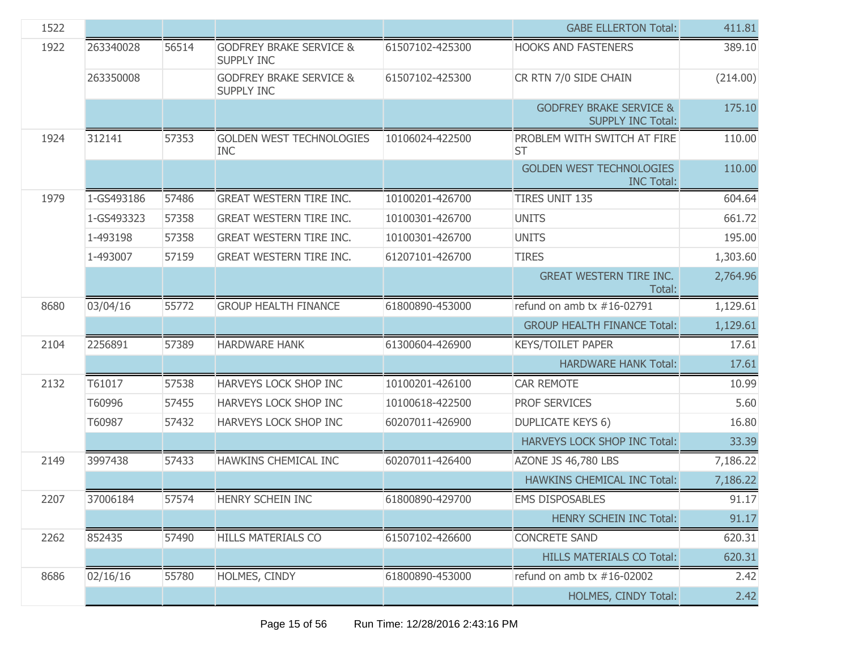| 1522 |            |       |                                                         |                 | <b>GABE ELLERTON Total:</b>                                    | 411.81   |
|------|------------|-------|---------------------------------------------------------|-----------------|----------------------------------------------------------------|----------|
| 1922 | 263340028  | 56514 | <b>GODFREY BRAKE SERVICE &amp;</b><br><b>SUPPLY INC</b> | 61507102-425300 | <b>HOOKS AND FASTENERS</b>                                     | 389.10   |
|      | 263350008  |       | <b>GODFREY BRAKE SERVICE &amp;</b><br><b>SUPPLY INC</b> | 61507102-425300 | CR RTN 7/0 SIDE CHAIN                                          | (214.00) |
|      |            |       |                                                         |                 | <b>GODFREY BRAKE SERVICE &amp;</b><br><b>SUPPLY INC Total:</b> | 175.10   |
| 1924 | 312141     | 57353 | <b>GOLDEN WEST TECHNOLOGIES</b><br><b>INC</b>           | 10106024-422500 | PROBLEM WITH SWITCH AT FIRE<br><b>ST</b>                       | 110.00   |
|      |            |       |                                                         |                 | <b>GOLDEN WEST TECHNOLOGIES</b><br><b>INC Total:</b>           | 110.00   |
| 1979 | 1-GS493186 | 57486 | <b>GREAT WESTERN TIRE INC.</b>                          | 10100201-426700 | <b>TIRES UNIT 135</b>                                          | 604.64   |
|      | 1-GS493323 | 57358 | <b>GREAT WESTERN TIRE INC.</b>                          | 10100301-426700 | <b>UNITS</b>                                                   | 661.72   |
|      | 1-493198   | 57358 | <b>GREAT WESTERN TIRE INC.</b>                          | 10100301-426700 | <b>UNITS</b>                                                   | 195.00   |
|      | 1-493007   | 57159 | <b>GREAT WESTERN TIRE INC.</b>                          | 61207101-426700 | <b>TIRES</b>                                                   | 1,303.60 |
|      |            |       |                                                         |                 | <b>GREAT WESTERN TIRE INC.</b><br>Total:                       | 2,764.96 |
| 8680 | 03/04/16   | 55772 | <b>GROUP HEALTH FINANCE</b>                             | 61800890-453000 | refund on amb $tx$ #16-02791                                   | 1,129.61 |
|      |            |       |                                                         |                 | <b>GROUP HEALTH FINANCE Total:</b>                             | 1,129.61 |
| 2104 | 2256891    | 57389 | <b>HARDWARE HANK</b>                                    | 61300604-426900 | <b>KEYS/TOILET PAPER</b>                                       | 17.61    |
|      |            |       |                                                         |                 | <b>HARDWARE HANK Total:</b>                                    | 17.61    |
| 2132 | T61017     | 57538 | HARVEYS LOCK SHOP INC                                   | 10100201-426100 | <b>CAR REMOTE</b>                                              | 10.99    |
|      | T60996     | 57455 | HARVEYS LOCK SHOP INC                                   | 10100618-422500 | PROF SERVICES                                                  | 5.60     |
|      | T60987     | 57432 | HARVEYS LOCK SHOP INC                                   | 60207011-426900 | <b>DUPLICATE KEYS 6)</b>                                       | 16.80    |
|      |            |       |                                                         |                 | HARVEYS LOCK SHOP INC Total:                                   | 33.39    |
| 2149 | 3997438    | 57433 | HAWKINS CHEMICAL INC                                    | 60207011-426400 | AZONE JS 46,780 LBS                                            | 7,186.22 |
|      |            |       |                                                         |                 | <b>HAWKINS CHEMICAL INC Total:</b>                             | 7,186.22 |
| 2207 | 37006184   | 57574 | HENRY SCHEIN INC                                        | 61800890-429700 | <b>EMS DISPOSABLES</b>                                         | 91.17    |
|      |            |       |                                                         |                 | <b>HENRY SCHEIN INC Total:</b>                                 | 91.17    |
| 2262 | 852435     | 57490 | HILLS MATERIALS CO                                      | 61507102-426600 | <b>CONCRETE SAND</b>                                           | 620.31   |
|      |            |       |                                                         |                 | <b>HILLS MATERIALS CO Total:</b>                               | 620.31   |
| 8686 | 02/16/16   | 55780 | HOLMES, CINDY                                           | 61800890-453000 | refund on amb $tx$ #16-02002                                   | 2.42     |
|      |            |       |                                                         |                 | HOLMES, CINDY Total:                                           | 2.42     |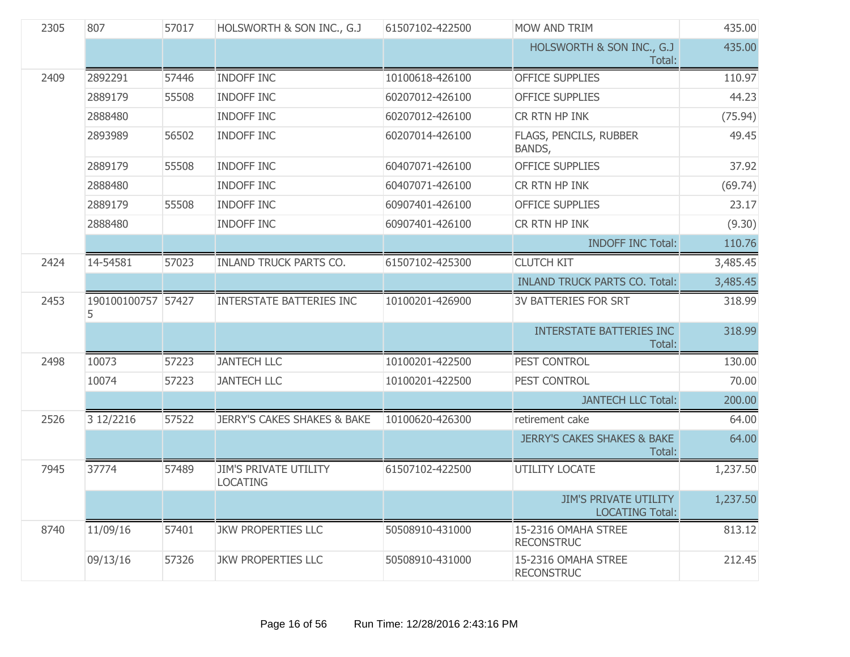| 2305 | 807                      | 57017 | HOLSWORTH & SON INC., G.J                       | 61507102-422500 | MOW AND TRIM                                           | 435.00   |
|------|--------------------------|-------|-------------------------------------------------|-----------------|--------------------------------------------------------|----------|
|      |                          |       |                                                 |                 | HOLSWORTH & SON INC., G.J<br>Total:                    | 435.00   |
| 2409 | 2892291                  | 57446 | <b>INDOFF INC</b>                               | 10100618-426100 | <b>OFFICE SUPPLIES</b>                                 | 110.97   |
|      | 2889179                  | 55508 | <b>INDOFF INC</b>                               | 60207012-426100 | <b>OFFICE SUPPLIES</b>                                 | 44.23    |
|      | 2888480                  |       | <b>INDOFF INC</b>                               | 60207012-426100 | CR RTN HP INK                                          | (75.94)  |
|      | 2893989                  | 56502 | <b>INDOFF INC</b>                               | 60207014-426100 | FLAGS, PENCILS, RUBBER<br>BANDS,                       | 49.45    |
|      | 2889179                  | 55508 | <b>INDOFF INC</b>                               | 60407071-426100 | <b>OFFICE SUPPLIES</b>                                 | 37.92    |
|      | 2888480                  |       | <b>INDOFF INC</b>                               | 60407071-426100 | CR RTN HP INK                                          | (69.74)  |
|      | 2889179                  | 55508 | <b>INDOFF INC</b>                               | 60907401-426100 | <b>OFFICE SUPPLIES</b>                                 | 23.17    |
|      | 2888480                  |       | <b>INDOFF INC</b>                               | 60907401-426100 | CR RTN HP INK                                          | (9.30)   |
|      |                          |       |                                                 |                 | <b>INDOFF INC Total:</b>                               | 110.76   |
| 2424 | 14-54581                 | 57023 | <b>INLAND TRUCK PARTS CO.</b>                   | 61507102-425300 | <b>CLUTCH KIT</b>                                      | 3,485.45 |
|      |                          |       |                                                 |                 | <b>INLAND TRUCK PARTS CO. Total:</b>                   | 3,485.45 |
| 2453 | 190100100757 57427<br>5. |       | <b>INTERSTATE BATTERIES INC</b>                 | 10100201-426900 | <b>3V BATTERIES FOR SRT</b>                            | 318.99   |
|      |                          |       |                                                 |                 | <b>INTERSTATE BATTERIES INC</b><br>Total:              | 318.99   |
| 2498 | 10073                    | 57223 | <b>JANTECH LLC</b>                              | 10100201-422500 | PEST CONTROL                                           | 130.00   |
|      | 10074                    | 57223 | <b>JANTECH LLC</b>                              | 10100201-422500 | PEST CONTROL                                           | 70.00    |
|      |                          |       |                                                 |                 | <b>JANTECH LLC Total:</b>                              | 200.00   |
| 2526 | 3 12/2216                | 57522 | <b>JERRY'S CAKES SHAKES &amp; BAKE</b>          | 10100620-426300 | retirement cake                                        | 64.00    |
|      |                          |       |                                                 |                 | <b>JERRY'S CAKES SHAKES &amp; BAKE</b><br>Total:       | 64.00    |
| 7945 | 37774                    | 57489 | <b>JIM'S PRIVATE UTILITY</b><br><b>LOCATING</b> | 61507102-422500 | UTILITY LOCATE                                         | 1,237.50 |
|      |                          |       |                                                 |                 | <b>JIM'S PRIVATE UTILITY</b><br><b>LOCATING Total:</b> | 1,237.50 |
| 8740 | 11/09/16                 | 57401 | <b>JKW PROPERTIES LLC</b>                       | 50508910-431000 | 15-2316 OMAHA STREE<br><b>RECONSTRUC</b>               | 813.12   |
|      | 09/13/16                 | 57326 | <b>JKW PROPERTIES LLC</b>                       | 50508910-431000 | 15-2316 OMAHA STREE<br><b>RECONSTRUC</b>               | 212.45   |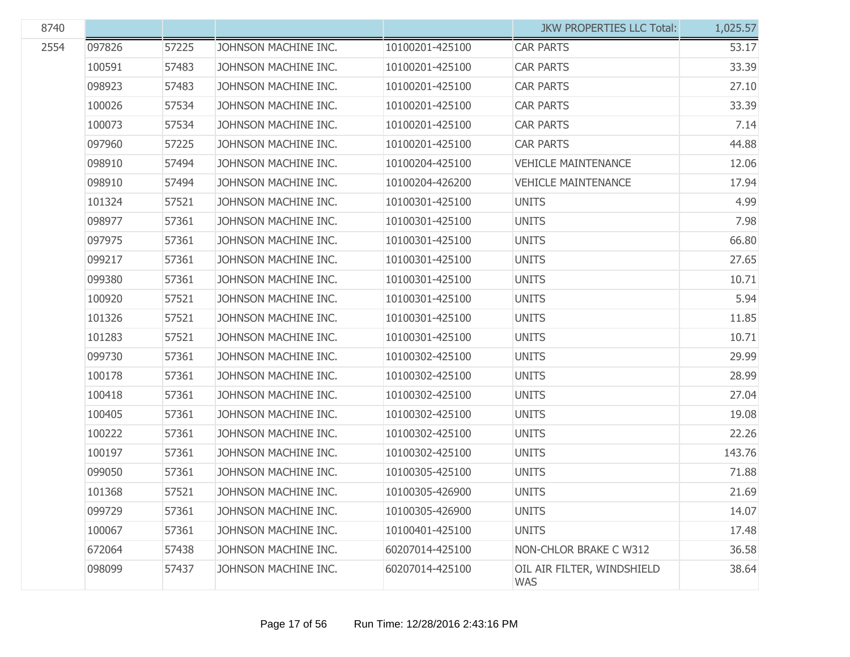| 8740 |        |       |                      |                 | <b>JKW PROPERTIES LLC Total:</b>         | 1,025.57 |
|------|--------|-------|----------------------|-----------------|------------------------------------------|----------|
| 2554 | 097826 | 57225 | JOHNSON MACHINE INC. | 10100201-425100 | <b>CAR PARTS</b>                         | 53.17    |
|      | 100591 | 57483 | JOHNSON MACHINE INC. | 10100201-425100 | <b>CAR PARTS</b>                         | 33.39    |
|      | 098923 | 57483 | JOHNSON MACHINE INC. | 10100201-425100 | <b>CAR PARTS</b>                         | 27.10    |
|      | 100026 | 57534 | JOHNSON MACHINE INC. | 10100201-425100 | <b>CAR PARTS</b>                         | 33.39    |
|      | 100073 | 57534 | JOHNSON MACHINE INC. | 10100201-425100 | <b>CAR PARTS</b>                         | 7.14     |
|      | 097960 | 57225 | JOHNSON MACHINE INC. | 10100201-425100 | <b>CAR PARTS</b>                         | 44.88    |
|      | 098910 | 57494 | JOHNSON MACHINE INC. | 10100204-425100 | <b>VEHICLE MAINTENANCE</b>               | 12.06    |
|      | 098910 | 57494 | JOHNSON MACHINE INC. | 10100204-426200 | <b>VEHICLE MAINTENANCE</b>               | 17.94    |
|      | 101324 | 57521 | JOHNSON MACHINE INC. | 10100301-425100 | <b>UNITS</b>                             | 4.99     |
|      | 098977 | 57361 | JOHNSON MACHINE INC. | 10100301-425100 | <b>UNITS</b>                             | 7.98     |
|      | 097975 | 57361 | JOHNSON MACHINE INC. | 10100301-425100 | <b>UNITS</b>                             | 66.80    |
|      | 099217 | 57361 | JOHNSON MACHINE INC. | 10100301-425100 | <b>UNITS</b>                             | 27.65    |
|      | 099380 | 57361 | JOHNSON MACHINE INC. | 10100301-425100 | <b>UNITS</b>                             | 10.71    |
|      | 100920 | 57521 | JOHNSON MACHINE INC. | 10100301-425100 | <b>UNITS</b>                             | 5.94     |
|      | 101326 | 57521 | JOHNSON MACHINE INC. | 10100301-425100 | <b>UNITS</b>                             | 11.85    |
|      | 101283 | 57521 | JOHNSON MACHINE INC. | 10100301-425100 | <b>UNITS</b>                             | 10.71    |
|      | 099730 | 57361 | JOHNSON MACHINE INC. | 10100302-425100 | <b>UNITS</b>                             | 29.99    |
|      | 100178 | 57361 | JOHNSON MACHINE INC. | 10100302-425100 | <b>UNITS</b>                             | 28.99    |
|      | 100418 | 57361 | JOHNSON MACHINE INC. | 10100302-425100 | <b>UNITS</b>                             | 27.04    |
|      | 100405 | 57361 | JOHNSON MACHINE INC. | 10100302-425100 | <b>UNITS</b>                             | 19.08    |
|      | 100222 | 57361 | JOHNSON MACHINE INC. | 10100302-425100 | <b>UNITS</b>                             | 22.26    |
|      | 100197 | 57361 | JOHNSON MACHINE INC. | 10100302-425100 | <b>UNITS</b>                             | 143.76   |
|      | 099050 | 57361 | JOHNSON MACHINE INC. | 10100305-425100 | <b>UNITS</b>                             | 71.88    |
|      | 101368 | 57521 | JOHNSON MACHINE INC. | 10100305-426900 | <b>UNITS</b>                             | 21.69    |
|      | 099729 | 57361 | JOHNSON MACHINE INC. | 10100305-426900 | <b>UNITS</b>                             | 14.07    |
|      | 100067 | 57361 | JOHNSON MACHINE INC. | 10100401-425100 | <b>UNITS</b>                             | 17.48    |
|      | 672064 | 57438 | JOHNSON MACHINE INC. | 60207014-425100 | NON-CHLOR BRAKE C W312                   | 36.58    |
|      | 098099 | 57437 | JOHNSON MACHINE INC. | 60207014-425100 | OIL AIR FILTER, WINDSHIELD<br><b>WAS</b> | 38.64    |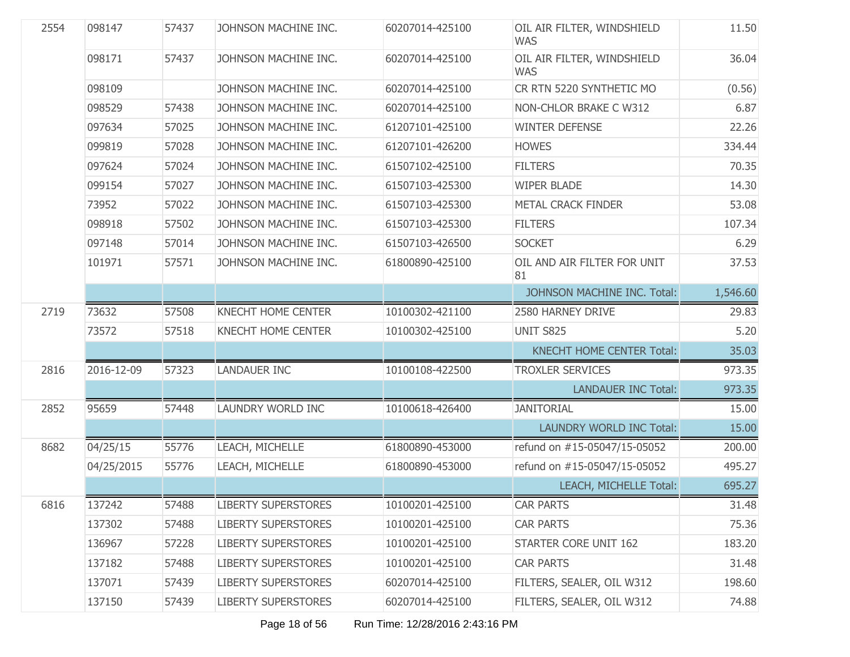| 2554 | 098147     | 57437 | JOHNSON MACHINE INC.       | 60207014-425100 | OIL AIR FILTER, WINDSHIELD<br><b>WAS</b> | 11.50    |
|------|------------|-------|----------------------------|-----------------|------------------------------------------|----------|
|      | 098171     | 57437 | JOHNSON MACHINE INC.       | 60207014-425100 | OIL AIR FILTER, WINDSHIELD<br><b>WAS</b> | 36.04    |
|      | 098109     |       | JOHNSON MACHINE INC.       | 60207014-425100 | CR RTN 5220 SYNTHETIC MO                 | (0.56)   |
|      | 098529     | 57438 | JOHNSON MACHINE INC.       | 60207014-425100 | NON-CHLOR BRAKE C W312                   | 6.87     |
|      | 097634     | 57025 | JOHNSON MACHINE INC.       | 61207101-425100 | <b>WINTER DEFENSE</b>                    | 22.26    |
|      | 099819     | 57028 | JOHNSON MACHINE INC.       | 61207101-426200 | <b>HOWES</b>                             | 334.44   |
|      | 097624     | 57024 | JOHNSON MACHINE INC.       | 61507102-425100 | <b>FILTERS</b>                           | 70.35    |
|      | 099154     | 57027 | JOHNSON MACHINE INC.       | 61507103-425300 | <b>WIPER BLADE</b>                       | 14.30    |
|      | 73952      | 57022 | JOHNSON MACHINE INC.       | 61507103-425300 | <b>METAL CRACK FINDER</b>                | 53.08    |
|      | 098918     | 57502 | JOHNSON MACHINE INC.       | 61507103-425300 | <b>FILTERS</b>                           | 107.34   |
|      | 097148     | 57014 | JOHNSON MACHINE INC.       | 61507103-426500 | <b>SOCKET</b>                            | 6.29     |
|      | 101971     | 57571 | JOHNSON MACHINE INC.       | 61800890-425100 | OIL AND AIR FILTER FOR UNIT<br>81        | 37.53    |
|      |            |       |                            |                 | JOHNSON MACHINE INC. Total:              | 1,546.60 |
| 2719 | 73632      | 57508 | <b>KNECHT HOME CENTER</b>  | 10100302-421100 | 2580 HARNEY DRIVE                        | 29.83    |
|      | 73572      | 57518 | KNECHT HOME CENTER         | 10100302-425100 | <b>UNIT S825</b>                         | 5.20     |
|      |            |       |                            |                 | <b>KNECHT HOME CENTER Total:</b>         | 35.03    |
| 2816 | 2016-12-09 | 57323 | <b>LANDAUER INC</b>        | 10100108-422500 | <b>TROXLER SERVICES</b>                  | 973.35   |
|      |            |       |                            |                 | <b>LANDAUER INC Total:</b>               | 973.35   |
| 2852 | 95659      | 57448 | LAUNDRY WORLD INC          | 10100618-426400 | <b>JANITORIAL</b>                        | 15.00    |
|      |            |       |                            |                 | LAUNDRY WORLD INC Total:                 | 15.00    |
| 8682 | 04/25/15   | 55776 | LEACH, MICHELLE            | 61800890-453000 | refund on #15-05047/15-05052             | 200.00   |
|      | 04/25/2015 | 55776 | LEACH, MICHELLE            | 61800890-453000 | refund on #15-05047/15-05052             | 495.27   |
|      |            |       |                            |                 | LEACH, MICHELLE Total:                   | 695.27   |
| 6816 | 137242     | 57488 | <b>LIBERTY SUPERSTORES</b> | 10100201-425100 | <b>CAR PARTS</b>                         | 31.48    |
|      | 137302     | 57488 | <b>LIBERTY SUPERSTORES</b> | 10100201-425100 | <b>CAR PARTS</b>                         | 75.36    |
|      | 136967     | 57228 | <b>LIBERTY SUPERSTORES</b> | 10100201-425100 | STARTER CORE UNIT 162                    | 183.20   |
|      | 137182     | 57488 | <b>LIBERTY SUPERSTORES</b> | 10100201-425100 | <b>CAR PARTS</b>                         | 31.48    |
|      | 137071     | 57439 | <b>LIBERTY SUPERSTORES</b> | 60207014-425100 | FILTERS, SEALER, OIL W312                | 198.60   |
|      | 137150     | 57439 | <b>LIBERTY SUPERSTORES</b> | 60207014-425100 | FILTERS, SEALER, OIL W312                | 74.88    |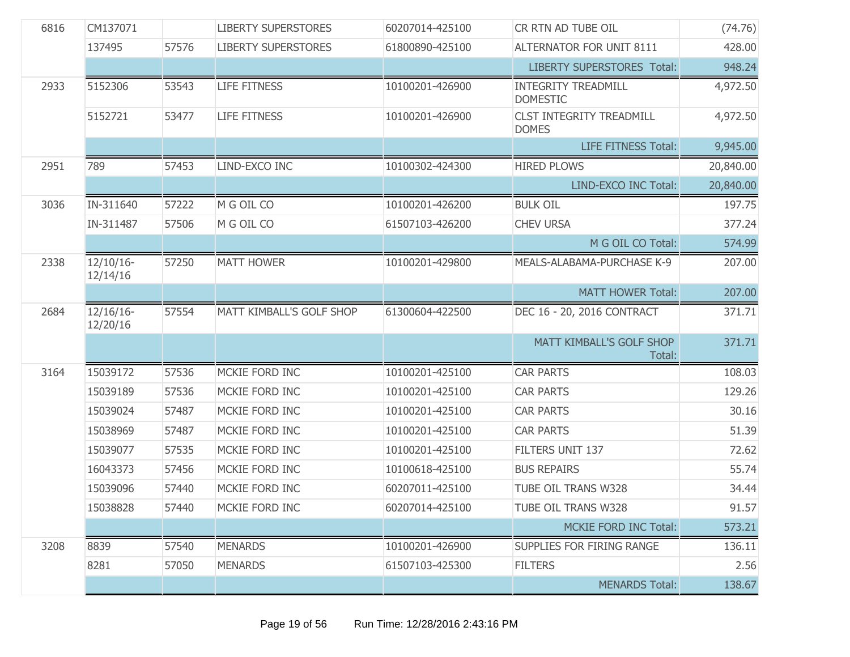| 6816 | CM137071                 |       | <b>LIBERTY SUPERSTORES</b> | 60207014-425100 | CR RTN AD TUBE OIL                              | (74.76)   |
|------|--------------------------|-------|----------------------------|-----------------|-------------------------------------------------|-----------|
|      | 137495                   | 57576 | <b>LIBERTY SUPERSTORES</b> | 61800890-425100 | ALTERNATOR FOR UNIT 8111                        | 428.00    |
|      |                          |       |                            |                 | <b>LIBERTY SUPERSTORES Total:</b>               | 948.24    |
| 2933 | 5152306                  | 53543 | <b>LIFE FITNESS</b>        | 10100201-426900 | <b>INTEGRITY TREADMILL</b><br><b>DOMESTIC</b>   | 4,972.50  |
|      | 5152721                  | 53477 | <b>LIFE FITNESS</b>        | 10100201-426900 | <b>CLST INTEGRITY TREADMILL</b><br><b>DOMES</b> | 4,972.50  |
|      |                          |       |                            |                 | <b>LIFE FITNESS Total:</b>                      | 9,945.00  |
| 2951 | 789                      | 57453 | LIND-EXCO INC              | 10100302-424300 | <b>HIRED PLOWS</b>                              | 20,840.00 |
|      |                          |       |                            |                 | LIND-EXCO INC Total:                            | 20,840.00 |
| 3036 | IN-311640                | 57222 | M G OIL CO                 | 10100201-426200 | <b>BULK OIL</b>                                 | 197.75    |
|      | IN-311487                | 57506 | M G OIL CO                 | 61507103-426200 | <b>CHEV URSA</b>                                | 377.24    |
|      |                          |       |                            |                 | M G OIL CO Total:                               | 574.99    |
| 2338 | $12/10/16$ -<br>12/14/16 | 57250 | <b>MATT HOWER</b>          | 10100201-429800 | MEALS-ALABAMA-PURCHASE K-9                      | 207.00    |
|      |                          |       |                            |                 | <b>MATT HOWER Total:</b>                        | 207.00    |
| 2684 | $12/16/16$ -<br>12/20/16 | 57554 | MATT KIMBALL'S GOLF SHOP   | 61300604-422500 | DEC 16 - 20, 2016 CONTRACT                      | 371.71    |
|      |                          |       |                            |                 | MATT KIMBALL'S GOLF SHOP<br>Total:              | 371.71    |
| 3164 | 15039172                 | 57536 | MCKIE FORD INC             | 10100201-425100 | <b>CAR PARTS</b>                                | 108.03    |
|      | 15039189                 | 57536 | MCKIE FORD INC             | 10100201-425100 | <b>CAR PARTS</b>                                | 129.26    |
|      | 15039024                 | 57487 | MCKIE FORD INC             | 10100201-425100 | <b>CAR PARTS</b>                                | 30.16     |
|      | 15038969                 | 57487 | MCKIE FORD INC             | 10100201-425100 | <b>CAR PARTS</b>                                | 51.39     |
|      | 15039077                 | 57535 | MCKIE FORD INC             | 10100201-425100 | <b>FILTERS UNIT 137</b>                         | 72.62     |
|      | 16043373                 | 57456 | MCKIE FORD INC             | 10100618-425100 | <b>BUS REPAIRS</b>                              | 55.74     |
|      | 15039096                 | 57440 | MCKIE FORD INC             | 60207011-425100 | TUBE OIL TRANS W328                             | 34.44     |
|      | 15038828                 | 57440 | MCKIE FORD INC             | 60207014-425100 | TUBE OIL TRANS W328                             | 91.57     |
|      |                          |       |                            |                 | <b>MCKIE FORD INC Total:</b>                    | 573.21    |
| 3208 | 8839                     | 57540 | <b>MENARDS</b>             | 10100201-426900 | SUPPLIES FOR FIRING RANGE                       | 136.11    |
|      | 8281                     | 57050 | <b>MENARDS</b>             | 61507103-425300 | <b>FILTERS</b>                                  | 2.56      |
|      |                          |       |                            |                 | <b>MENARDS Total:</b>                           | 138.67    |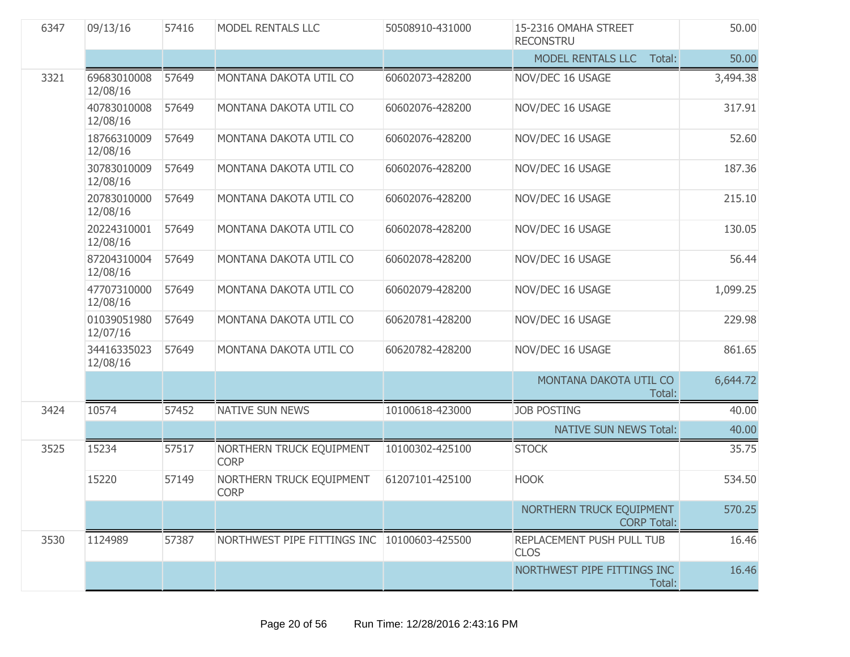| 6347 | 09/13/16                | 57416 | MODEL RENTALS LLC                           | 50508910-431000 | 15-2316 OMAHA STREET<br><b>RECONSTRU</b>       | 50.00    |
|------|-------------------------|-------|---------------------------------------------|-----------------|------------------------------------------------|----------|
|      |                         |       |                                             |                 | MODEL RENTALS LLC<br>Total:                    | 50.00    |
| 3321 | 69683010008<br>12/08/16 | 57649 | MONTANA DAKOTA UTIL CO                      | 60602073-428200 | NOV/DEC 16 USAGE                               | 3,494.38 |
|      | 40783010008<br>12/08/16 | 57649 | MONTANA DAKOTA UTIL CO                      | 60602076-428200 | NOV/DEC 16 USAGE                               | 317.91   |
|      | 18766310009<br>12/08/16 | 57649 | MONTANA DAKOTA UTIL CO                      | 60602076-428200 | NOV/DEC 16 USAGE                               | 52.60    |
|      | 30783010009<br>12/08/16 | 57649 | MONTANA DAKOTA UTIL CO                      | 60602076-428200 | NOV/DEC 16 USAGE                               | 187.36   |
|      | 20783010000<br>12/08/16 | 57649 | MONTANA DAKOTA UTIL CO                      | 60602076-428200 | NOV/DEC 16 USAGE                               | 215.10   |
|      | 20224310001<br>12/08/16 | 57649 | MONTANA DAKOTA UTIL CO                      | 60602078-428200 | NOV/DEC 16 USAGE                               | 130.05   |
|      | 87204310004<br>12/08/16 | 57649 | MONTANA DAKOTA UTIL CO                      | 60602078-428200 | NOV/DEC 16 USAGE                               | 56.44    |
|      | 47707310000<br>12/08/16 | 57649 | MONTANA DAKOTA UTIL CO                      | 60602079-428200 | NOV/DEC 16 USAGE                               | 1,099.25 |
|      | 01039051980<br>12/07/16 | 57649 | MONTANA DAKOTA UTIL CO                      | 60620781-428200 | NOV/DEC 16 USAGE                               | 229.98   |
|      | 34416335023<br>12/08/16 | 57649 | MONTANA DAKOTA UTIL CO                      | 60620782-428200 | NOV/DEC 16 USAGE                               | 861.65   |
|      |                         |       |                                             |                 | MONTANA DAKOTA UTIL CO<br>Total:               | 6,644.72 |
| 3424 | 10574                   | 57452 | NATIVE SUN NEWS                             | 10100618-423000 | <b>JOB POSTING</b>                             | 40.00    |
|      |                         |       |                                             |                 | <b>NATIVE SUN NEWS Total:</b>                  | 40.00    |
| 3525 | 15234                   | 57517 | NORTHERN TRUCK EQUIPMENT<br><b>CORP</b>     | 10100302-425100 | <b>STOCK</b>                                   | 35.75    |
|      | 15220                   | 57149 | NORTHERN TRUCK EQUIPMENT<br><b>CORP</b>     | 61207101-425100 | <b>HOOK</b>                                    | 534.50   |
|      |                         |       |                                             |                 | NORTHERN TRUCK EQUIPMENT<br><b>CORP Total:</b> | 570.25   |
| 3530 | 1124989                 | 57387 | NORTHWEST PIPE FITTINGS INC 10100603-425500 |                 | REPLACEMENT PUSH PULL TUB<br><b>CLOS</b>       | 16.46    |
|      |                         |       |                                             |                 | NORTHWEST PIPE FITTINGS INC<br>Total:          | 16.46    |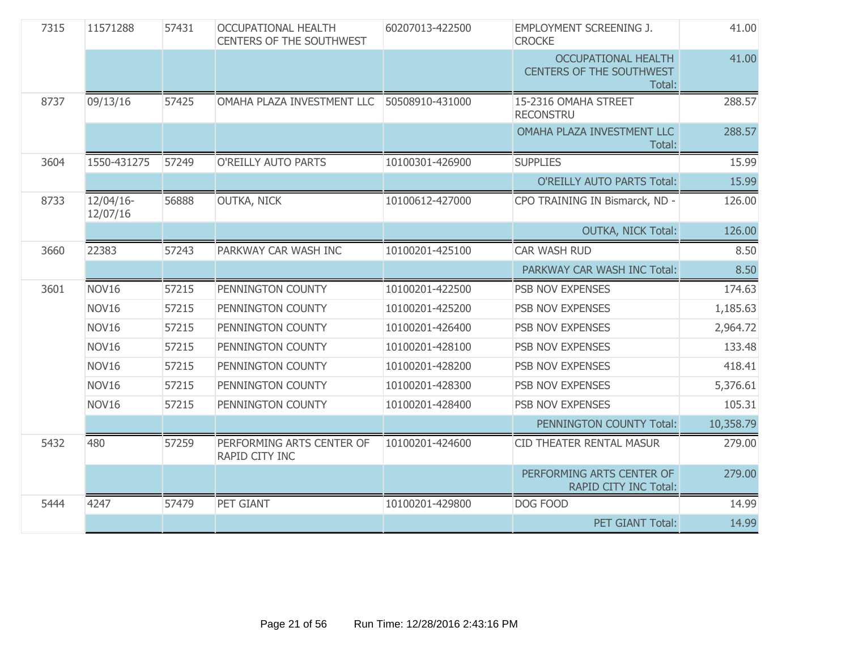| 7315 | 11571288              | 57431 | <b>OCCUPATIONAL HEALTH</b><br><b>CENTERS OF THE SOUTHWEST</b> | 60207013-422500 | EMPLOYMENT SCREENING J.<br><b>CROCKE</b>                                | 41.00     |
|------|-----------------------|-------|---------------------------------------------------------------|-----------------|-------------------------------------------------------------------------|-----------|
|      |                       |       |                                                               |                 | <b>OCCUPATIONAL HEALTH</b><br><b>CENTERS OF THE SOUTHWEST</b><br>Total: | 41.00     |
| 8737 | 09/13/16              | 57425 | OMAHA PLAZA INVESTMENT LLC                                    | 50508910-431000 | 15-2316 OMAHA STREET<br><b>RECONSTRU</b>                                | 288.57    |
|      |                       |       |                                                               |                 | OMAHA PLAZA INVESTMENT LLC<br>Total:                                    | 288.57    |
| 3604 | 1550-431275           | 57249 | O'REILLY AUTO PARTS                                           | 10100301-426900 | <b>SUPPLIES</b>                                                         | 15.99     |
|      |                       |       |                                                               |                 | <b>O'REILLY AUTO PARTS Total:</b>                                       | 15.99     |
| 8733 | 12/04/16-<br>12/07/16 | 56888 | <b>OUTKA, NICK</b>                                            | 10100612-427000 | CPO TRAINING IN Bismarck, ND -                                          | 126.00    |
|      |                       |       |                                                               |                 | <b>OUTKA, NICK Total:</b>                                               | 126.00    |
| 3660 | 22383                 | 57243 | PARKWAY CAR WASH INC                                          | 10100201-425100 | CAR WASH RUD                                                            | 8.50      |
|      |                       |       |                                                               |                 | PARKWAY CAR WASH INC Total:                                             | 8.50      |
| 3601 | NOV <sub>16</sub>     | 57215 | PENNINGTON COUNTY                                             | 10100201-422500 | PSB NOV EXPENSES                                                        | 174.63    |
|      | NOV16                 | 57215 | PENNINGTON COUNTY                                             | 10100201-425200 | PSB NOV EXPENSES                                                        | 1,185.63  |
|      | NOV16                 | 57215 | PENNINGTON COUNTY                                             | 10100201-426400 | PSB NOV EXPENSES                                                        | 2,964.72  |
|      | NOV16                 | 57215 | PENNINGTON COUNTY                                             | 10100201-428100 | PSB NOV EXPENSES                                                        | 133.48    |
|      | NOV <sub>16</sub>     | 57215 | PENNINGTON COUNTY                                             | 10100201-428200 | PSB NOV EXPENSES                                                        | 418.41    |
|      | NOV16                 | 57215 | PENNINGTON COUNTY                                             | 10100201-428300 | PSB NOV EXPENSES                                                        | 5,376.61  |
|      | NOV16                 | 57215 | PENNINGTON COUNTY                                             | 10100201-428400 | PSB NOV EXPENSES                                                        | 105.31    |
|      |                       |       |                                                               |                 | PENNINGTON COUNTY Total:                                                | 10,358.79 |
| 5432 | 480                   | 57259 | PERFORMING ARTS CENTER OF<br>RAPID CITY INC                   | 10100201-424600 | <b>CID THEATER RENTAL MASUR</b>                                         | 279.00    |
|      |                       |       |                                                               |                 | PERFORMING ARTS CENTER OF<br>RAPID CITY INC Total:                      | 279.00    |
| 5444 | 4247                  | 57479 | <b>PET GIANT</b>                                              | 10100201-429800 | DOG FOOD                                                                | 14.99     |
|      |                       |       |                                                               |                 | PET GIANT Total:                                                        | 14.99     |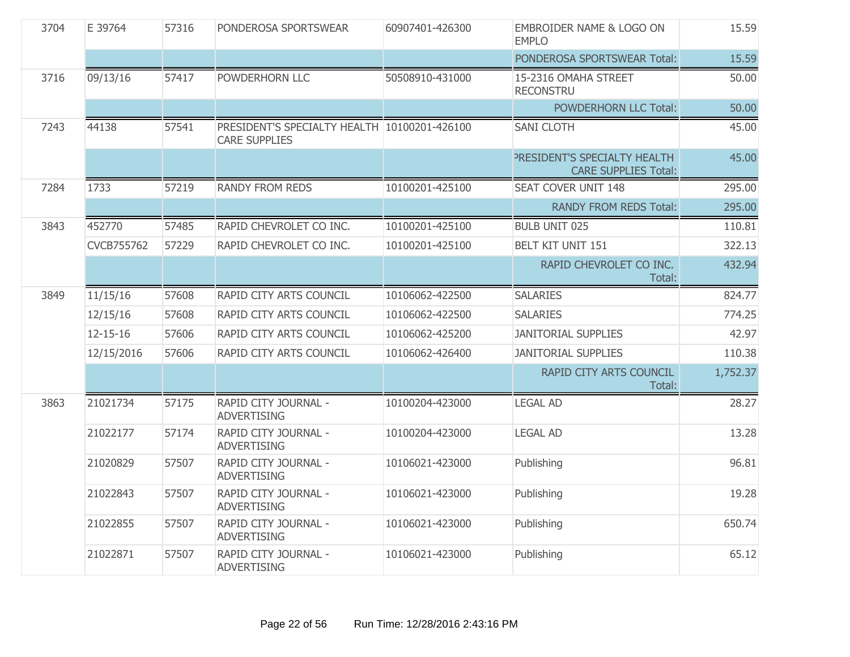| 3704 | E 39764           | 57316 | PONDEROSA SPORTSWEAR                                                 | 60907401-426300 | EMBROIDER NAME & LOGO ON<br><b>EMPLO</b>                    | 15.59    |
|------|-------------------|-------|----------------------------------------------------------------------|-----------------|-------------------------------------------------------------|----------|
|      |                   |       |                                                                      |                 | PONDEROSA SPORTSWEAR Total:                                 | 15.59    |
| 3716 | 09/13/16          | 57417 | POWDERHORN LLC                                                       | 50508910-431000 | 15-2316 OMAHA STREET<br><b>RECONSTRU</b>                    | 50.00    |
|      |                   |       |                                                                      |                 | <b>POWDERHORN LLC Total:</b>                                | 50.00    |
| 7243 | 44138             | 57541 | PRESIDENT'S SPECIALTY HEALTH 10100201-426100<br><b>CARE SUPPLIES</b> |                 | <b>SANI CLOTH</b>                                           | 45.00    |
|      |                   |       |                                                                      |                 | PRESIDENT'S SPECIALTY HEALTH<br><b>CARE SUPPLIES Total:</b> | 45.00    |
| 7284 | 1733              | 57219 | <b>RANDY FROM REDS</b>                                               | 10100201-425100 | <b>SEAT COVER UNIT 148</b>                                  | 295.00   |
|      |                   |       |                                                                      |                 | <b>RANDY FROM REDS Total:</b>                               | 295.00   |
| 3843 | 452770            | 57485 | RAPID CHEVROLET CO INC.                                              | 10100201-425100 | <b>BULB UNIT 025</b>                                        | 110.81   |
|      | <b>CVCB755762</b> | 57229 | RAPID CHEVROLET CO INC.                                              | 10100201-425100 | <b>BELT KIT UNIT 151</b>                                    | 322.13   |
|      |                   |       |                                                                      |                 | RAPID CHEVROLET CO INC.<br>Total:                           | 432.94   |
| 3849 | 11/15/16          | 57608 | RAPID CITY ARTS COUNCIL                                              | 10106062-422500 | <b>SALARIES</b>                                             | 824.77   |
|      | 12/15/16          | 57608 | RAPID CITY ARTS COUNCIL                                              | 10106062-422500 | <b>SALARIES</b>                                             | 774.25   |
|      | $12 - 15 - 16$    | 57606 | RAPID CITY ARTS COUNCIL                                              | 10106062-425200 | <b>JANITORIAL SUPPLIES</b>                                  | 42.97    |
|      | 12/15/2016        | 57606 | RAPID CITY ARTS COUNCIL                                              | 10106062-426400 | <b>JANITORIAL SUPPLIES</b>                                  | 110.38   |
|      |                   |       |                                                                      |                 | RAPID CITY ARTS COUNCIL<br>Total:                           | 1,752.37 |
| 3863 | 21021734          | 57175 | RAPID CITY JOURNAL -<br><b>ADVERTISING</b>                           | 10100204-423000 | <b>LEGAL AD</b>                                             | 28.27    |
|      | 21022177          | 57174 | RAPID CITY JOURNAL -<br><b>ADVERTISING</b>                           | 10100204-423000 | <b>LEGAL AD</b>                                             | 13.28    |
|      | 21020829          | 57507 | RAPID CITY JOURNAL -<br><b>ADVERTISING</b>                           | 10106021-423000 | Publishing                                                  | 96.81    |
|      | 21022843          | 57507 | RAPID CITY JOURNAL -<br><b>ADVERTISING</b>                           | 10106021-423000 | Publishing                                                  | 19.28    |
|      | 21022855          | 57507 | RAPID CITY JOURNAL -<br><b>ADVERTISING</b>                           | 10106021-423000 | Publishing                                                  | 650.74   |
|      | 21022871          | 57507 | RAPID CITY JOURNAL -<br><b>ADVERTISING</b>                           | 10106021-423000 | Publishing                                                  | 65.12    |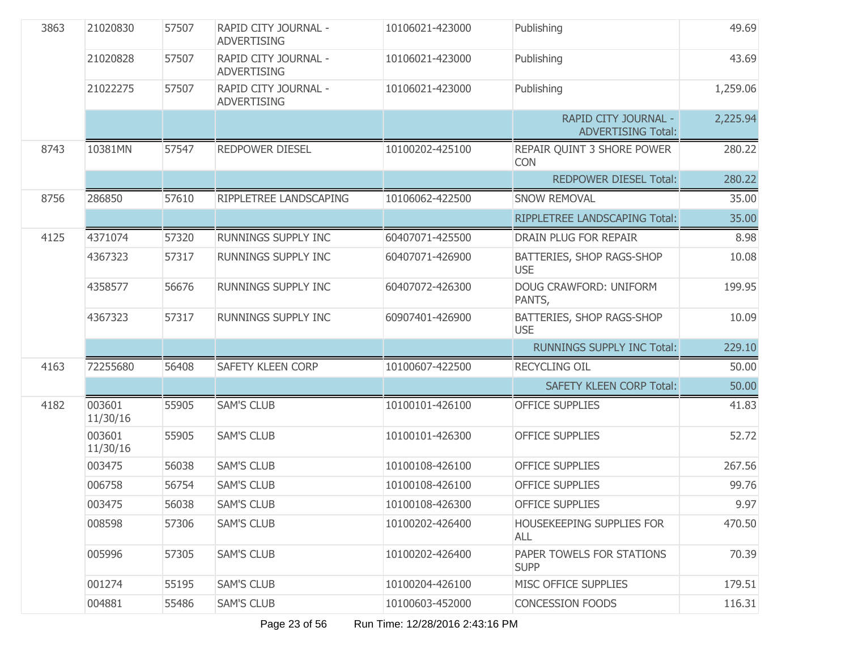| 3863 | 21020830           | 57507 | RAPID CITY JOURNAL -<br><b>ADVERTISING</b> | 10106021-423000 | Publishing                                        | 49.69    |
|------|--------------------|-------|--------------------------------------------|-----------------|---------------------------------------------------|----------|
|      | 21020828           | 57507 | RAPID CITY JOURNAL -<br><b>ADVERTISING</b> | 10106021-423000 | Publishing                                        | 43.69    |
|      | 21022275           | 57507 | RAPID CITY JOURNAL -<br><b>ADVERTISING</b> | 10106021-423000 | Publishing                                        | 1,259.06 |
|      |                    |       |                                            |                 | RAPID CITY JOURNAL -<br><b>ADVERTISING Total:</b> | 2,225.94 |
| 8743 | 10381MN            | 57547 | <b>REDPOWER DIESEL</b>                     | 10100202-425100 | REPAIR QUINT 3 SHORE POWER<br><b>CON</b>          | 280.22   |
|      |                    |       |                                            |                 | <b>REDPOWER DIESEL Total:</b>                     | 280.22   |
| 8756 | 286850             | 57610 | RIPPLETREE LANDSCAPING                     | 10106062-422500 | <b>SNOW REMOVAL</b>                               | 35.00    |
|      |                    |       |                                            |                 | RIPPLETREE LANDSCAPING Total:                     | 35.00    |
| 4125 | 4371074            | 57320 | RUNNINGS SUPPLY INC                        | 60407071-425500 | DRAIN PLUG FOR REPAIR                             | 8.98     |
|      | 4367323            | 57317 | RUNNINGS SUPPLY INC                        | 60407071-426900 | BATTERIES, SHOP RAGS-SHOP<br><b>USE</b>           | 10.08    |
|      | 4358577            | 56676 | <b>RUNNINGS SUPPLY INC</b>                 | 60407072-426300 | DOUG CRAWFORD: UNIFORM<br>PANTS,                  | 199.95   |
|      | 4367323            | 57317 | <b>RUNNINGS SUPPLY INC</b>                 | 60907401-426900 | BATTERIES, SHOP RAGS-SHOP<br><b>USE</b>           | 10.09    |
|      |                    |       |                                            |                 | <b>RUNNINGS SUPPLY INC Total:</b>                 | 229.10   |
| 4163 | 72255680           | 56408 | <b>SAFETY KLEEN CORP</b>                   | 10100607-422500 | <b>RECYCLING OIL</b>                              | 50.00    |
|      |                    |       |                                            |                 | <b>SAFETY KLEEN CORP Total:</b>                   | 50.00    |
| 4182 | 003601<br>11/30/16 | 55905 | <b>SAM'S CLUB</b>                          | 10100101-426100 | <b>OFFICE SUPPLIES</b>                            | 41.83    |
|      | 003601<br>11/30/16 | 55905 | <b>SAM'S CLUB</b>                          | 10100101-426300 | <b>OFFICE SUPPLIES</b>                            | 52.72    |
|      | 003475             | 56038 | <b>SAM'S CLUB</b>                          | 10100108-426100 | <b>OFFICE SUPPLIES</b>                            | 267.56   |
|      | 006758             | 56754 | <b>SAM'S CLUB</b>                          | 10100108-426100 | <b>OFFICE SUPPLIES</b>                            | 99.76    |
|      | 003475             | 56038 | <b>SAM'S CLUB</b>                          | 10100108-426300 | <b>OFFICE SUPPLIES</b>                            | 9.97     |
|      | 008598             | 57306 | <b>SAM'S CLUB</b>                          | 10100202-426400 | HOUSEKEEPING SUPPLIES FOR<br><b>ALL</b>           | 470.50   |
|      | 005996             | 57305 | <b>SAM'S CLUB</b>                          | 10100202-426400 | PAPER TOWELS FOR STATIONS<br><b>SUPP</b>          | 70.39    |
|      | 001274             | 55195 | <b>SAM'S CLUB</b>                          | 10100204-426100 | MISC OFFICE SUPPLIES                              | 179.51   |
|      | 004881             | 55486 | <b>SAM'S CLUB</b>                          | 10100603-452000 | <b>CONCESSION FOODS</b>                           | 116.31   |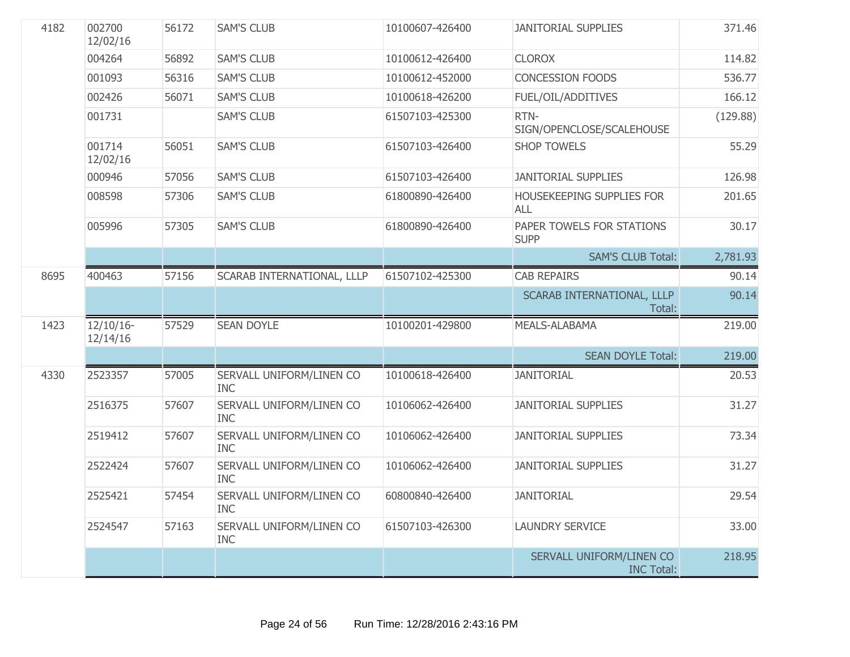| 4182 | 002700<br>12/02/16       | 56172 | <b>SAM'S CLUB</b>                      | 10100607-426400 | <b>JANITORIAL SUPPLIES</b>                    | 371.46   |
|------|--------------------------|-------|----------------------------------------|-----------------|-----------------------------------------------|----------|
|      | 004264                   | 56892 | <b>SAM'S CLUB</b>                      | 10100612-426400 | <b>CLOROX</b>                                 | 114.82   |
|      | 001093                   | 56316 | <b>SAM'S CLUB</b>                      | 10100612-452000 | <b>CONCESSION FOODS</b>                       | 536.77   |
|      | 002426                   | 56071 | <b>SAM'S CLUB</b>                      | 10100618-426200 | <b>FUEL/OIL/ADDITIVES</b>                     | 166.12   |
|      | 001731                   |       | <b>SAM'S CLUB</b>                      | 61507103-425300 | RTN-<br>SIGN/OPENCLOSE/SCALEHOUSE             | (129.88) |
|      | 001714<br>12/02/16       | 56051 | <b>SAM'S CLUB</b>                      | 61507103-426400 | <b>SHOP TOWELS</b>                            | 55.29    |
|      | 000946                   | 57056 | <b>SAM'S CLUB</b>                      | 61507103-426400 | <b>JANITORIAL SUPPLIES</b>                    | 126.98   |
|      | 008598                   | 57306 | <b>SAM'S CLUB</b>                      | 61800890-426400 | HOUSEKEEPING SUPPLIES FOR<br><b>ALL</b>       | 201.65   |
|      | 005996                   | 57305 | <b>SAM'S CLUB</b>                      | 61800890-426400 | PAPER TOWELS FOR STATIONS<br><b>SUPP</b>      | 30.17    |
|      |                          |       |                                        |                 | <b>SAM'S CLUB Total:</b>                      | 2,781.93 |
| 8695 | 400463                   | 57156 | SCARAB INTERNATIONAL, LLLP             | 61507102-425300 | <b>CAB REPAIRS</b>                            | 90.14    |
|      |                          |       |                                        |                 | SCARAB INTERNATIONAL, LLLP<br>Total:          | 90.14    |
| 1423 | $12/10/16$ -<br>12/14/16 | 57529 | <b>SEAN DOYLE</b>                      | 10100201-429800 | MEALS-ALABAMA                                 | 219.00   |
|      |                          |       |                                        |                 | <b>SEAN DOYLE Total:</b>                      | 219.00   |
| 4330 | 2523357                  | 57005 | SERVALL UNIFORM/LINEN CO<br><b>INC</b> | 10100618-426400 | <b>JANITORIAL</b>                             | 20.53    |
|      | 2516375                  | 57607 | SERVALL UNIFORM/LINEN CO<br><b>INC</b> | 10106062-426400 | <b>JANITORIAL SUPPLIES</b>                    | 31.27    |
|      | 2519412                  | 57607 | SERVALL UNIFORM/LINEN CO<br><b>INC</b> | 10106062-426400 | <b>JANITORIAL SUPPLIES</b>                    | 73.34    |
|      | 2522424                  | 57607 | SERVALL UNIFORM/LINEN CO<br><b>INC</b> | 10106062-426400 | <b>JANITORIAL SUPPLIES</b>                    | 31.27    |
|      | 2525421                  | 57454 | SERVALL UNIFORM/LINEN CO<br><b>INC</b> | 60800840-426400 | <b>JANITORIAL</b>                             | 29.54    |
|      | 2524547                  | 57163 | SERVALL UNIFORM/LINEN CO<br><b>INC</b> | 61507103-426300 | <b>LAUNDRY SERVICE</b>                        | 33.00    |
|      |                          |       |                                        |                 | SERVALL UNIFORM/LINEN CO<br><b>INC Total:</b> | 218.95   |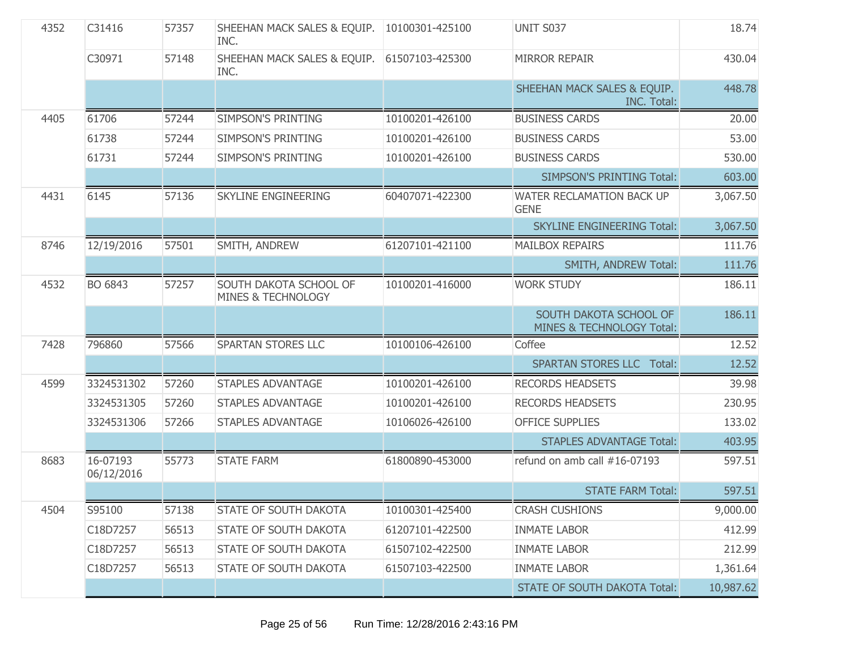| 4352 | C31416                 | 57357 | SHEEHAN MACK SALES & EQUIP.<br>INC.                     | 10100301-425100 | <b>UNIT S037</b>                                    | 18.74     |
|------|------------------------|-------|---------------------------------------------------------|-----------------|-----------------------------------------------------|-----------|
|      | C30971                 | 57148 | SHEEHAN MACK SALES & EQUIP.<br>INC.                     | 61507103-425300 | <b>MIRROR REPAIR</b>                                | 430.04    |
|      |                        |       |                                                         |                 | SHEEHAN MACK SALES & EQUIP.<br><b>INC. Total:</b>   | 448.78    |
| 4405 | 61706                  | 57244 | <b>SIMPSON'S PRINTING</b>                               | 10100201-426100 | <b>BUSINESS CARDS</b>                               | 20.00     |
|      | 61738                  | 57244 | <b>SIMPSON'S PRINTING</b>                               | 10100201-426100 | <b>BUSINESS CARDS</b>                               | 53.00     |
|      | 61731                  | 57244 | <b>SIMPSON'S PRINTING</b>                               | 10100201-426100 | <b>BUSINESS CARDS</b>                               | 530.00    |
|      |                        |       |                                                         |                 | <b>SIMPSON'S PRINTING Total:</b>                    | 603.00    |
| 4431 | 6145                   | 57136 | <b>SKYLINE ENGINEERING</b>                              | 60407071-422300 | WATER RECLAMATION BACK UP<br><b>GENE</b>            | 3,067.50  |
|      |                        |       |                                                         |                 | <b>SKYLINE ENGINEERING Total:</b>                   | 3,067.50  |
| 8746 | 12/19/2016             | 57501 | SMITH, ANDREW                                           | 61207101-421100 | <b>MAILBOX REPAIRS</b>                              | 111.76    |
|      |                        |       |                                                         |                 | <b>SMITH, ANDREW Total:</b>                         | 111.76    |
| 4532 | BO 6843                | 57257 | SOUTH DAKOTA SCHOOL OF<br><b>MINES &amp; TECHNOLOGY</b> | 10100201-416000 | <b>WORK STUDY</b>                                   | 186.11    |
|      |                        |       |                                                         |                 | SOUTH DAKOTA SCHOOL OF<br>MINES & TECHNOLOGY Total: | 186.11    |
| 7428 | 796860                 | 57566 | <b>SPARTAN STORES LLC</b>                               | 10100106-426100 | Coffee                                              | 12.52     |
|      |                        |       |                                                         |                 | <b>SPARTAN STORES LLC Total:</b>                    | 12.52     |
| 4599 | 3324531302             | 57260 | <b>STAPLES ADVANTAGE</b>                                | 10100201-426100 | <b>RECORDS HEADSETS</b>                             | 39.98     |
|      | 3324531305             | 57260 | <b>STAPLES ADVANTAGE</b>                                | 10100201-426100 | <b>RECORDS HEADSETS</b>                             | 230.95    |
|      | 3324531306             | 57266 | <b>STAPLES ADVANTAGE</b>                                | 10106026-426100 | <b>OFFICE SUPPLIES</b>                              | 133.02    |
|      |                        |       |                                                         |                 | <b>STAPLES ADVANTAGE Total:</b>                     | 403.95    |
| 8683 | 16-07193<br>06/12/2016 | 55773 | <b>STATE FARM</b>                                       | 61800890-453000 | refund on amb call #16-07193                        | 597.51    |
|      |                        |       |                                                         |                 | <b>STATE FARM Total:</b>                            | 597.51    |
| 4504 | S95100                 | 57138 | <b>STATE OF SOUTH DAKOTA</b>                            | 10100301-425400 | <b>CRASH CUSHIONS</b>                               | 9,000.00  |
|      | C18D7257               | 56513 | <b>STATE OF SOUTH DAKOTA</b>                            | 61207101-422500 | <b>INMATE LABOR</b>                                 | 412.99    |
|      | C18D7257               | 56513 | <b>STATE OF SOUTH DAKOTA</b>                            | 61507102-422500 | <b>INMATE LABOR</b>                                 | 212.99    |
|      | C18D7257               | 56513 | STATE OF SOUTH DAKOTA                                   | 61507103-422500 | <b>INMATE LABOR</b>                                 | 1,361.64  |
|      |                        |       |                                                         |                 | STATE OF SOUTH DAKOTA Total:                        | 10,987.62 |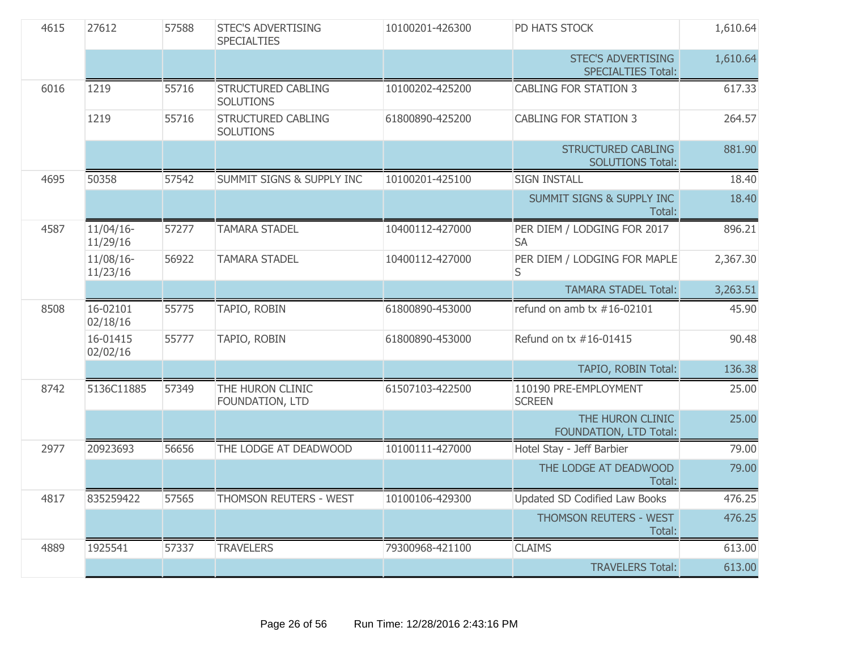| 4615 | 27612                    | 57588 | <b>STEC'S ADVERTISING</b><br><b>SPECIALTIES</b> | 10100201-426300 | PD HATS STOCK                                          | 1,610.64 |
|------|--------------------------|-------|-------------------------------------------------|-----------------|--------------------------------------------------------|----------|
|      |                          |       |                                                 |                 | <b>STEC'S ADVERTISING</b><br><b>SPECIALTIES Total:</b> | 1,610.64 |
| 6016 | 1219                     | 55716 | <b>STRUCTURED CABLING</b><br><b>SOLUTIONS</b>   | 10100202-425200 | <b>CABLING FOR STATION 3</b>                           | 617.33   |
|      | 1219                     | 55716 | <b>STRUCTURED CABLING</b><br><b>SOLUTIONS</b>   | 61800890-425200 | <b>CABLING FOR STATION 3</b>                           | 264.57   |
|      |                          |       |                                                 |                 | <b>STRUCTURED CABLING</b><br><b>SOLUTIONS Total:</b>   | 881.90   |
| 4695 | 50358                    | 57542 | <b>SUMMIT SIGNS &amp; SUPPLY INC</b>            | 10100201-425100 | <b>SIGN INSTALL</b>                                    | 18.40    |
|      |                          |       |                                                 |                 | <b>SUMMIT SIGNS &amp; SUPPLY INC</b><br>Total:         | 18.40    |
| 4587 | $11/04/16$ -<br>11/29/16 | 57277 | <b>TAMARA STADEL</b>                            | 10400112-427000 | PER DIEM / LODGING FOR 2017<br><b>SA</b>               | 896.21   |
|      | 11/08/16-<br>11/23/16    | 56922 | <b>TAMARA STADEL</b>                            | 10400112-427000 | PER DIEM / LODGING FOR MAPLE<br>S                      | 2,367.30 |
|      |                          |       |                                                 |                 | <b>TAMARA STADEL Total:</b>                            | 3,263.51 |
| 8508 | 16-02101<br>02/18/16     | 55775 | TAPIO, ROBIN                                    | 61800890-453000 | refund on amb tx $#16-02101$                           | 45.90    |
|      | 16-01415<br>02/02/16     | 55777 | TAPIO, ROBIN                                    | 61800890-453000 | Refund on tx #16-01415                                 | 90.48    |
|      |                          |       |                                                 |                 | TAPIO, ROBIN Total:                                    | 136.38   |
| 8742 | 5136C11885               | 57349 | THE HURON CLINIC<br>FOUNDATION, LTD             | 61507103-422500 | 110190 PRE-EMPLOYMENT<br><b>SCREEN</b>                 | 25.00    |
|      |                          |       |                                                 |                 | THE HURON CLINIC<br>FOUNDATION, LTD Total:             | 25.00    |
| 2977 | 20923693                 | 56656 | THE LODGE AT DEADWOOD                           | 10100111-427000 | Hotel Stay - Jeff Barbier                              | 79.00    |
|      |                          |       |                                                 |                 | THE LODGE AT DEADWOOD<br>Total:                        | 79.00    |
| 4817 | 835259422                | 57565 | THOMSON REUTERS - WEST                          | 10100106-429300 | <b>Updated SD Codified Law Books</b>                   | 476.25   |
|      |                          |       |                                                 |                 | THOMSON REUTERS - WEST<br>Total:                       | 476.25   |
| 4889 | 1925541                  | 57337 | <b>TRAVELERS</b>                                | 79300968-421100 | <b>CLAIMS</b>                                          | 613.00   |
|      |                          |       |                                                 |                 | <b>TRAVELERS Total:</b>                                | 613.00   |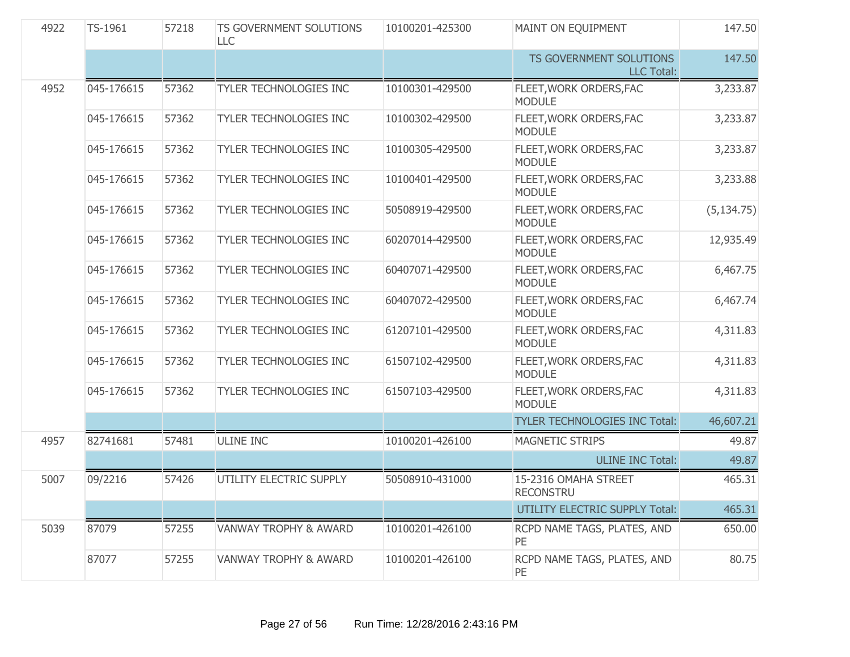| 4922 | TS-1961    | 57218 | TS GOVERNMENT SOLUTIONS<br><b>LLC</b> | 10100201-425300 | MAINT ON EQUIPMENT                           | 147.50      |
|------|------------|-------|---------------------------------------|-----------------|----------------------------------------------|-------------|
|      |            |       |                                       |                 | TS GOVERNMENT SOLUTIONS<br><b>LLC Total:</b> | 147.50      |
| 4952 | 045-176615 | 57362 | TYLER TECHNOLOGIES INC                | 10100301-429500 | FLEET, WORK ORDERS, FAC<br><b>MODULE</b>     | 3,233.87    |
|      | 045-176615 | 57362 | TYLER TECHNOLOGIES INC                | 10100302-429500 | FLEET, WORK ORDERS, FAC<br><b>MODULE</b>     | 3,233.87    |
|      | 045-176615 | 57362 | TYLER TECHNOLOGIES INC                | 10100305-429500 | FLEET, WORK ORDERS, FAC<br><b>MODULE</b>     | 3,233.87    |
|      | 045-176615 | 57362 | TYLER TECHNOLOGIES INC                | 10100401-429500 | FLEET, WORK ORDERS, FAC<br><b>MODULE</b>     | 3,233.88    |
|      | 045-176615 | 57362 | TYLER TECHNOLOGIES INC                | 50508919-429500 | FLEET, WORK ORDERS, FAC<br><b>MODULE</b>     | (5, 134.75) |
|      | 045-176615 | 57362 | TYLER TECHNOLOGIES INC                | 60207014-429500 | FLEET, WORK ORDERS, FAC<br><b>MODULE</b>     | 12,935.49   |
|      | 045-176615 | 57362 | TYLER TECHNOLOGIES INC                | 60407071-429500 | FLEET, WORK ORDERS, FAC<br><b>MODULE</b>     | 6,467.75    |
|      | 045-176615 | 57362 | TYLER TECHNOLOGIES INC                | 60407072-429500 | FLEET, WORK ORDERS, FAC<br><b>MODULE</b>     | 6,467.74    |
|      | 045-176615 | 57362 | TYLER TECHNOLOGIES INC                | 61207101-429500 | FLEET, WORK ORDERS, FAC<br><b>MODULE</b>     | 4,311.83    |
|      | 045-176615 | 57362 | TYLER TECHNOLOGIES INC                | 61507102-429500 | FLEET, WORK ORDERS, FAC<br><b>MODULE</b>     | 4,311.83    |
|      | 045-176615 | 57362 | TYLER TECHNOLOGIES INC                | 61507103-429500 | FLEET, WORK ORDERS, FAC<br><b>MODULE</b>     | 4,311.83    |
|      |            |       |                                       |                 | <b>TYLER TECHNOLOGIES INC Total:</b>         | 46,607.21   |
| 4957 | 82741681   | 57481 | <b>ULINE INC</b>                      | 10100201-426100 | <b>MAGNETIC STRIPS</b>                       | 49.87       |
|      |            |       |                                       |                 | <b>ULINE INC Total:</b>                      | 49.87       |
| 5007 | 09/2216    | 57426 | UTILITY ELECTRIC SUPPLY               | 50508910-431000 | 15-2316 OMAHA STREET<br><b>RECONSTRU</b>     | 465.31      |
|      |            |       |                                       |                 | UTILITY ELECTRIC SUPPLY Total:               | 465.31      |
| 5039 | 87079      | 57255 | <b>VANWAY TROPHY &amp; AWARD</b>      | 10100201-426100 | RCPD NAME TAGS, PLATES, AND<br>PE            | 650.00      |
|      | 87077      | 57255 | <b>VANWAY TROPHY &amp; AWARD</b>      | 10100201-426100 | RCPD NAME TAGS, PLATES, AND<br>PE            | 80.75       |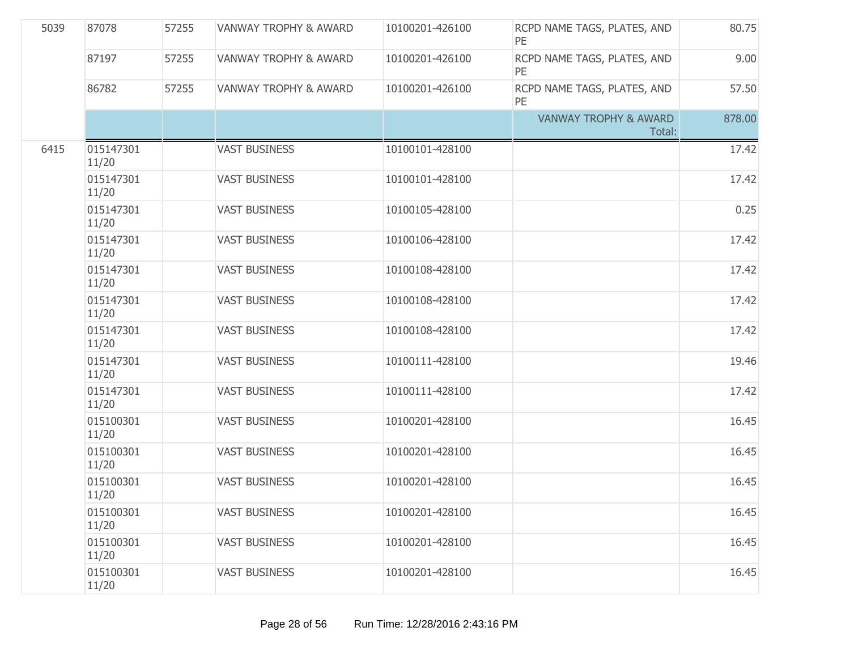| 5039 | 87078              | 57255 | <b>VANWAY TROPHY &amp; AWARD</b> | 10100201-426100 | RCPD NAME TAGS, PLATES, AND<br><b>PE</b>   | 80.75  |
|------|--------------------|-------|----------------------------------|-----------------|--------------------------------------------|--------|
|      | 87197              | 57255 | <b>VANWAY TROPHY &amp; AWARD</b> | 10100201-426100 | RCPD NAME TAGS, PLATES, AND<br>PE          | 9.00   |
|      | 86782              | 57255 | <b>VANWAY TROPHY &amp; AWARD</b> | 10100201-426100 | RCPD NAME TAGS, PLATES, AND<br>PE          | 57.50  |
|      |                    |       |                                  |                 | <b>VANWAY TROPHY &amp; AWARD</b><br>Total: | 878.00 |
| 6415 | 015147301<br>11/20 |       | <b>VAST BUSINESS</b>             | 10100101-428100 |                                            | 17.42  |
|      | 015147301<br>11/20 |       | <b>VAST BUSINESS</b>             | 10100101-428100 |                                            | 17.42  |
|      | 015147301<br>11/20 |       | <b>VAST BUSINESS</b>             | 10100105-428100 |                                            | 0.25   |
|      | 015147301<br>11/20 |       | <b>VAST BUSINESS</b>             | 10100106-428100 |                                            | 17.42  |
|      | 015147301<br>11/20 |       | <b>VAST BUSINESS</b>             | 10100108-428100 |                                            | 17.42  |
|      | 015147301<br>11/20 |       | <b>VAST BUSINESS</b>             | 10100108-428100 |                                            | 17.42  |
|      | 015147301<br>11/20 |       | <b>VAST BUSINESS</b>             | 10100108-428100 |                                            | 17.42  |
|      | 015147301<br>11/20 |       | <b>VAST BUSINESS</b>             | 10100111-428100 |                                            | 19.46  |
|      | 015147301<br>11/20 |       | <b>VAST BUSINESS</b>             | 10100111-428100 |                                            | 17.42  |
|      | 015100301<br>11/20 |       | <b>VAST BUSINESS</b>             | 10100201-428100 |                                            | 16.45  |
|      | 015100301<br>11/20 |       | <b>VAST BUSINESS</b>             | 10100201-428100 |                                            | 16.45  |
|      | 015100301<br>11/20 |       | <b>VAST BUSINESS</b>             | 10100201-428100 |                                            | 16.45  |
|      | 015100301<br>11/20 |       | <b>VAST BUSINESS</b>             | 10100201-428100 |                                            | 16.45  |
|      | 015100301<br>11/20 |       | <b>VAST BUSINESS</b>             | 10100201-428100 |                                            | 16.45  |
|      | 015100301<br>11/20 |       | <b>VAST BUSINESS</b>             | 10100201-428100 |                                            | 16.45  |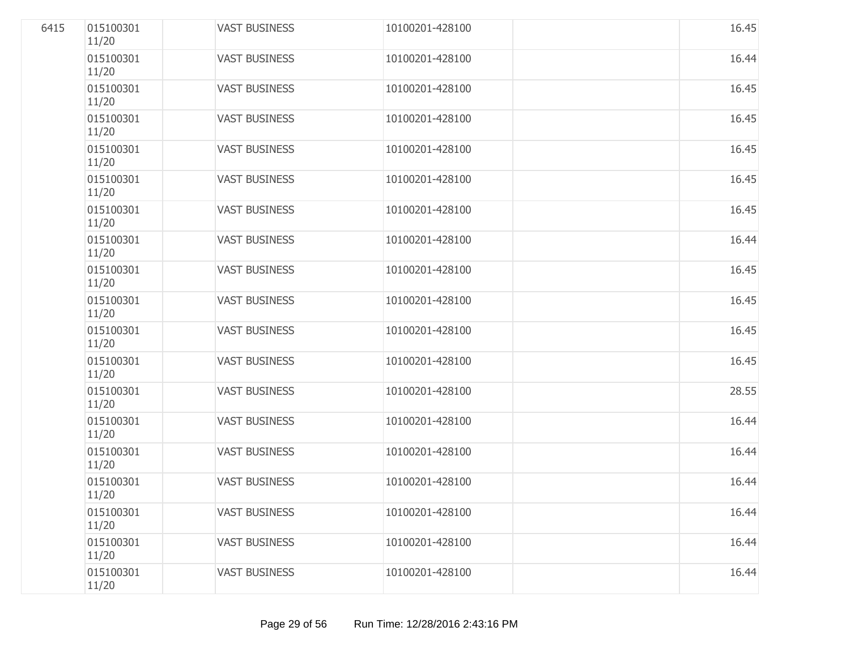| 6415 | 015100301<br>11/20 | <b>VAST BUSINESS</b> | 10100201-428100 | 16.45 |
|------|--------------------|----------------------|-----------------|-------|
|      | 015100301<br>11/20 | <b>VAST BUSINESS</b> | 10100201-428100 | 16.44 |
|      | 015100301<br>11/20 | <b>VAST BUSINESS</b> | 10100201-428100 | 16.45 |
|      | 015100301<br>11/20 | <b>VAST BUSINESS</b> | 10100201-428100 | 16.45 |
|      | 015100301<br>11/20 | <b>VAST BUSINESS</b> | 10100201-428100 | 16.45 |
|      | 015100301<br>11/20 | <b>VAST BUSINESS</b> | 10100201-428100 | 16.45 |
|      | 015100301<br>11/20 | <b>VAST BUSINESS</b> | 10100201-428100 | 16.45 |
|      | 015100301<br>11/20 | <b>VAST BUSINESS</b> | 10100201-428100 | 16.44 |
|      | 015100301<br>11/20 | <b>VAST BUSINESS</b> | 10100201-428100 | 16.45 |
|      | 015100301<br>11/20 | <b>VAST BUSINESS</b> | 10100201-428100 | 16.45 |
|      | 015100301<br>11/20 | <b>VAST BUSINESS</b> | 10100201-428100 | 16.45 |
|      | 015100301<br>11/20 | <b>VAST BUSINESS</b> | 10100201-428100 | 16.45 |
|      | 015100301<br>11/20 | <b>VAST BUSINESS</b> | 10100201-428100 | 28.55 |
|      | 015100301<br>11/20 | <b>VAST BUSINESS</b> | 10100201-428100 | 16.44 |
|      | 015100301<br>11/20 | <b>VAST BUSINESS</b> | 10100201-428100 | 16.44 |
|      | 015100301<br>11/20 | <b>VAST BUSINESS</b> | 10100201-428100 | 16.44 |
|      | 015100301<br>11/20 | <b>VAST BUSINESS</b> | 10100201-428100 | 16.44 |
|      | 015100301<br>11/20 | <b>VAST BUSINESS</b> | 10100201-428100 | 16.44 |
|      | 015100301<br>11/20 | <b>VAST BUSINESS</b> | 10100201-428100 | 16.44 |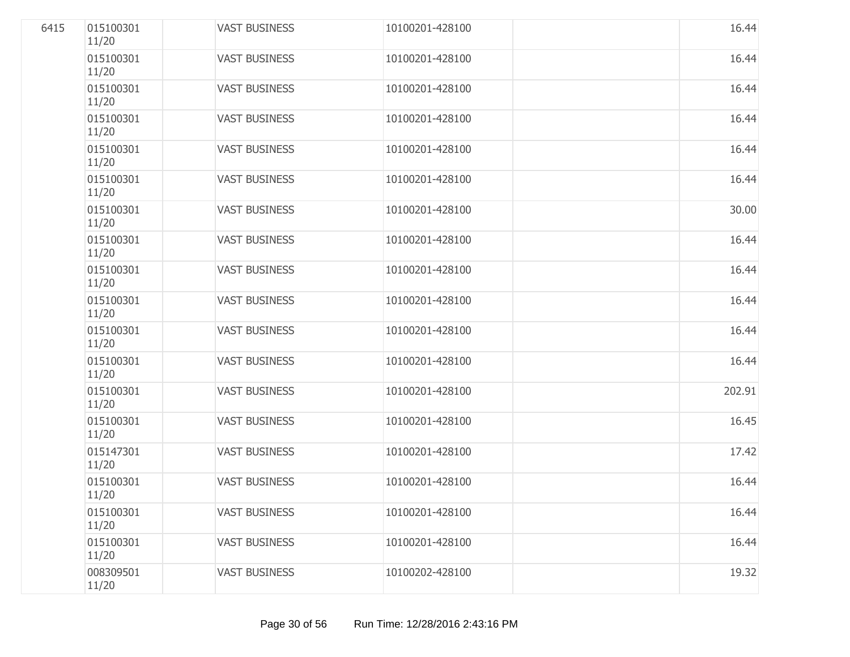| 6415 | 015100301<br>11/20 | <b>VAST BUSINESS</b> | 10100201-428100 | 16.44  |
|------|--------------------|----------------------|-----------------|--------|
|      | 015100301<br>11/20 | <b>VAST BUSINESS</b> | 10100201-428100 | 16.44  |
|      | 015100301<br>11/20 | <b>VAST BUSINESS</b> | 10100201-428100 | 16.44  |
|      | 015100301<br>11/20 | <b>VAST BUSINESS</b> | 10100201-428100 | 16.44  |
|      | 015100301<br>11/20 | <b>VAST BUSINESS</b> | 10100201-428100 | 16.44  |
|      | 015100301<br>11/20 | <b>VAST BUSINESS</b> | 10100201-428100 | 16.44  |
|      | 015100301<br>11/20 | <b>VAST BUSINESS</b> | 10100201-428100 | 30.00  |
|      | 015100301<br>11/20 | <b>VAST BUSINESS</b> | 10100201-428100 | 16.44  |
|      | 015100301<br>11/20 | <b>VAST BUSINESS</b> | 10100201-428100 | 16.44  |
|      | 015100301<br>11/20 | <b>VAST BUSINESS</b> | 10100201-428100 | 16.44  |
|      | 015100301<br>11/20 | <b>VAST BUSINESS</b> | 10100201-428100 | 16.44  |
|      | 015100301<br>11/20 | <b>VAST BUSINESS</b> | 10100201-428100 | 16.44  |
|      | 015100301<br>11/20 | <b>VAST BUSINESS</b> | 10100201-428100 | 202.91 |
|      | 015100301<br>11/20 | <b>VAST BUSINESS</b> | 10100201-428100 | 16.45  |
|      | 015147301<br>11/20 | <b>VAST BUSINESS</b> | 10100201-428100 | 17.42  |
|      | 015100301<br>11/20 | <b>VAST BUSINESS</b> | 10100201-428100 | 16.44  |
|      | 015100301<br>11/20 | <b>VAST BUSINESS</b> | 10100201-428100 | 16.44  |
|      | 015100301<br>11/20 | <b>VAST BUSINESS</b> | 10100201-428100 | 16.44  |
|      | 008309501<br>11/20 | <b>VAST BUSINESS</b> | 10100202-428100 | 19.32  |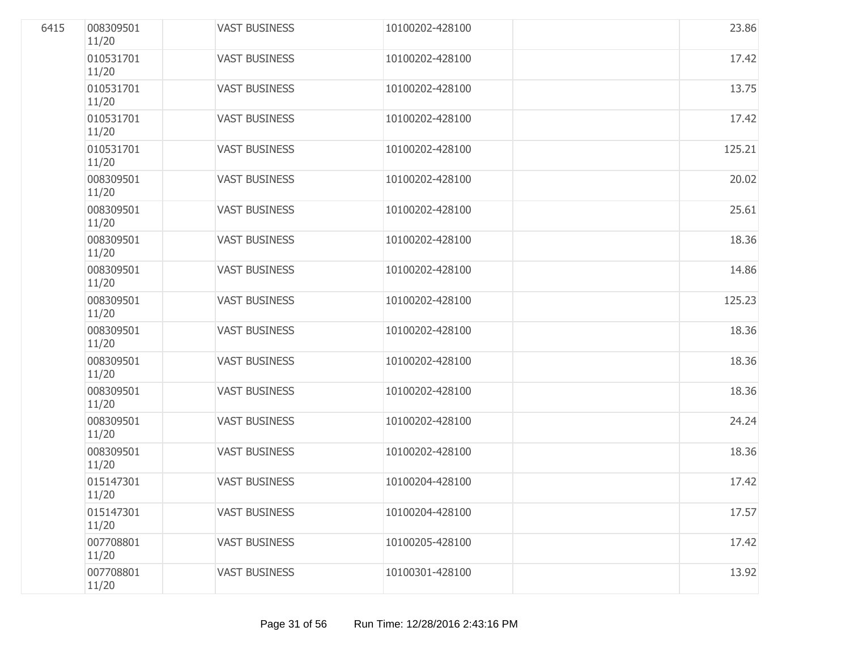| 6415 | 008309501<br>11/20 | <b>VAST BUSINESS</b> | 10100202-428100 | 23.86  |
|------|--------------------|----------------------|-----------------|--------|
|      | 010531701<br>11/20 | <b>VAST BUSINESS</b> | 10100202-428100 | 17.42  |
|      | 010531701<br>11/20 | <b>VAST BUSINESS</b> | 10100202-428100 | 13.75  |
|      | 010531701<br>11/20 | <b>VAST BUSINESS</b> | 10100202-428100 | 17.42  |
|      | 010531701<br>11/20 | <b>VAST BUSINESS</b> | 10100202-428100 | 125.21 |
|      | 008309501<br>11/20 | <b>VAST BUSINESS</b> | 10100202-428100 | 20.02  |
|      | 008309501<br>11/20 | <b>VAST BUSINESS</b> | 10100202-428100 | 25.61  |
|      | 008309501<br>11/20 | <b>VAST BUSINESS</b> | 10100202-428100 | 18.36  |
|      | 008309501<br>11/20 | <b>VAST BUSINESS</b> | 10100202-428100 | 14.86  |
|      | 008309501<br>11/20 | <b>VAST BUSINESS</b> | 10100202-428100 | 125.23 |
|      | 008309501<br>11/20 | <b>VAST BUSINESS</b> | 10100202-428100 | 18.36  |
|      | 008309501<br>11/20 | <b>VAST BUSINESS</b> | 10100202-428100 | 18.36  |
|      | 008309501<br>11/20 | <b>VAST BUSINESS</b> | 10100202-428100 | 18.36  |
|      | 008309501<br>11/20 | <b>VAST BUSINESS</b> | 10100202-428100 | 24.24  |
|      | 008309501<br>11/20 | <b>VAST BUSINESS</b> | 10100202-428100 | 18.36  |
|      | 015147301<br>11/20 | <b>VAST BUSINESS</b> | 10100204-428100 | 17.42  |
|      | 015147301<br>11/20 | <b>VAST BUSINESS</b> | 10100204-428100 | 17.57  |
|      | 007708801<br>11/20 | <b>VAST BUSINESS</b> | 10100205-428100 | 17.42  |
|      | 007708801<br>11/20 | <b>VAST BUSINESS</b> | 10100301-428100 | 13.92  |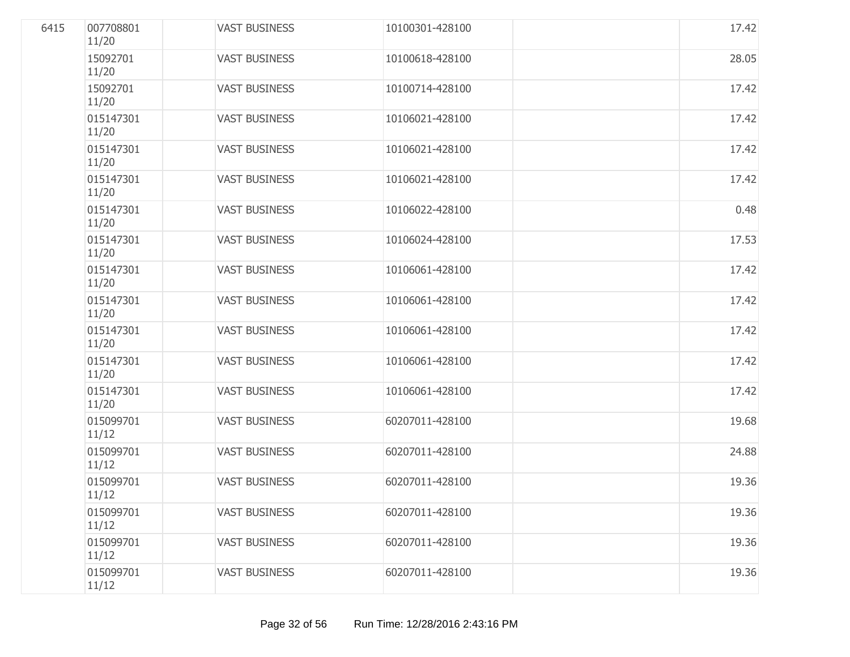| 6415 | 007708801<br>11/20 | <b>VAST BUSINESS</b> | 10100301-428100 | 17.42 |
|------|--------------------|----------------------|-----------------|-------|
|      | 15092701<br>11/20  | <b>VAST BUSINESS</b> | 10100618-428100 | 28.05 |
|      | 15092701<br>11/20  | <b>VAST BUSINESS</b> | 10100714-428100 | 17.42 |
|      | 015147301<br>11/20 | <b>VAST BUSINESS</b> | 10106021-428100 | 17.42 |
|      | 015147301<br>11/20 | <b>VAST BUSINESS</b> | 10106021-428100 | 17.42 |
|      | 015147301<br>11/20 | <b>VAST BUSINESS</b> | 10106021-428100 | 17.42 |
|      | 015147301<br>11/20 | <b>VAST BUSINESS</b> | 10106022-428100 | 0.48  |
|      | 015147301<br>11/20 | <b>VAST BUSINESS</b> | 10106024-428100 | 17.53 |
|      | 015147301<br>11/20 | <b>VAST BUSINESS</b> | 10106061-428100 | 17.42 |
|      | 015147301<br>11/20 | <b>VAST BUSINESS</b> | 10106061-428100 | 17.42 |
|      | 015147301<br>11/20 | <b>VAST BUSINESS</b> | 10106061-428100 | 17.42 |
|      | 015147301<br>11/20 | <b>VAST BUSINESS</b> | 10106061-428100 | 17.42 |
|      | 015147301<br>11/20 | <b>VAST BUSINESS</b> | 10106061-428100 | 17.42 |
|      | 015099701<br>11/12 | <b>VAST BUSINESS</b> | 60207011-428100 | 19.68 |
|      | 015099701<br>11/12 | <b>VAST BUSINESS</b> | 60207011-428100 | 24.88 |
|      | 015099701<br>11/12 | <b>VAST BUSINESS</b> | 60207011-428100 | 19.36 |
|      | 015099701<br>11/12 | <b>VAST BUSINESS</b> | 60207011-428100 | 19.36 |
|      | 015099701<br>11/12 | <b>VAST BUSINESS</b> | 60207011-428100 | 19.36 |
|      | 015099701<br>11/12 | <b>VAST BUSINESS</b> | 60207011-428100 | 19.36 |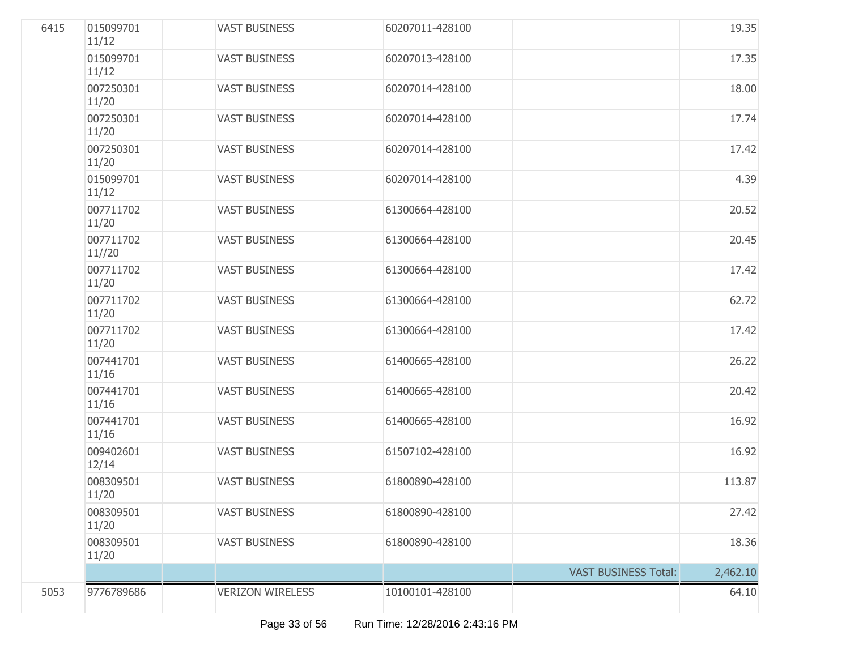| 6415 | 015099701<br>11/12  | <b>VAST BUSINESS</b>    | 60207011-428100 |                             | 19.35    |
|------|---------------------|-------------------------|-----------------|-----------------------------|----------|
|      | 015099701<br>11/12  | <b>VAST BUSINESS</b>    | 60207013-428100 |                             | 17.35    |
|      | 007250301<br>11/20  | <b>VAST BUSINESS</b>    | 60207014-428100 |                             | 18.00    |
|      | 007250301<br>11/20  | <b>VAST BUSINESS</b>    | 60207014-428100 |                             | 17.74    |
|      | 007250301<br>11/20  | <b>VAST BUSINESS</b>    | 60207014-428100 |                             | 17.42    |
|      | 015099701<br>11/12  | <b>VAST BUSINESS</b>    | 60207014-428100 |                             | 4.39     |
|      | 007711702<br>11/20  | <b>VAST BUSINESS</b>    | 61300664-428100 |                             | 20.52    |
|      | 007711702<br>11//20 | <b>VAST BUSINESS</b>    | 61300664-428100 |                             | 20.45    |
|      | 007711702<br>11/20  | <b>VAST BUSINESS</b>    | 61300664-428100 |                             | 17.42    |
|      | 007711702<br>11/20  | <b>VAST BUSINESS</b>    | 61300664-428100 |                             | 62.72    |
|      | 007711702<br>11/20  | <b>VAST BUSINESS</b>    | 61300664-428100 |                             | 17.42    |
|      | 007441701<br>11/16  | <b>VAST BUSINESS</b>    | 61400665-428100 |                             | 26.22    |
|      | 007441701<br>11/16  | <b>VAST BUSINESS</b>    | 61400665-428100 |                             | 20.42    |
|      | 007441701<br>11/16  | <b>VAST BUSINESS</b>    | 61400665-428100 |                             | 16.92    |
|      | 009402601<br>12/14  | <b>VAST BUSINESS</b>    | 61507102-428100 |                             | 16.92    |
|      | 008309501<br>11/20  | <b>VAST BUSINESS</b>    | 61800890-428100 |                             | 113.87   |
|      | 008309501<br>11/20  | <b>VAST BUSINESS</b>    | 61800890-428100 |                             | 27.42    |
|      | 008309501<br>11/20  | <b>VAST BUSINESS</b>    | 61800890-428100 |                             | 18.36    |
|      |                     |                         |                 | <b>VAST BUSINESS Total:</b> | 2,462.10 |
| 5053 | 9776789686          | <b>VERIZON WIRELESS</b> | 10100101-428100 |                             | 64.10    |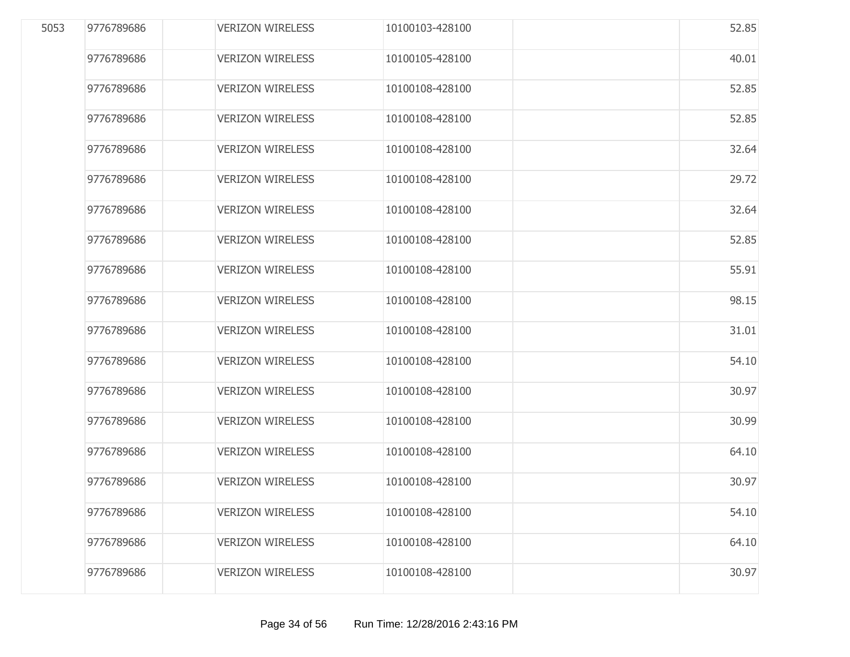| 5053 | 9776789686 | <b>VERIZON WIRELESS</b> | 10100103-428100 | 52.85 |
|------|------------|-------------------------|-----------------|-------|
|      | 9776789686 | <b>VERIZON WIRELESS</b> | 10100105-428100 | 40.01 |
|      | 9776789686 | <b>VERIZON WIRELESS</b> | 10100108-428100 | 52.85 |
|      | 9776789686 | <b>VERIZON WIRELESS</b> | 10100108-428100 | 52.85 |
|      | 9776789686 | <b>VERIZON WIRELESS</b> | 10100108-428100 | 32.64 |
|      | 9776789686 | <b>VERIZON WIRELESS</b> | 10100108-428100 | 29.72 |
|      | 9776789686 | <b>VERIZON WIRELESS</b> | 10100108-428100 | 32.64 |
|      | 9776789686 | <b>VERIZON WIRELESS</b> | 10100108-428100 | 52.85 |
|      | 9776789686 | <b>VERIZON WIRELESS</b> | 10100108-428100 | 55.91 |
|      | 9776789686 | <b>VERIZON WIRELESS</b> | 10100108-428100 | 98.15 |
|      | 9776789686 | <b>VERIZON WIRELESS</b> | 10100108-428100 | 31.01 |
|      | 9776789686 | <b>VERIZON WIRELESS</b> | 10100108-428100 | 54.10 |
|      | 9776789686 | <b>VERIZON WIRELESS</b> | 10100108-428100 | 30.97 |
|      | 9776789686 | <b>VERIZON WIRELESS</b> | 10100108-428100 | 30.99 |
|      | 9776789686 | <b>VERIZON WIRELESS</b> | 10100108-428100 | 64.10 |
|      | 9776789686 | <b>VERIZON WIRELESS</b> | 10100108-428100 | 30.97 |
|      | 9776789686 | <b>VERIZON WIRELESS</b> | 10100108-428100 | 54.10 |
|      | 9776789686 | <b>VERIZON WIRELESS</b> | 10100108-428100 | 64.10 |
|      | 9776789686 | <b>VERIZON WIRELESS</b> | 10100108-428100 | 30.97 |
|      |            |                         |                 |       |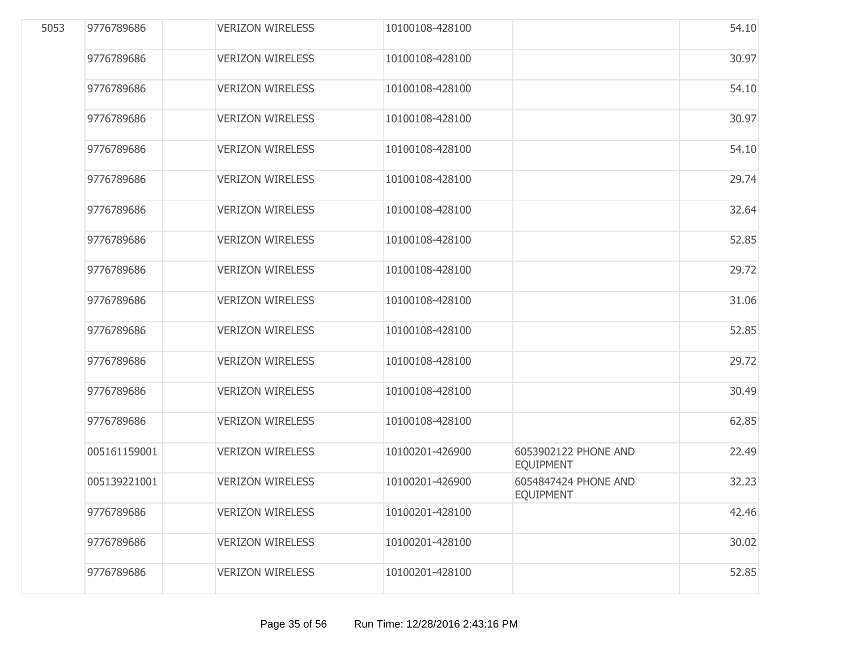| 5053 | 9776789686   | <b>VERIZON WIRELESS</b> | 10100108-428100 |                                          | 54.10 |
|------|--------------|-------------------------|-----------------|------------------------------------------|-------|
|      | 9776789686   | <b>VERIZON WIRELESS</b> | 10100108-428100 |                                          | 30.97 |
|      | 9776789686   | <b>VERIZON WIRELESS</b> | 10100108-428100 |                                          | 54.10 |
|      | 9776789686   | <b>VERIZON WIRELESS</b> | 10100108-428100 |                                          | 30.97 |
|      | 9776789686   | <b>VERIZON WIRELESS</b> | 10100108-428100 |                                          | 54.10 |
|      | 9776789686   | <b>VERIZON WIRELESS</b> | 10100108-428100 |                                          | 29.74 |
|      | 9776789686   | <b>VERIZON WIRELESS</b> | 10100108-428100 |                                          | 32.64 |
|      | 9776789686   | <b>VERIZON WIRELESS</b> | 10100108-428100 |                                          | 52.85 |
|      | 9776789686   | <b>VERIZON WIRELESS</b> | 10100108-428100 |                                          | 29.72 |
|      | 9776789686   | <b>VERIZON WIRELESS</b> | 10100108-428100 |                                          | 31.06 |
|      | 9776789686   | <b>VERIZON WIRELESS</b> | 10100108-428100 |                                          | 52.85 |
|      | 9776789686   | <b>VERIZON WIRELESS</b> | 10100108-428100 |                                          | 29.72 |
|      | 9776789686   | <b>VERIZON WIRELESS</b> | 10100108-428100 |                                          | 30.49 |
|      | 9776789686   | <b>VERIZON WIRELESS</b> | 10100108-428100 |                                          | 62.85 |
|      | 005161159001 | <b>VERIZON WIRELESS</b> | 10100201-426900 | 6053902122 PHONE AND<br><b>EQUIPMENT</b> | 22.49 |
|      | 005139221001 | <b>VERIZON WIRELESS</b> | 10100201-426900 | 6054847424 PHONE AND<br><b>EQUIPMENT</b> | 32.23 |
|      | 9776789686   | <b>VERIZON WIRELESS</b> | 10100201-428100 |                                          | 42.46 |
|      | 9776789686   | <b>VERIZON WIRELESS</b> | 10100201-428100 |                                          | 30.02 |
|      | 9776789686   | <b>VERIZON WIRELESS</b> | 10100201-428100 |                                          | 52.85 |
|      |              |                         |                 |                                          |       |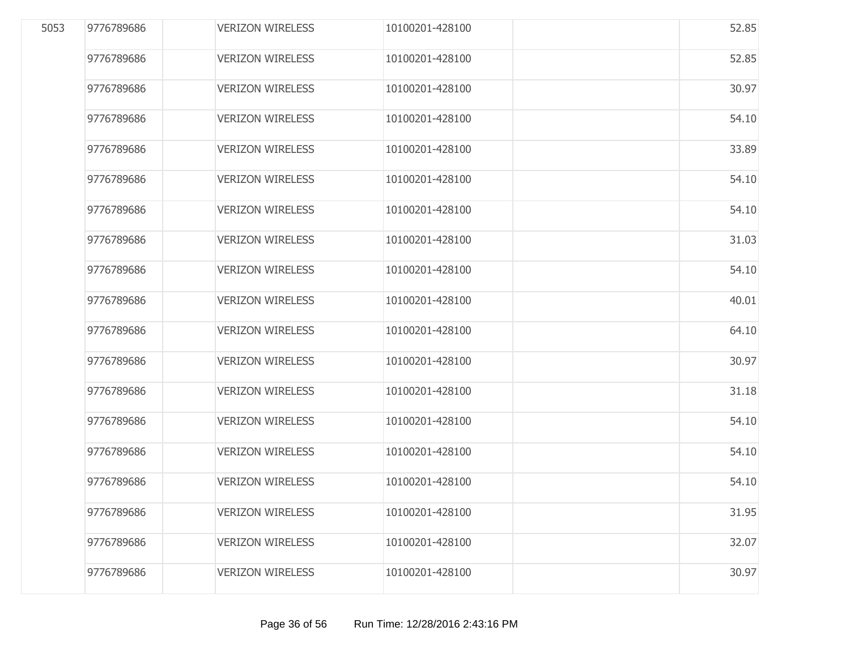| 5053 | 9776789686 | <b>VERIZON WIRELESS</b> | 10100201-428100 | 52.85 |
|------|------------|-------------------------|-----------------|-------|
|      | 9776789686 | <b>VERIZON WIRELESS</b> | 10100201-428100 | 52.85 |
|      | 9776789686 | <b>VERIZON WIRELESS</b> | 10100201-428100 | 30.97 |
|      | 9776789686 | <b>VERIZON WIRELESS</b> | 10100201-428100 | 54.10 |
|      | 9776789686 | <b>VERIZON WIRELESS</b> | 10100201-428100 | 33.89 |
|      | 9776789686 | <b>VERIZON WIRELESS</b> | 10100201-428100 | 54.10 |
|      | 9776789686 | <b>VERIZON WIRELESS</b> | 10100201-428100 | 54.10 |
|      | 9776789686 | <b>VERIZON WIRELESS</b> | 10100201-428100 | 31.03 |
|      | 9776789686 | <b>VERIZON WIRELESS</b> | 10100201-428100 | 54.10 |
|      | 9776789686 | <b>VERIZON WIRELESS</b> | 10100201-428100 | 40.01 |
|      | 9776789686 | <b>VERIZON WIRELESS</b> | 10100201-428100 | 64.10 |
|      | 9776789686 | <b>VERIZON WIRELESS</b> | 10100201-428100 | 30.97 |
|      | 9776789686 | <b>VERIZON WIRELESS</b> | 10100201-428100 | 31.18 |
|      | 9776789686 | <b>VERIZON WIRELESS</b> | 10100201-428100 | 54.10 |
|      | 9776789686 | <b>VERIZON WIRELESS</b> | 10100201-428100 | 54.10 |
|      | 9776789686 | <b>VERIZON WIRELESS</b> | 10100201-428100 | 54.10 |
|      | 9776789686 | <b>VERIZON WIRELESS</b> | 10100201-428100 | 31.95 |
|      | 9776789686 | <b>VERIZON WIRELESS</b> | 10100201-428100 | 32.07 |
|      | 9776789686 | <b>VERIZON WIRELESS</b> | 10100201-428100 | 30.97 |
|      |            |                         |                 |       |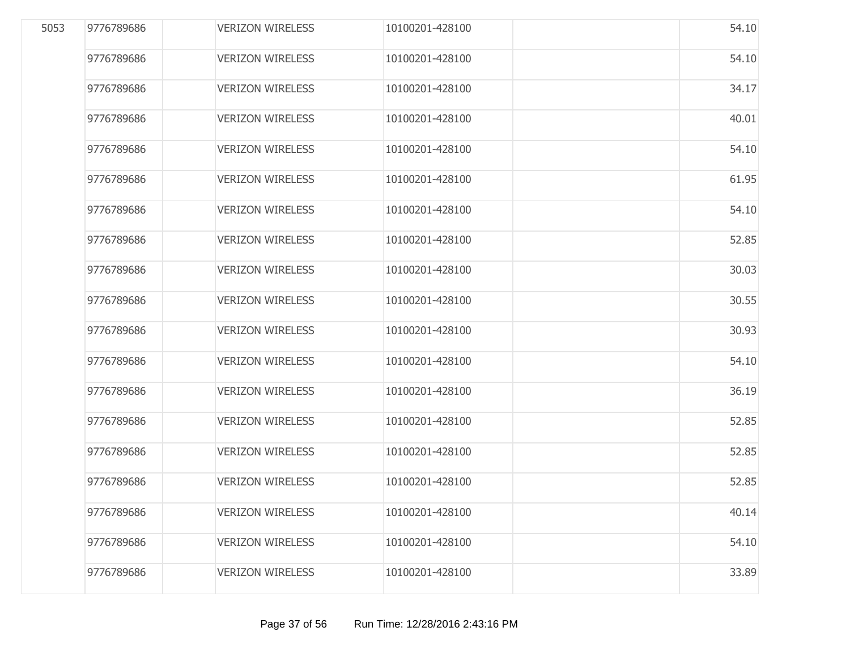| 5053 | 9776789686 | <b>VERIZON WIRELESS</b> | 10100201-428100 | 54.10 |
|------|------------|-------------------------|-----------------|-------|
|      | 9776789686 | <b>VERIZON WIRELESS</b> | 10100201-428100 | 54.10 |
|      | 9776789686 | <b>VERIZON WIRELESS</b> | 10100201-428100 | 34.17 |
|      | 9776789686 | <b>VERIZON WIRELESS</b> | 10100201-428100 | 40.01 |
|      | 9776789686 | <b>VERIZON WIRELESS</b> | 10100201-428100 | 54.10 |
|      | 9776789686 | <b>VERIZON WIRELESS</b> | 10100201-428100 | 61.95 |
|      | 9776789686 | <b>VERIZON WIRELESS</b> | 10100201-428100 | 54.10 |
|      | 9776789686 | <b>VERIZON WIRELESS</b> | 10100201-428100 | 52.85 |
|      | 9776789686 | <b>VERIZON WIRELESS</b> | 10100201-428100 | 30.03 |
|      | 9776789686 | <b>VERIZON WIRELESS</b> | 10100201-428100 | 30.55 |
|      | 9776789686 | <b>VERIZON WIRELESS</b> | 10100201-428100 | 30.93 |
|      | 9776789686 | <b>VERIZON WIRELESS</b> | 10100201-428100 | 54.10 |
|      | 9776789686 | <b>VERIZON WIRELESS</b> | 10100201-428100 | 36.19 |
|      | 9776789686 | <b>VERIZON WIRELESS</b> | 10100201-428100 | 52.85 |
|      | 9776789686 | <b>VERIZON WIRELESS</b> | 10100201-428100 | 52.85 |
|      | 9776789686 | <b>VERIZON WIRELESS</b> | 10100201-428100 | 52.85 |
|      | 9776789686 | <b>VERIZON WIRELESS</b> | 10100201-428100 | 40.14 |
|      | 9776789686 | <b>VERIZON WIRELESS</b> | 10100201-428100 | 54.10 |
|      | 9776789686 | <b>VERIZON WIRELESS</b> | 10100201-428100 | 33.89 |
|      |            |                         |                 |       |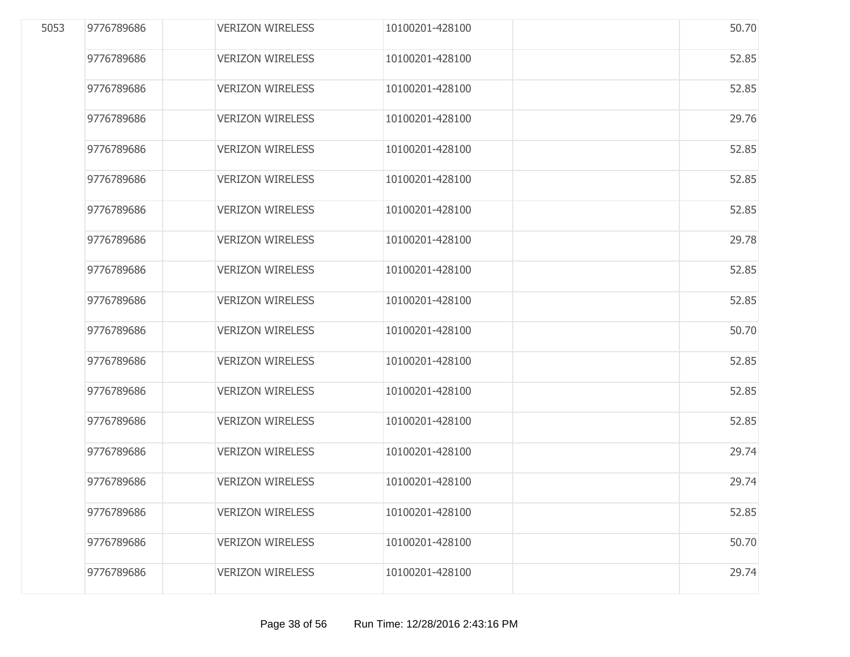| 5053 | 9776789686 | <b>VERIZON WIRELESS</b> | 10100201-428100 | 50.70 |
|------|------------|-------------------------|-----------------|-------|
|      | 9776789686 | <b>VERIZON WIRELESS</b> | 10100201-428100 | 52.85 |
|      | 9776789686 | <b>VERIZON WIRELESS</b> | 10100201-428100 | 52.85 |
|      | 9776789686 | <b>VERIZON WIRELESS</b> | 10100201-428100 | 29.76 |
|      | 9776789686 | <b>VERIZON WIRELESS</b> | 10100201-428100 | 52.85 |
|      | 9776789686 | <b>VERIZON WIRELESS</b> | 10100201-428100 | 52.85 |
|      | 9776789686 | <b>VERIZON WIRELESS</b> | 10100201-428100 | 52.85 |
|      | 9776789686 | <b>VERIZON WIRELESS</b> | 10100201-428100 | 29.78 |
|      | 9776789686 | <b>VERIZON WIRELESS</b> | 10100201-428100 | 52.85 |
|      | 9776789686 | <b>VERIZON WIRELESS</b> | 10100201-428100 | 52.85 |
|      | 9776789686 | <b>VERIZON WIRELESS</b> | 10100201-428100 | 50.70 |
|      | 9776789686 | <b>VERIZON WIRELESS</b> | 10100201-428100 | 52.85 |
|      | 9776789686 | <b>VERIZON WIRELESS</b> | 10100201-428100 | 52.85 |
|      | 9776789686 | <b>VERIZON WIRELESS</b> | 10100201-428100 | 52.85 |
|      | 9776789686 | <b>VERIZON WIRELESS</b> | 10100201-428100 | 29.74 |
|      | 9776789686 | <b>VERIZON WIRELESS</b> | 10100201-428100 | 29.74 |
|      | 9776789686 | <b>VERIZON WIRELESS</b> | 10100201-428100 | 52.85 |
|      | 9776789686 | <b>VERIZON WIRELESS</b> | 10100201-428100 | 50.70 |
|      | 9776789686 | <b>VERIZON WIRELESS</b> | 10100201-428100 | 29.74 |
|      |            |                         |                 |       |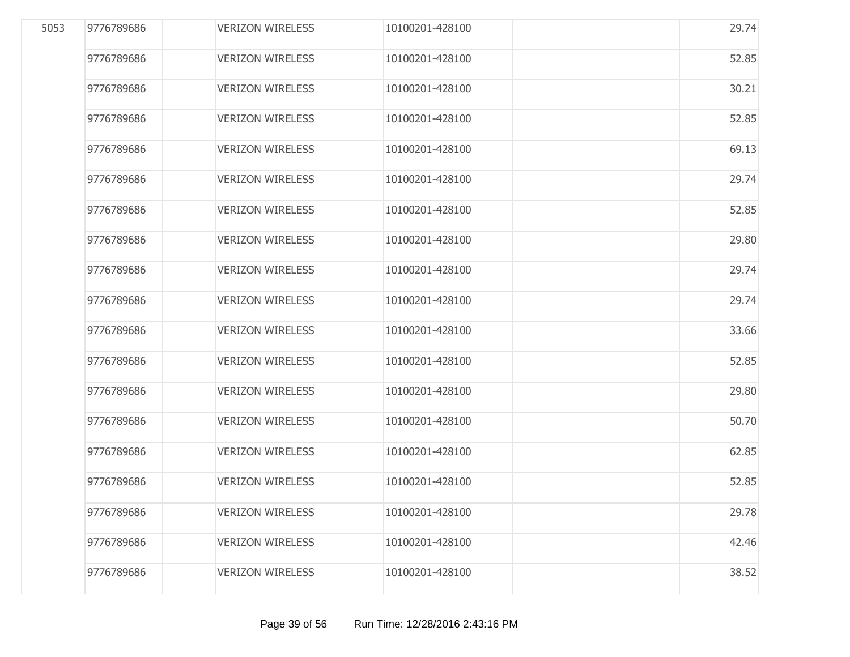| 5053 | 9776789686 | <b>VERIZON WIRELESS</b> | 10100201-428100 | 29.74 |
|------|------------|-------------------------|-----------------|-------|
|      | 9776789686 | <b>VERIZON WIRELESS</b> | 10100201-428100 | 52.85 |
|      | 9776789686 | <b>VERIZON WIRELESS</b> | 10100201-428100 | 30.21 |
|      | 9776789686 | <b>VERIZON WIRELESS</b> | 10100201-428100 | 52.85 |
|      | 9776789686 | <b>VERIZON WIRELESS</b> | 10100201-428100 | 69.13 |
|      | 9776789686 | <b>VERIZON WIRELESS</b> | 10100201-428100 | 29.74 |
|      | 9776789686 | <b>VERIZON WIRELESS</b> | 10100201-428100 | 52.85 |
|      | 9776789686 | <b>VERIZON WIRELESS</b> | 10100201-428100 | 29.80 |
|      | 9776789686 | <b>VERIZON WIRELESS</b> | 10100201-428100 | 29.74 |
|      | 9776789686 | <b>VERIZON WIRELESS</b> | 10100201-428100 | 29.74 |
|      | 9776789686 | <b>VERIZON WIRELESS</b> | 10100201-428100 | 33.66 |
|      | 9776789686 | <b>VERIZON WIRELESS</b> | 10100201-428100 | 52.85 |
|      | 9776789686 | <b>VERIZON WIRELESS</b> | 10100201-428100 | 29.80 |
|      | 9776789686 | <b>VERIZON WIRELESS</b> | 10100201-428100 | 50.70 |
|      | 9776789686 | <b>VERIZON WIRELESS</b> | 10100201-428100 | 62.85 |
|      | 9776789686 | <b>VERIZON WIRELESS</b> | 10100201-428100 | 52.85 |
|      | 9776789686 | <b>VERIZON WIRELESS</b> | 10100201-428100 | 29.78 |
|      | 9776789686 | <b>VERIZON WIRELESS</b> | 10100201-428100 | 42.46 |
|      | 9776789686 | <b>VERIZON WIRELESS</b> | 10100201-428100 | 38.52 |
|      |            |                         |                 |       |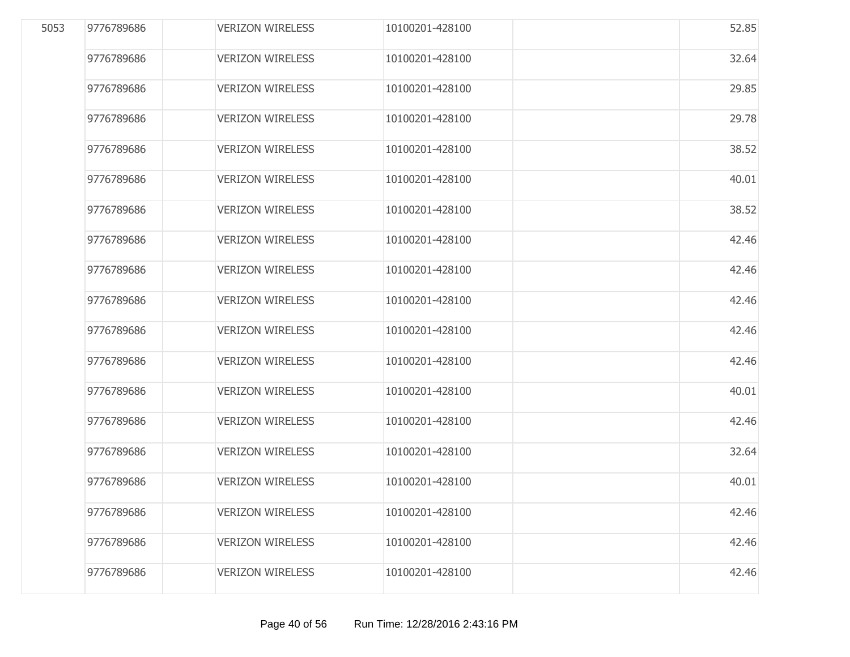| 5053 | 9776789686 | <b>VERIZON WIRELESS</b> | 10100201-428100 | 52.85 |
|------|------------|-------------------------|-----------------|-------|
|      | 9776789686 | <b>VERIZON WIRELESS</b> | 10100201-428100 | 32.64 |
|      | 9776789686 | <b>VERIZON WIRELESS</b> | 10100201-428100 | 29.85 |
|      | 9776789686 | <b>VERIZON WIRELESS</b> | 10100201-428100 | 29.78 |
|      | 9776789686 | <b>VERIZON WIRELESS</b> | 10100201-428100 | 38.52 |
|      | 9776789686 | <b>VERIZON WIRELESS</b> | 10100201-428100 | 40.01 |
|      | 9776789686 | <b>VERIZON WIRELESS</b> | 10100201-428100 | 38.52 |
|      | 9776789686 | <b>VERIZON WIRELESS</b> | 10100201-428100 | 42.46 |
|      | 9776789686 | <b>VERIZON WIRELESS</b> | 10100201-428100 | 42.46 |
|      | 9776789686 | <b>VERIZON WIRELESS</b> | 10100201-428100 | 42.46 |
|      | 9776789686 | <b>VERIZON WIRELESS</b> | 10100201-428100 | 42.46 |
|      | 9776789686 | <b>VERIZON WIRELESS</b> | 10100201-428100 | 42.46 |
|      | 9776789686 | <b>VERIZON WIRELESS</b> | 10100201-428100 | 40.01 |
|      | 9776789686 | <b>VERIZON WIRELESS</b> | 10100201-428100 | 42.46 |
|      | 9776789686 | <b>VERIZON WIRELESS</b> | 10100201-428100 | 32.64 |
|      | 9776789686 | <b>VERIZON WIRELESS</b> | 10100201-428100 | 40.01 |
|      | 9776789686 | <b>VERIZON WIRELESS</b> | 10100201-428100 | 42.46 |
|      | 9776789686 | <b>VERIZON WIRELESS</b> | 10100201-428100 | 42.46 |
|      | 9776789686 | <b>VERIZON WIRELESS</b> | 10100201-428100 | 42.46 |
|      |            |                         |                 |       |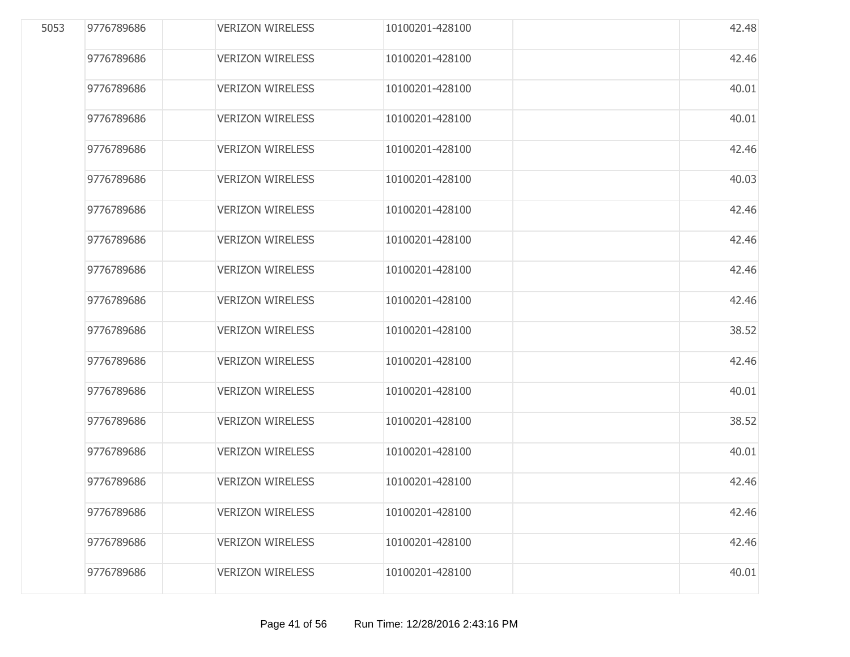| 5053 | 9776789686 | <b>VERIZON WIRELESS</b> | 10100201-428100 | 42.48 |
|------|------------|-------------------------|-----------------|-------|
|      | 9776789686 | <b>VERIZON WIRELESS</b> | 10100201-428100 | 42.46 |
|      | 9776789686 | <b>VERIZON WIRELESS</b> | 10100201-428100 | 40.01 |
|      | 9776789686 | <b>VERIZON WIRELESS</b> | 10100201-428100 | 40.01 |
|      | 9776789686 | <b>VERIZON WIRELESS</b> | 10100201-428100 | 42.46 |
|      | 9776789686 | <b>VERIZON WIRELESS</b> | 10100201-428100 | 40.03 |
|      | 9776789686 | <b>VERIZON WIRELESS</b> | 10100201-428100 | 42.46 |
|      | 9776789686 | <b>VERIZON WIRELESS</b> | 10100201-428100 | 42.46 |
|      | 9776789686 | <b>VERIZON WIRELESS</b> | 10100201-428100 | 42.46 |
|      | 9776789686 | <b>VERIZON WIRELESS</b> | 10100201-428100 | 42.46 |
|      | 9776789686 | <b>VERIZON WIRELESS</b> | 10100201-428100 | 38.52 |
|      | 9776789686 | <b>VERIZON WIRELESS</b> | 10100201-428100 | 42.46 |
|      | 9776789686 | <b>VERIZON WIRELESS</b> | 10100201-428100 | 40.01 |
|      | 9776789686 | <b>VERIZON WIRELESS</b> | 10100201-428100 | 38.52 |
|      | 9776789686 | <b>VERIZON WIRELESS</b> | 10100201-428100 | 40.01 |
|      | 9776789686 | <b>VERIZON WIRELESS</b> | 10100201-428100 | 42.46 |
|      | 9776789686 | <b>VERIZON WIRELESS</b> | 10100201-428100 | 42.46 |
|      | 9776789686 | <b>VERIZON WIRELESS</b> | 10100201-428100 | 42.46 |
|      | 9776789686 | <b>VERIZON WIRELESS</b> | 10100201-428100 | 40.01 |
|      |            |                         |                 |       |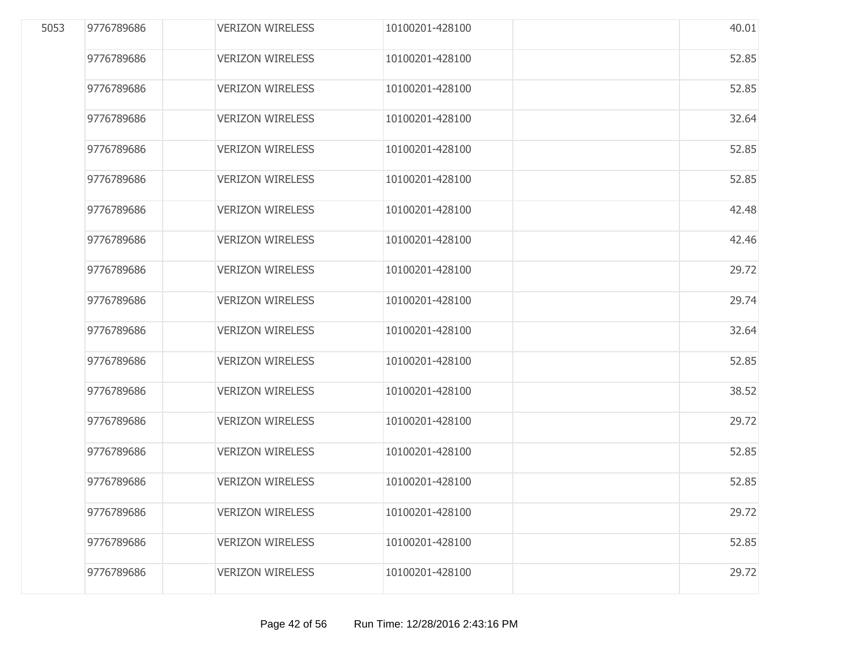| 5053 | 9776789686 | <b>VERIZON WIRELESS</b> | 10100201-428100 | 40.01 |
|------|------------|-------------------------|-----------------|-------|
|      | 9776789686 | <b>VERIZON WIRELESS</b> | 10100201-428100 | 52.85 |
|      | 9776789686 | <b>VERIZON WIRELESS</b> | 10100201-428100 | 52.85 |
|      | 9776789686 | <b>VERIZON WIRELESS</b> | 10100201-428100 | 32.64 |
|      | 9776789686 | <b>VERIZON WIRELESS</b> | 10100201-428100 | 52.85 |
|      | 9776789686 | <b>VERIZON WIRELESS</b> | 10100201-428100 | 52.85 |
|      | 9776789686 | <b>VERIZON WIRELESS</b> | 10100201-428100 | 42.48 |
|      | 9776789686 | <b>VERIZON WIRELESS</b> | 10100201-428100 | 42.46 |
|      | 9776789686 | <b>VERIZON WIRELESS</b> | 10100201-428100 | 29.72 |
|      | 9776789686 | <b>VERIZON WIRELESS</b> | 10100201-428100 | 29.74 |
|      | 9776789686 | <b>VERIZON WIRELESS</b> | 10100201-428100 | 32.64 |
|      | 9776789686 | <b>VERIZON WIRELESS</b> | 10100201-428100 | 52.85 |
|      | 9776789686 | <b>VERIZON WIRELESS</b> | 10100201-428100 | 38.52 |
|      | 9776789686 | <b>VERIZON WIRELESS</b> | 10100201-428100 | 29.72 |
|      | 9776789686 | <b>VERIZON WIRELESS</b> | 10100201-428100 | 52.85 |
|      | 9776789686 | <b>VERIZON WIRELESS</b> | 10100201-428100 | 52.85 |
|      | 9776789686 | <b>VERIZON WIRELESS</b> | 10100201-428100 | 29.72 |
|      | 9776789686 | <b>VERIZON WIRELESS</b> | 10100201-428100 | 52.85 |
|      | 9776789686 | <b>VERIZON WIRELESS</b> | 10100201-428100 | 29.72 |
|      |            |                         |                 |       |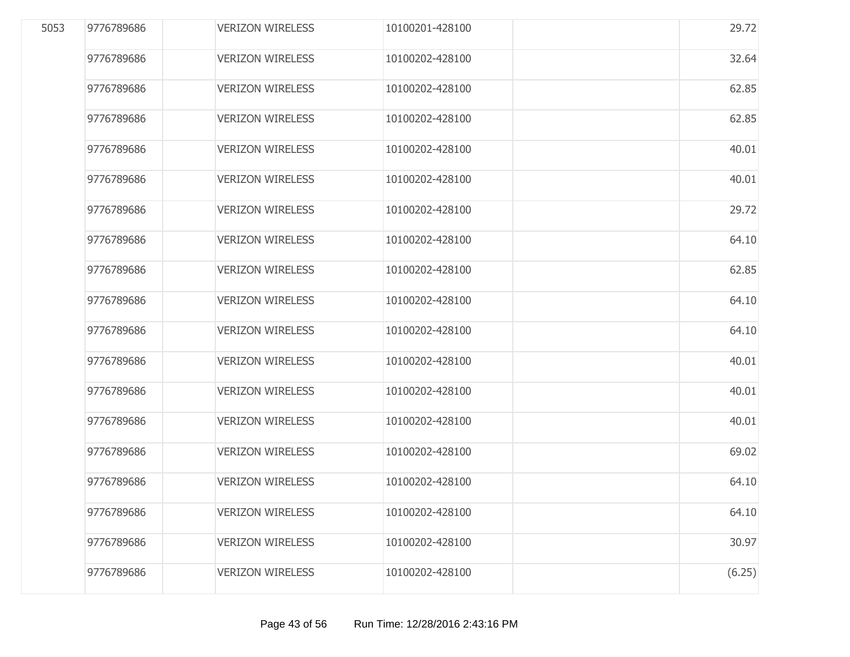| 5053 | 9776789686 | <b>VERIZON WIRELESS</b> | 10100201-428100 | 29.72  |
|------|------------|-------------------------|-----------------|--------|
|      | 9776789686 | <b>VERIZON WIRELESS</b> | 10100202-428100 | 32.64  |
|      | 9776789686 | <b>VERIZON WIRELESS</b> | 10100202-428100 | 62.85  |
|      | 9776789686 | <b>VERIZON WIRELESS</b> | 10100202-428100 | 62.85  |
|      | 9776789686 | <b>VERIZON WIRELESS</b> | 10100202-428100 | 40.01  |
|      | 9776789686 | <b>VERIZON WIRELESS</b> | 10100202-428100 | 40.01  |
|      | 9776789686 | <b>VERIZON WIRELESS</b> | 10100202-428100 | 29.72  |
|      | 9776789686 | <b>VERIZON WIRELESS</b> | 10100202-428100 | 64.10  |
|      | 9776789686 | <b>VERIZON WIRELESS</b> | 10100202-428100 | 62.85  |
|      | 9776789686 | <b>VERIZON WIRELESS</b> | 10100202-428100 | 64.10  |
|      | 9776789686 | <b>VERIZON WIRELESS</b> | 10100202-428100 | 64.10  |
|      | 9776789686 | <b>VERIZON WIRELESS</b> | 10100202-428100 | 40.01  |
|      | 9776789686 | <b>VERIZON WIRELESS</b> | 10100202-428100 | 40.01  |
|      | 9776789686 | <b>VERIZON WIRELESS</b> | 10100202-428100 | 40.01  |
|      | 9776789686 | <b>VERIZON WIRELESS</b> | 10100202-428100 | 69.02  |
|      | 9776789686 | <b>VERIZON WIRELESS</b> | 10100202-428100 | 64.10  |
|      | 9776789686 | <b>VERIZON WIRELESS</b> | 10100202-428100 | 64.10  |
|      | 9776789686 | <b>VERIZON WIRELESS</b> | 10100202-428100 | 30.97  |
|      | 9776789686 | <b>VERIZON WIRELESS</b> | 10100202-428100 | (6.25) |
|      |            |                         |                 |        |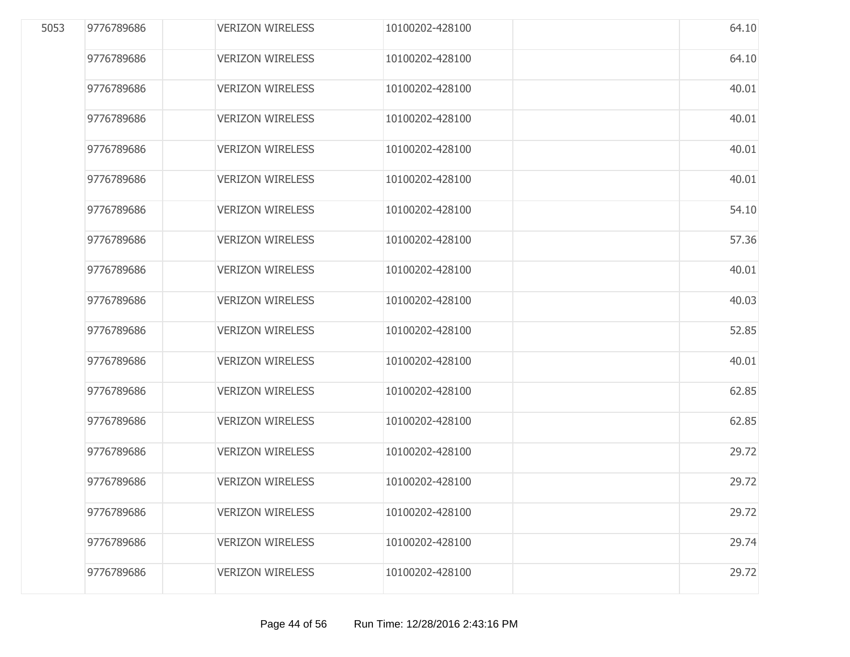| 5053 | 9776789686 | <b>VERIZON WIRELESS</b> | 10100202-428100 | 64.10 |
|------|------------|-------------------------|-----------------|-------|
|      | 9776789686 | <b>VERIZON WIRELESS</b> | 10100202-428100 | 64.10 |
|      | 9776789686 | <b>VERIZON WIRELESS</b> | 10100202-428100 | 40.01 |
|      | 9776789686 | <b>VERIZON WIRELESS</b> | 10100202-428100 | 40.01 |
|      | 9776789686 | <b>VERIZON WIRELESS</b> | 10100202-428100 | 40.01 |
|      | 9776789686 | <b>VERIZON WIRELESS</b> | 10100202-428100 | 40.01 |
|      | 9776789686 | <b>VERIZON WIRELESS</b> | 10100202-428100 | 54.10 |
|      | 9776789686 | <b>VERIZON WIRELESS</b> | 10100202-428100 | 57.36 |
|      | 9776789686 | <b>VERIZON WIRELESS</b> | 10100202-428100 | 40.01 |
|      | 9776789686 | <b>VERIZON WIRELESS</b> | 10100202-428100 | 40.03 |
|      | 9776789686 | <b>VERIZON WIRELESS</b> | 10100202-428100 | 52.85 |
|      | 9776789686 | <b>VERIZON WIRELESS</b> | 10100202-428100 | 40.01 |
|      | 9776789686 | <b>VERIZON WIRELESS</b> | 10100202-428100 | 62.85 |
|      | 9776789686 | <b>VERIZON WIRELESS</b> | 10100202-428100 | 62.85 |
|      | 9776789686 | <b>VERIZON WIRELESS</b> | 10100202-428100 | 29.72 |
|      | 9776789686 | <b>VERIZON WIRELESS</b> | 10100202-428100 | 29.72 |
|      | 9776789686 | <b>VERIZON WIRELESS</b> | 10100202-428100 | 29.72 |
|      | 9776789686 | <b>VERIZON WIRELESS</b> | 10100202-428100 | 29.74 |
|      | 9776789686 | <b>VERIZON WIRELESS</b> | 10100202-428100 | 29.72 |
|      |            |                         |                 |       |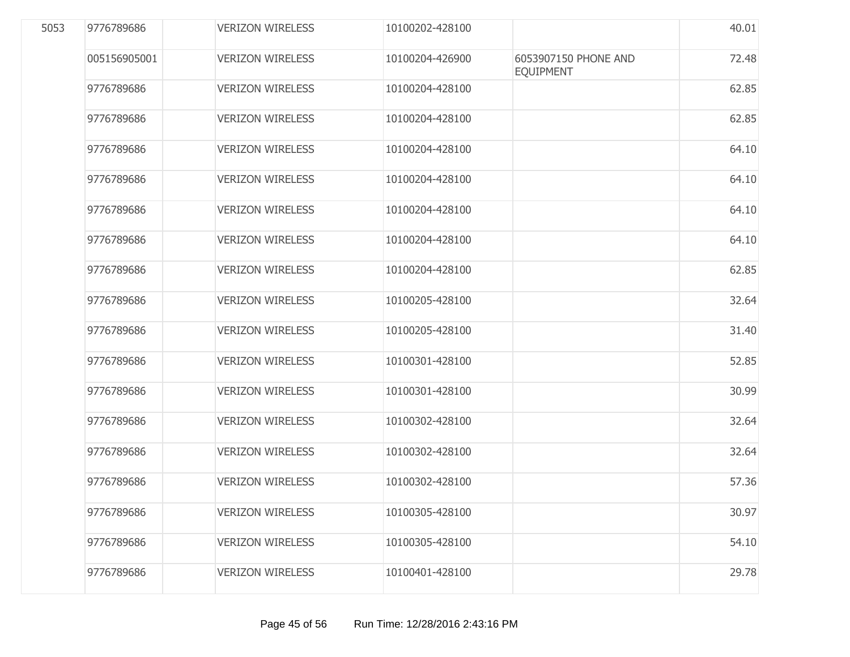| 5053 | 9776789686   | <b>VERIZON WIRELESS</b> | 10100202-428100 |                                          | 40.01 |
|------|--------------|-------------------------|-----------------|------------------------------------------|-------|
|      | 005156905001 | <b>VERIZON WIRELESS</b> | 10100204-426900 | 6053907150 PHONE AND<br><b>EQUIPMENT</b> | 72.48 |
|      | 9776789686   | <b>VERIZON WIRELESS</b> | 10100204-428100 |                                          | 62.85 |
|      | 9776789686   | <b>VERIZON WIRELESS</b> | 10100204-428100 |                                          | 62.85 |
|      | 9776789686   | <b>VERIZON WIRELESS</b> | 10100204-428100 |                                          | 64.10 |
|      | 9776789686   | <b>VERIZON WIRELESS</b> | 10100204-428100 |                                          | 64.10 |
|      | 9776789686   | <b>VERIZON WIRELESS</b> | 10100204-428100 |                                          | 64.10 |
|      | 9776789686   | <b>VERIZON WIRELESS</b> | 10100204-428100 |                                          | 64.10 |
|      | 9776789686   | <b>VERIZON WIRELESS</b> | 10100204-428100 |                                          | 62.85 |
|      | 9776789686   | <b>VERIZON WIRELESS</b> | 10100205-428100 |                                          | 32.64 |
|      | 9776789686   | <b>VERIZON WIRELESS</b> | 10100205-428100 |                                          | 31.40 |
|      | 9776789686   | <b>VERIZON WIRELESS</b> | 10100301-428100 |                                          | 52.85 |
|      | 9776789686   | <b>VERIZON WIRELESS</b> | 10100301-428100 |                                          | 30.99 |
|      | 9776789686   | <b>VERIZON WIRELESS</b> | 10100302-428100 |                                          | 32.64 |
|      | 9776789686   | <b>VERIZON WIRELESS</b> | 10100302-428100 |                                          | 32.64 |
|      | 9776789686   | <b>VERIZON WIRELESS</b> | 10100302-428100 |                                          | 57.36 |
|      | 9776789686   | <b>VERIZON WIRELESS</b> | 10100305-428100 |                                          | 30.97 |
|      | 9776789686   | <b>VERIZON WIRELESS</b> | 10100305-428100 |                                          | 54.10 |
|      | 9776789686   | <b>VERIZON WIRELESS</b> | 10100401-428100 |                                          | 29.78 |
|      |              |                         |                 |                                          |       |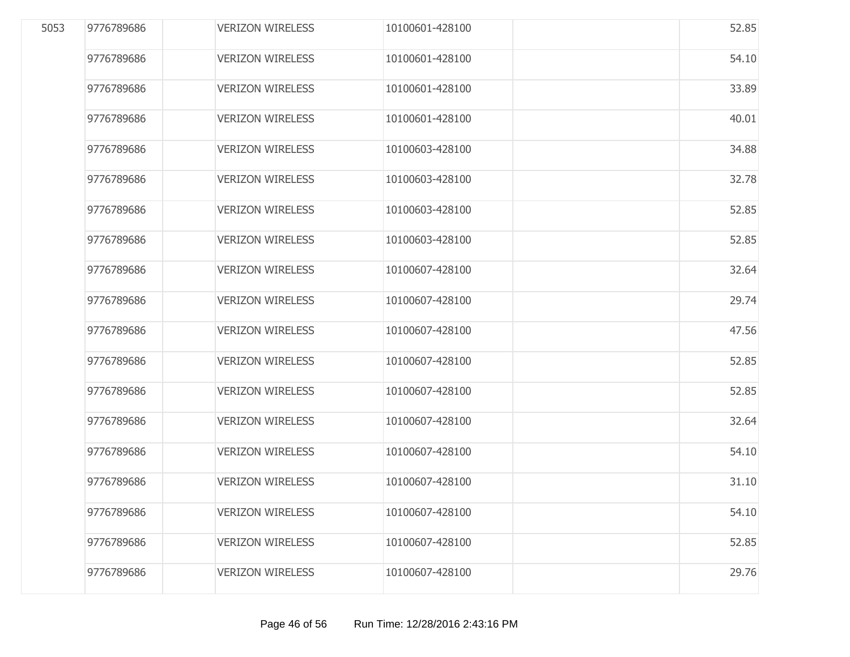| 5053 | 9776789686 | <b>VERIZON WIRELESS</b> | 10100601-428100 | 52.85 |
|------|------------|-------------------------|-----------------|-------|
|      | 9776789686 | <b>VERIZON WIRELESS</b> | 10100601-428100 | 54.10 |
|      | 9776789686 | <b>VERIZON WIRELESS</b> | 10100601-428100 | 33.89 |
|      | 9776789686 | <b>VERIZON WIRELESS</b> | 10100601-428100 | 40.01 |
|      | 9776789686 | <b>VERIZON WIRELESS</b> | 10100603-428100 | 34.88 |
|      | 9776789686 | <b>VERIZON WIRELESS</b> | 10100603-428100 | 32.78 |
|      | 9776789686 | <b>VERIZON WIRELESS</b> | 10100603-428100 | 52.85 |
|      | 9776789686 | <b>VERIZON WIRELESS</b> | 10100603-428100 | 52.85 |
|      | 9776789686 | <b>VERIZON WIRELESS</b> | 10100607-428100 | 32.64 |
|      | 9776789686 | <b>VERIZON WIRELESS</b> | 10100607-428100 | 29.74 |
|      | 9776789686 | <b>VERIZON WIRELESS</b> | 10100607-428100 | 47.56 |
|      | 9776789686 | <b>VERIZON WIRELESS</b> | 10100607-428100 | 52.85 |
|      | 9776789686 | <b>VERIZON WIRELESS</b> | 10100607-428100 | 52.85 |
|      | 9776789686 | <b>VERIZON WIRELESS</b> | 10100607-428100 | 32.64 |
|      | 9776789686 | <b>VERIZON WIRELESS</b> | 10100607-428100 | 54.10 |
|      | 9776789686 | <b>VERIZON WIRELESS</b> | 10100607-428100 | 31.10 |
|      | 9776789686 | <b>VERIZON WIRELESS</b> | 10100607-428100 | 54.10 |
|      | 9776789686 | <b>VERIZON WIRELESS</b> | 10100607-428100 | 52.85 |
|      | 9776789686 | <b>VERIZON WIRELESS</b> | 10100607-428100 | 29.76 |
|      |            |                         |                 |       |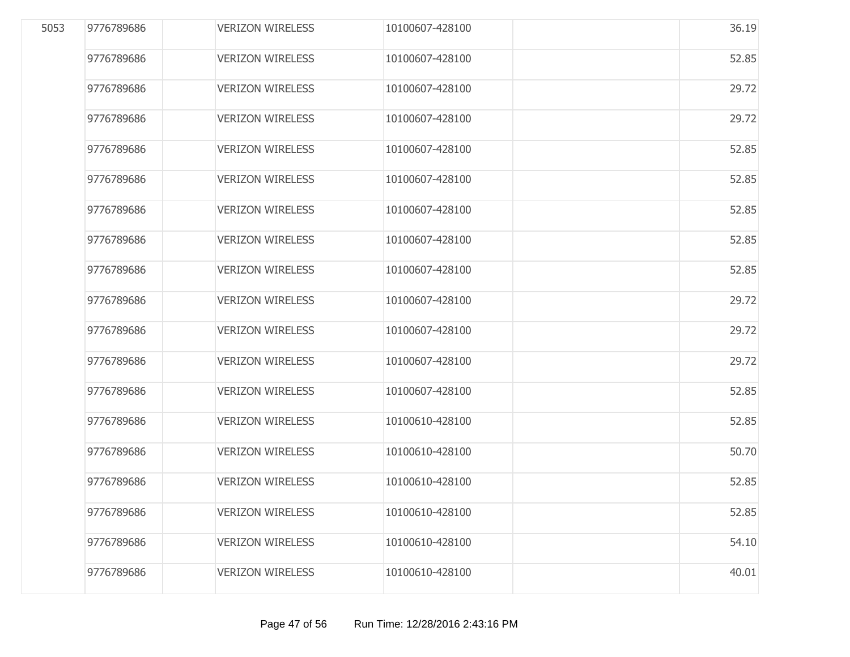| 5053 | 9776789686 | <b>VERIZON WIRELESS</b> | 10100607-428100 | 36.19 |
|------|------------|-------------------------|-----------------|-------|
|      | 9776789686 | <b>VERIZON WIRELESS</b> | 10100607-428100 | 52.85 |
|      | 9776789686 | <b>VERIZON WIRELESS</b> | 10100607-428100 | 29.72 |
|      | 9776789686 | <b>VERIZON WIRELESS</b> | 10100607-428100 | 29.72 |
|      | 9776789686 | <b>VERIZON WIRELESS</b> | 10100607-428100 | 52.85 |
|      | 9776789686 | <b>VERIZON WIRELESS</b> | 10100607-428100 | 52.85 |
|      | 9776789686 | <b>VERIZON WIRELESS</b> | 10100607-428100 | 52.85 |
|      | 9776789686 | <b>VERIZON WIRELESS</b> | 10100607-428100 | 52.85 |
|      | 9776789686 | <b>VERIZON WIRELESS</b> | 10100607-428100 | 52.85 |
|      | 9776789686 | <b>VERIZON WIRELESS</b> | 10100607-428100 | 29.72 |
|      | 9776789686 | <b>VERIZON WIRELESS</b> | 10100607-428100 | 29.72 |
|      | 9776789686 | <b>VERIZON WIRELESS</b> | 10100607-428100 | 29.72 |
|      | 9776789686 | <b>VERIZON WIRELESS</b> | 10100607-428100 | 52.85 |
|      | 9776789686 | <b>VERIZON WIRELESS</b> | 10100610-428100 | 52.85 |
|      | 9776789686 | <b>VERIZON WIRELESS</b> | 10100610-428100 | 50.70 |
|      | 9776789686 | <b>VERIZON WIRELESS</b> | 10100610-428100 | 52.85 |
|      | 9776789686 | <b>VERIZON WIRELESS</b> | 10100610-428100 | 52.85 |
|      | 9776789686 | <b>VERIZON WIRELESS</b> | 10100610-428100 | 54.10 |
|      | 9776789686 | <b>VERIZON WIRELESS</b> | 10100610-428100 | 40.01 |
|      |            |                         |                 |       |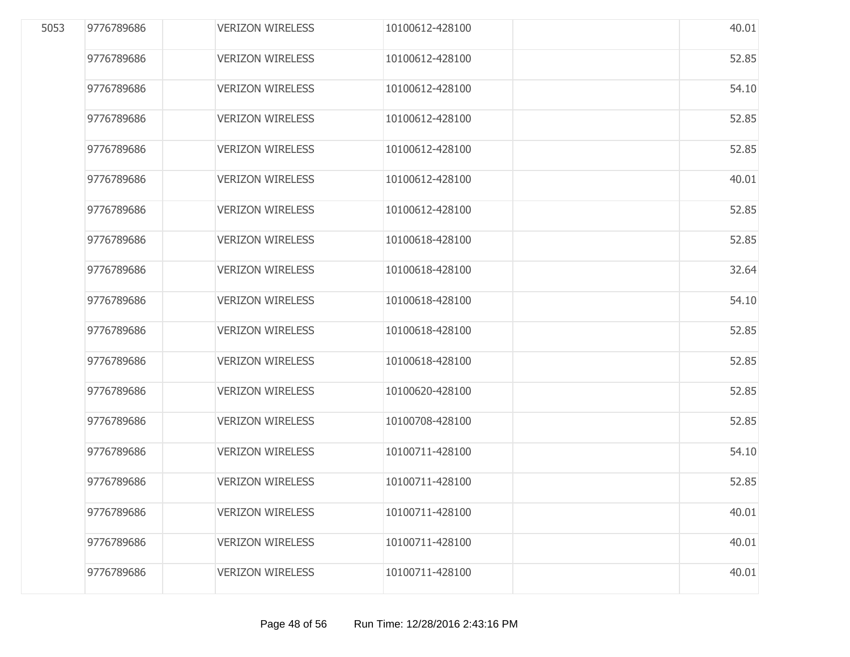| 5053 | 9776789686 | <b>VERIZON WIRELESS</b> | 10100612-428100 | 40.01 |
|------|------------|-------------------------|-----------------|-------|
|      | 9776789686 | <b>VERIZON WIRELESS</b> | 10100612-428100 | 52.85 |
|      | 9776789686 | <b>VERIZON WIRELESS</b> | 10100612-428100 | 54.10 |
|      | 9776789686 | <b>VERIZON WIRELESS</b> | 10100612-428100 | 52.85 |
|      | 9776789686 | <b>VERIZON WIRELESS</b> | 10100612-428100 | 52.85 |
|      | 9776789686 | <b>VERIZON WIRELESS</b> | 10100612-428100 | 40.01 |
|      | 9776789686 | <b>VERIZON WIRELESS</b> | 10100612-428100 | 52.85 |
|      | 9776789686 | <b>VERIZON WIRELESS</b> | 10100618-428100 | 52.85 |
|      | 9776789686 | <b>VERIZON WIRELESS</b> | 10100618-428100 | 32.64 |
|      | 9776789686 | <b>VERIZON WIRELESS</b> | 10100618-428100 | 54.10 |
|      | 9776789686 | <b>VERIZON WIRELESS</b> | 10100618-428100 | 52.85 |
|      | 9776789686 | <b>VERIZON WIRELESS</b> | 10100618-428100 | 52.85 |
|      | 9776789686 | <b>VERIZON WIRELESS</b> | 10100620-428100 | 52.85 |
|      | 9776789686 | <b>VERIZON WIRELESS</b> | 10100708-428100 | 52.85 |
|      | 9776789686 | <b>VERIZON WIRELESS</b> | 10100711-428100 | 54.10 |
|      | 9776789686 | <b>VERIZON WIRELESS</b> | 10100711-428100 | 52.85 |
|      | 9776789686 | <b>VERIZON WIRELESS</b> | 10100711-428100 | 40.01 |
|      | 9776789686 | <b>VERIZON WIRELESS</b> | 10100711-428100 | 40.01 |
|      | 9776789686 | <b>VERIZON WIRELESS</b> | 10100711-428100 | 40.01 |
|      |            |                         |                 |       |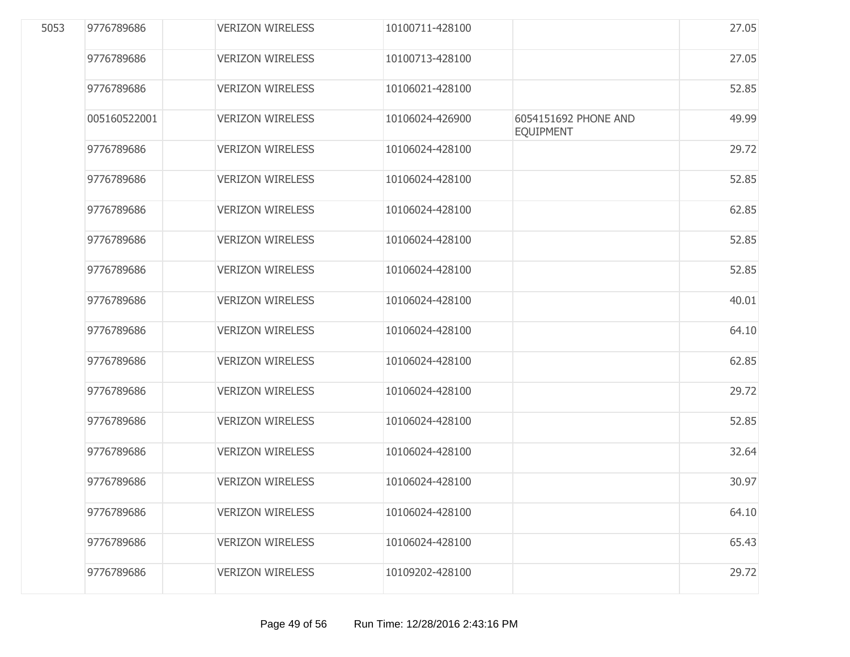| 5053 | 9776789686   | <b>VERIZON WIRELESS</b> | 10100711-428100 |                                          | 27.05 |
|------|--------------|-------------------------|-----------------|------------------------------------------|-------|
|      | 9776789686   | <b>VERIZON WIRELESS</b> | 10100713-428100 |                                          | 27.05 |
|      | 9776789686   | <b>VERIZON WIRELESS</b> | 10106021-428100 |                                          | 52.85 |
|      | 005160522001 | <b>VERIZON WIRELESS</b> | 10106024-426900 | 6054151692 PHONE AND<br><b>EQUIPMENT</b> | 49.99 |
|      | 9776789686   | <b>VERIZON WIRELESS</b> | 10106024-428100 |                                          | 29.72 |
|      | 9776789686   | <b>VERIZON WIRELESS</b> | 10106024-428100 |                                          | 52.85 |
|      | 9776789686   | <b>VERIZON WIRELESS</b> | 10106024-428100 |                                          | 62.85 |
|      | 9776789686   | <b>VERIZON WIRELESS</b> | 10106024-428100 |                                          | 52.85 |
|      | 9776789686   | <b>VERIZON WIRELESS</b> | 10106024-428100 |                                          | 52.85 |
|      | 9776789686   | <b>VERIZON WIRELESS</b> | 10106024-428100 |                                          | 40.01 |
|      | 9776789686   | <b>VERIZON WIRELESS</b> | 10106024-428100 |                                          | 64.10 |
|      | 9776789686   | <b>VERIZON WIRELESS</b> | 10106024-428100 |                                          | 62.85 |
|      | 9776789686   | <b>VERIZON WIRELESS</b> | 10106024-428100 |                                          | 29.72 |
|      | 9776789686   | <b>VERIZON WIRELESS</b> | 10106024-428100 |                                          | 52.85 |
|      | 9776789686   | <b>VERIZON WIRELESS</b> | 10106024-428100 |                                          | 32.64 |
|      | 9776789686   | <b>VERIZON WIRELESS</b> | 10106024-428100 |                                          | 30.97 |
|      | 9776789686   | <b>VERIZON WIRELESS</b> | 10106024-428100 |                                          | 64.10 |
|      | 9776789686   | <b>VERIZON WIRELESS</b> | 10106024-428100 |                                          | 65.43 |
|      | 9776789686   | <b>VERIZON WIRELESS</b> | 10109202-428100 |                                          | 29.72 |
|      |              |                         |                 |                                          |       |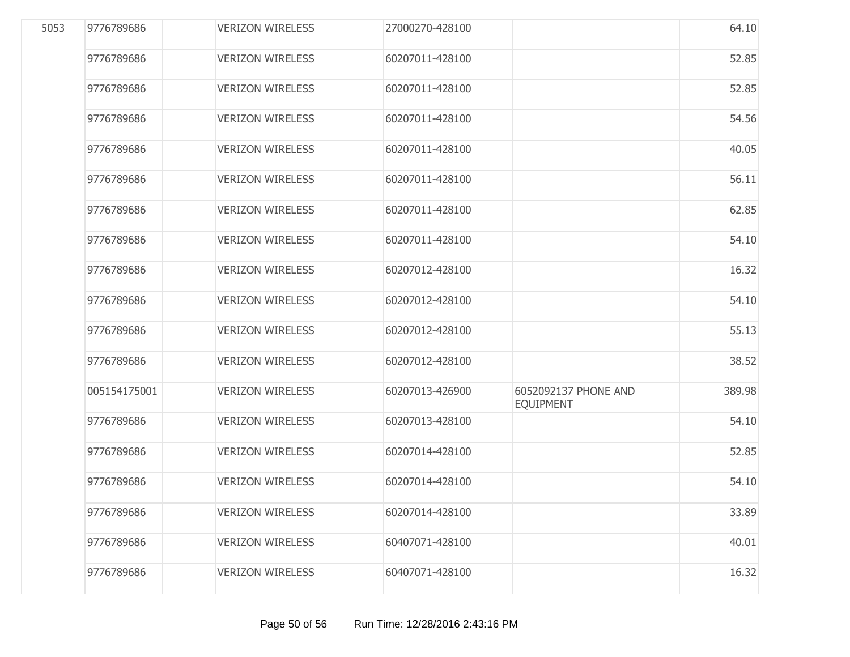| 5053 | 9776789686   | <b>VERIZON WIRELESS</b> | 27000270-428100 |                                          | 64.10  |
|------|--------------|-------------------------|-----------------|------------------------------------------|--------|
|      | 9776789686   | <b>VERIZON WIRELESS</b> | 60207011-428100 |                                          | 52.85  |
|      | 9776789686   | <b>VERIZON WIRELESS</b> | 60207011-428100 |                                          | 52.85  |
|      | 9776789686   | <b>VERIZON WIRELESS</b> | 60207011-428100 |                                          | 54.56  |
|      | 9776789686   | <b>VERIZON WIRELESS</b> | 60207011-428100 |                                          | 40.05  |
|      | 9776789686   | <b>VERIZON WIRELESS</b> | 60207011-428100 |                                          | 56.11  |
|      | 9776789686   | <b>VERIZON WIRELESS</b> | 60207011-428100 |                                          | 62.85  |
|      | 9776789686   | <b>VERIZON WIRELESS</b> | 60207011-428100 |                                          | 54.10  |
|      | 9776789686   | <b>VERIZON WIRELESS</b> | 60207012-428100 |                                          | 16.32  |
|      | 9776789686   | <b>VERIZON WIRELESS</b> | 60207012-428100 |                                          | 54.10  |
|      | 9776789686   | <b>VERIZON WIRELESS</b> | 60207012-428100 |                                          | 55.13  |
|      | 9776789686   | <b>VERIZON WIRELESS</b> | 60207012-428100 |                                          | 38.52  |
|      | 005154175001 | <b>VERIZON WIRELESS</b> | 60207013-426900 | 6052092137 PHONE AND<br><b>EQUIPMENT</b> | 389.98 |
|      | 9776789686   | <b>VERIZON WIRELESS</b> | 60207013-428100 |                                          | 54.10  |
|      | 9776789686   | <b>VERIZON WIRELESS</b> | 60207014-428100 |                                          | 52.85  |
|      | 9776789686   | <b>VERIZON WIRELESS</b> | 60207014-428100 |                                          | 54.10  |
|      | 9776789686   | <b>VERIZON WIRELESS</b> | 60207014-428100 |                                          | 33.89  |
|      | 9776789686   | <b>VERIZON WIRELESS</b> | 60407071-428100 |                                          | 40.01  |
|      | 9776789686   | <b>VERIZON WIRELESS</b> | 60407071-428100 |                                          | 16.32  |
|      |              |                         |                 |                                          |        |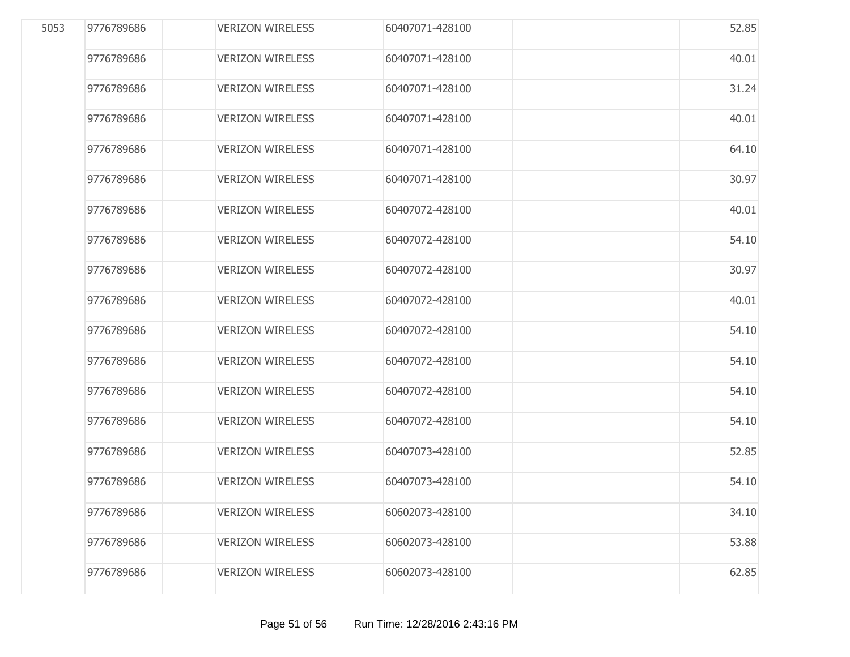| 5053 | 9776789686 | <b>VERIZON WIRELESS</b> | 60407071-428100 | 52.85 |
|------|------------|-------------------------|-----------------|-------|
|      | 9776789686 | <b>VERIZON WIRELESS</b> | 60407071-428100 | 40.01 |
|      | 9776789686 | <b>VERIZON WIRELESS</b> | 60407071-428100 | 31.24 |
|      | 9776789686 | <b>VERIZON WIRELESS</b> | 60407071-428100 | 40.01 |
|      | 9776789686 | <b>VERIZON WIRELESS</b> | 60407071-428100 | 64.10 |
|      | 9776789686 | <b>VERIZON WIRELESS</b> | 60407071-428100 | 30.97 |
|      | 9776789686 | <b>VERIZON WIRELESS</b> | 60407072-428100 | 40.01 |
|      | 9776789686 | <b>VERIZON WIRELESS</b> | 60407072-428100 | 54.10 |
|      | 9776789686 | <b>VERIZON WIRELESS</b> | 60407072-428100 | 30.97 |
|      | 9776789686 | <b>VERIZON WIRELESS</b> | 60407072-428100 | 40.01 |
|      | 9776789686 | <b>VERIZON WIRELESS</b> | 60407072-428100 | 54.10 |
|      | 9776789686 | <b>VERIZON WIRELESS</b> | 60407072-428100 | 54.10 |
|      | 9776789686 | <b>VERIZON WIRELESS</b> | 60407072-428100 | 54.10 |
|      | 9776789686 | <b>VERIZON WIRELESS</b> | 60407072-428100 | 54.10 |
|      | 9776789686 | <b>VERIZON WIRELESS</b> | 60407073-428100 | 52.85 |
|      | 9776789686 | <b>VERIZON WIRELESS</b> | 60407073-428100 | 54.10 |
|      | 9776789686 | <b>VERIZON WIRELESS</b> | 60602073-428100 | 34.10 |
|      | 9776789686 | <b>VERIZON WIRELESS</b> | 60602073-428100 | 53.88 |
|      | 9776789686 | <b>VERIZON WIRELESS</b> | 60602073-428100 | 62.85 |
|      |            |                         |                 |       |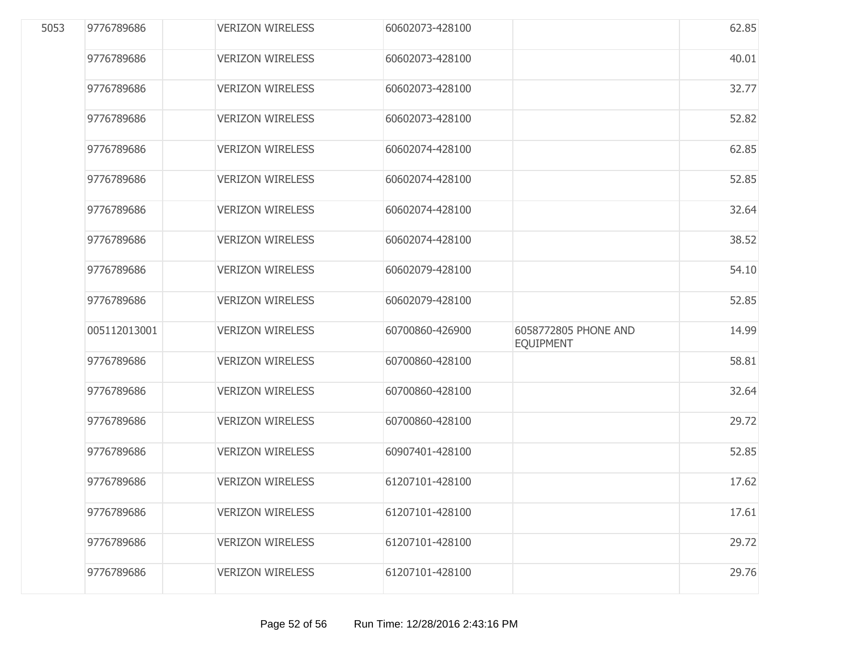| 5053 | 9776789686   | <b>VERIZON WIRELESS</b> | 60602073-428100 |                                          | 62.85 |
|------|--------------|-------------------------|-----------------|------------------------------------------|-------|
|      | 9776789686   | <b>VERIZON WIRELESS</b> | 60602073-428100 |                                          | 40.01 |
|      | 9776789686   | <b>VERIZON WIRELESS</b> | 60602073-428100 |                                          | 32.77 |
|      | 9776789686   | <b>VERIZON WIRELESS</b> | 60602073-428100 |                                          | 52.82 |
|      | 9776789686   | <b>VERIZON WIRELESS</b> | 60602074-428100 |                                          | 62.85 |
|      | 9776789686   | <b>VERIZON WIRELESS</b> | 60602074-428100 |                                          | 52.85 |
|      | 9776789686   | <b>VERIZON WIRELESS</b> | 60602074-428100 |                                          | 32.64 |
|      | 9776789686   | <b>VERIZON WIRELESS</b> | 60602074-428100 |                                          | 38.52 |
|      | 9776789686   | <b>VERIZON WIRELESS</b> | 60602079-428100 |                                          | 54.10 |
|      | 9776789686   | <b>VERIZON WIRELESS</b> | 60602079-428100 |                                          | 52.85 |
|      | 005112013001 | <b>VERIZON WIRELESS</b> | 60700860-426900 | 6058772805 PHONE AND<br><b>EQUIPMENT</b> | 14.99 |
|      | 9776789686   | <b>VERIZON WIRELESS</b> | 60700860-428100 |                                          | 58.81 |
|      | 9776789686   | <b>VERIZON WIRELESS</b> | 60700860-428100 |                                          | 32.64 |
|      | 9776789686   | <b>VERIZON WIRELESS</b> | 60700860-428100 |                                          | 29.72 |
|      | 9776789686   | <b>VERIZON WIRELESS</b> | 60907401-428100 |                                          | 52.85 |
|      | 9776789686   | <b>VERIZON WIRELESS</b> | 61207101-428100 |                                          | 17.62 |
|      | 9776789686   | <b>VERIZON WIRELESS</b> | 61207101-428100 |                                          | 17.61 |
|      | 9776789686   | <b>VERIZON WIRELESS</b> | 61207101-428100 |                                          | 29.72 |
|      | 9776789686   | <b>VERIZON WIRELESS</b> | 61207101-428100 |                                          | 29.76 |
|      |              |                         |                 |                                          |       |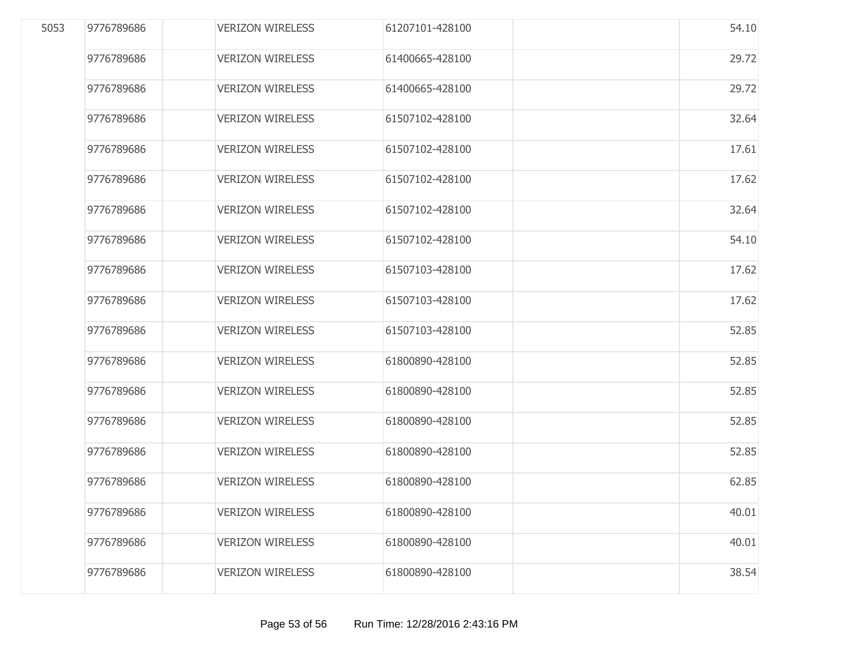| 5053 | 9776789686 | <b>VERIZON WIRELESS</b> | 61207101-428100 | 54.10 |
|------|------------|-------------------------|-----------------|-------|
|      | 9776789686 | <b>VERIZON WIRELESS</b> | 61400665-428100 | 29.72 |
|      | 9776789686 | <b>VERIZON WIRELESS</b> | 61400665-428100 | 29.72 |
|      | 9776789686 | <b>VERIZON WIRELESS</b> | 61507102-428100 | 32.64 |
|      | 9776789686 | <b>VERIZON WIRELESS</b> | 61507102-428100 | 17.61 |
|      | 9776789686 | <b>VERIZON WIRELESS</b> | 61507102-428100 | 17.62 |
|      | 9776789686 | <b>VERIZON WIRELESS</b> | 61507102-428100 | 32.64 |
|      | 9776789686 | <b>VERIZON WIRELESS</b> | 61507102-428100 | 54.10 |
|      | 9776789686 | <b>VERIZON WIRELESS</b> | 61507103-428100 | 17.62 |
|      | 9776789686 | <b>VERIZON WIRELESS</b> | 61507103-428100 | 17.62 |
|      | 9776789686 | <b>VERIZON WIRELESS</b> | 61507103-428100 | 52.85 |
|      | 9776789686 | <b>VERIZON WIRELESS</b> | 61800890-428100 | 52.85 |
|      | 9776789686 | <b>VERIZON WIRELESS</b> | 61800890-428100 | 52.85 |
|      | 9776789686 | <b>VERIZON WIRELESS</b> | 61800890-428100 | 52.85 |
|      | 9776789686 | <b>VERIZON WIRELESS</b> | 61800890-428100 | 52.85 |
|      | 9776789686 | <b>VERIZON WIRELESS</b> | 61800890-428100 | 62.85 |
|      | 9776789686 | <b>VERIZON WIRELESS</b> | 61800890-428100 | 40.01 |
|      | 9776789686 | <b>VERIZON WIRELESS</b> | 61800890-428100 | 40.01 |
|      | 9776789686 | <b>VERIZON WIRELESS</b> | 61800890-428100 | 38.54 |
|      |            |                         |                 |       |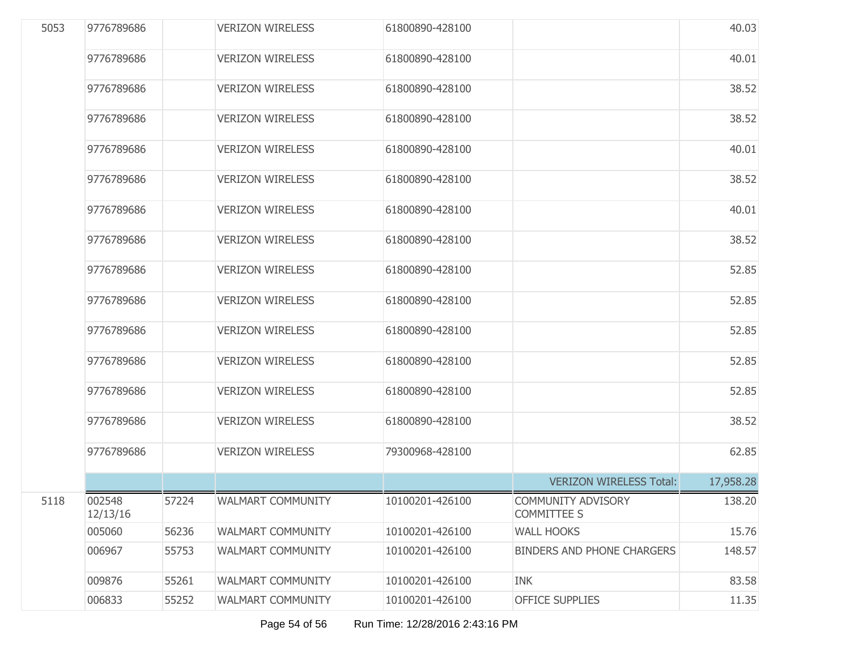| 5053 | 9776789686         |       | <b>VERIZON WIRELESS</b>  | 61800890-428100 |                                                 | 40.03     |
|------|--------------------|-------|--------------------------|-----------------|-------------------------------------------------|-----------|
|      | 9776789686         |       | <b>VERIZON WIRELESS</b>  | 61800890-428100 |                                                 | 40.01     |
|      | 9776789686         |       | <b>VERIZON WIRELESS</b>  | 61800890-428100 |                                                 | 38.52     |
|      | 9776789686         |       | <b>VERIZON WIRELESS</b>  | 61800890-428100 |                                                 | 38.52     |
|      | 9776789686         |       | <b>VERIZON WIRELESS</b>  | 61800890-428100 |                                                 | 40.01     |
|      | 9776789686         |       | <b>VERIZON WIRELESS</b>  | 61800890-428100 |                                                 | 38.52     |
|      | 9776789686         |       | <b>VERIZON WIRELESS</b>  | 61800890-428100 |                                                 | 40.01     |
|      | 9776789686         |       | <b>VERIZON WIRELESS</b>  | 61800890-428100 |                                                 | 38.52     |
|      | 9776789686         |       | <b>VERIZON WIRELESS</b>  | 61800890-428100 |                                                 | 52.85     |
|      | 9776789686         |       | <b>VERIZON WIRELESS</b>  | 61800890-428100 |                                                 | 52.85     |
|      | 9776789686         |       | <b>VERIZON WIRELESS</b>  | 61800890-428100 |                                                 | 52.85     |
|      | 9776789686         |       | <b>VERIZON WIRELESS</b>  | 61800890-428100 |                                                 | 52.85     |
|      | 9776789686         |       | <b>VERIZON WIRELESS</b>  | 61800890-428100 |                                                 | 52.85     |
|      | 9776789686         |       | <b>VERIZON WIRELESS</b>  | 61800890-428100 |                                                 | 38.52     |
|      | 9776789686         |       | <b>VERIZON WIRELESS</b>  | 79300968-428100 |                                                 | 62.85     |
|      |                    |       |                          |                 | <b>VERIZON WIRELESS Total:</b>                  | 17,958.28 |
| 5118 | 002548<br>12/13/16 | 57224 | WALMART COMMUNITY        | 10100201-426100 | <b>COMMUNITY ADVISORY</b><br><b>COMMITTEE S</b> | 138.20    |
|      | 005060             | 56236 | <b>WALMART COMMUNITY</b> | 10100201-426100 | <b>WALL HOOKS</b>                               | 15.76     |
|      | 006967             | 55753 | <b>WALMART COMMUNITY</b> | 10100201-426100 | <b>BINDERS AND PHONE CHARGERS</b>               | 148.57    |
|      | 009876             | 55261 | <b>WALMART COMMUNITY</b> | 10100201-426100 | <b>INK</b>                                      | 83.58     |
|      | 006833             | 55252 | <b>WALMART COMMUNITY</b> | 10100201-426100 | <b>OFFICE SUPPLIES</b>                          | 11.35     |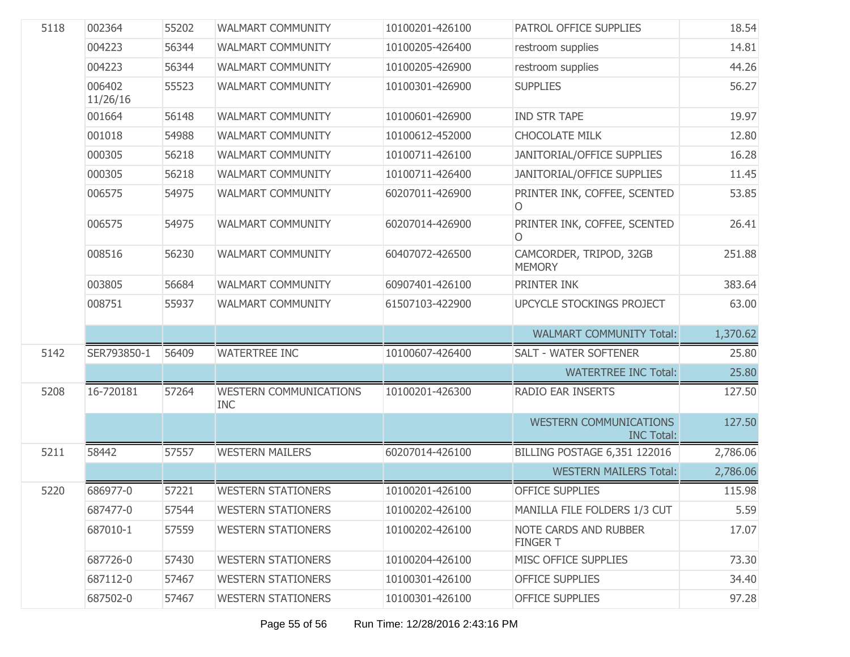| 5118 | 002364             | 55202 | <b>WALMART COMMUNITY</b>                    | 10100201-426100 | PATROL OFFICE SUPPLIES                             | 18.54    |
|------|--------------------|-------|---------------------------------------------|-----------------|----------------------------------------------------|----------|
|      | 004223             | 56344 | <b>WALMART COMMUNITY</b>                    | 10100205-426400 | restroom supplies                                  | 14.81    |
|      | 004223             | 56344 | <b>WALMART COMMUNITY</b>                    | 10100205-426900 | restroom supplies                                  | 44.26    |
|      | 006402<br>11/26/16 | 55523 | <b>WALMART COMMUNITY</b>                    | 10100301-426900 | <b>SUPPLIES</b>                                    | 56.27    |
|      | 001664             | 56148 | <b>WALMART COMMUNITY</b>                    | 10100601-426900 | <b>IND STR TAPE</b>                                | 19.97    |
|      | 001018             | 54988 | <b>WALMART COMMUNITY</b>                    | 10100612-452000 | <b>CHOCOLATE MILK</b>                              | 12.80    |
|      | 000305             | 56218 | <b>WALMART COMMUNITY</b>                    | 10100711-426100 | JANITORIAL/OFFICE SUPPLIES                         | 16.28    |
|      | 000305             | 56218 | <b>WALMART COMMUNITY</b>                    | 10100711-426400 | JANITORIAL/OFFICE SUPPLIES                         | 11.45    |
|      | 006575             | 54975 | <b>WALMART COMMUNITY</b>                    | 60207011-426900 | PRINTER INK, COFFEE, SCENTED<br>0                  | 53.85    |
|      | 006575             | 54975 | <b>WALMART COMMUNITY</b>                    | 60207014-426900 | PRINTER INK, COFFEE, SCENTED<br>0                  | 26.41    |
|      | 008516             | 56230 | WALMART COMMUNITY                           | 60407072-426500 | CAMCORDER, TRIPOD, 32GB<br><b>MEMORY</b>           | 251.88   |
|      | 003805             | 56684 | WALMART COMMUNITY                           | 60907401-426100 | PRINTER INK                                        | 383.64   |
|      | 008751             | 55937 | <b>WALMART COMMUNITY</b>                    | 61507103-422900 | UPCYCLE STOCKINGS PROJECT                          | 63.00    |
|      |                    |       |                                             |                 | <b>WALMART COMMUNITY Total:</b>                    | 1,370.62 |
| 5142 | SER793850-1        | 56409 | <b>WATERTREE INC</b>                        | 10100607-426400 | <b>SALT - WATER SOFTENER</b>                       | 25.80    |
|      |                    |       |                                             |                 | <b>WATERTREE INC Total:</b>                        | 25.80    |
| 5208 | 16-720181          | 57264 | <b>WESTERN COMMUNICATIONS</b><br><b>INC</b> | 10100201-426300 | <b>RADIO EAR INSERTS</b>                           | 127.50   |
|      |                    |       |                                             |                 | <b>WESTERN COMMUNICATIONS</b><br><b>INC Total:</b> | 127.50   |
| 5211 | 58442              | 57557 | <b>WESTERN MAILERS</b>                      | 60207014-426100 | <b>BILLING POSTAGE 6,351 122016</b>                | 2,786.06 |
|      |                    |       |                                             |                 | <b>WESTERN MAILERS Total:</b>                      | 2,786.06 |
| 5220 | 686977-0           | 57221 | <b>WESTERN STATIONERS</b>                   | 10100201-426100 | <b>OFFICE SUPPLIES</b>                             | 115.98   |
|      | 687477-0           | 57544 | <b>WESTERN STATIONERS</b>                   | 10100202-426100 | MANILLA FILE FOLDERS 1/3 CUT                       | 5.59     |
|      | 687010-1           | 57559 | <b>WESTERN STATIONERS</b>                   | 10100202-426100 | <b>NOTE CARDS AND RUBBER</b><br><b>FINGER T</b>    | 17.07    |
|      | 687726-0           | 57430 | <b>WESTERN STATIONERS</b>                   | 10100204-426100 | MISC OFFICE SUPPLIES                               | 73.30    |
|      | 687112-0           | 57467 | <b>WESTERN STATIONERS</b>                   | 10100301-426100 | <b>OFFICE SUPPLIES</b>                             | 34.40    |
|      | 687502-0           | 57467 | <b>WESTERN STATIONERS</b>                   | 10100301-426100 | <b>OFFICE SUPPLIES</b>                             | 97.28    |